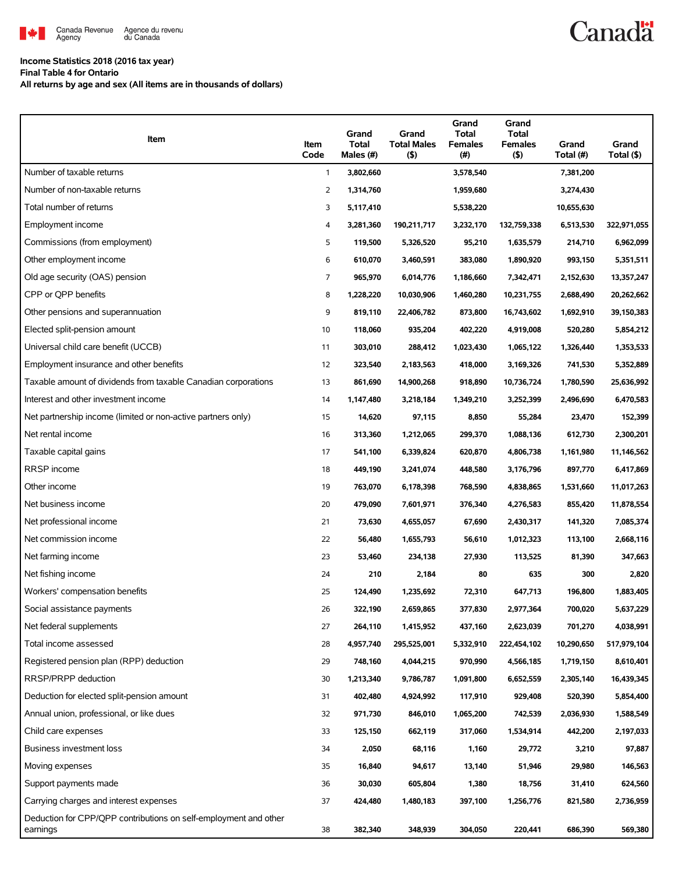

#### **Income Statistics 2018 (2016 tax year)**

**Final Table 4 for Ontario**

**All returns by age and sex (All items are in thousands of dollars)**

| Item                                                                         | Item<br>Code   | Grand<br><b>Total</b><br>Males (#) | Grand<br><b>Total Males</b><br>(5) | Grand<br><b>Total</b><br><b>Females</b><br>(#) | Grand<br><b>Total</b><br><b>Females</b><br>(5) | Grand<br>Total (#) | Grand<br>Total (\$) |
|------------------------------------------------------------------------------|----------------|------------------------------------|------------------------------------|------------------------------------------------|------------------------------------------------|--------------------|---------------------|
| Number of taxable returns                                                    | 1              | 3,802,660                          |                                    | 3,578,540                                      |                                                | 7,381,200          |                     |
| Number of non-taxable returns                                                | $\overline{2}$ | 1,314,760                          |                                    | 1,959,680                                      |                                                | 3,274,430          |                     |
| Total number of returns                                                      | 3              | 5,117,410                          |                                    | 5,538,220                                      |                                                | 10,655,630         |                     |
| Employment income                                                            | 4              | 3,281,360                          | 190,211,717                        | 3,232,170                                      | 132,759,338                                    | 6,513,530          | 322,971,055         |
| Commissions (from employment)                                                | 5              | 119,500                            | 5,326,520                          | 95,210                                         | 1,635,579                                      | 214,710            | 6,962,099           |
| Other employment income                                                      | 6              | 610,070                            | 3,460,591                          | 383,080                                        | 1,890,920                                      | 993,150            | 5,351,511           |
| Old age security (OAS) pension                                               | $\overline{7}$ | 965,970                            | 6,014,776                          | 1,186,660                                      | 7,342,471                                      | 2,152,630          | 13,357,247          |
| CPP or QPP benefits                                                          | 8              | 1,228,220                          | 10,030,906                         | 1,460,280                                      | 10,231,755                                     | 2,688,490          | 20,262,662          |
| Other pensions and superannuation                                            | 9              | 819,110                            | 22,406,782                         | 873,800                                        | 16,743,602                                     | 1,692,910          | 39,150,383          |
| Elected split-pension amount                                                 | 10             | 118,060                            | 935,204                            | 402,220                                        | 4,919,008                                      | 520,280            | 5,854,212           |
| Universal child care benefit (UCCB)                                          | 11             | 303,010                            | 288,412                            | 1,023,430                                      | 1,065,122                                      | 1,326,440          | 1,353,533           |
| Employment insurance and other benefits                                      | 12             | 323,540                            | 2,183,563                          | 418,000                                        | 3,169,326                                      | 741,530            | 5,352,889           |
| Taxable amount of dividends from taxable Canadian corporations               | 13             | 861,690                            | 14,900,268                         | 918,890                                        | 10,736,724                                     | 1,780,590          | 25,636,992          |
| Interest and other investment income                                         | 14             | 1,147,480                          | 3,218,184                          | 1,349,210                                      | 3,252,399                                      | 2,496,690          | 6,470,583           |
| Net partnership income (limited or non-active partners only)                 | 15             | 14,620                             | 97,115                             | 8,850                                          | 55,284                                         | 23,470             | 152,399             |
| Net rental income                                                            | 16             | 313,360                            | 1,212,065                          | 299,370                                        | 1,088,136                                      | 612,730            | 2,300,201           |
| Taxable capital gains                                                        | 17             | 541,100                            | 6,339,824                          | 620,870                                        | 4,806,738                                      | 1,161,980          | 11,146,562          |
| RRSP income                                                                  | 18             | 449,190                            | 3,241,074                          | 448,580                                        | 3,176,796                                      | 897,770            | 6,417,869           |
| Other income                                                                 | 19             | 763,070                            | 6,178,398                          | 768,590                                        | 4,838,865                                      | 1,531,660          | 11,017,263          |
| Net business income                                                          | 20             | 479,090                            | 7,601,971                          | 376,340                                        | 4,276,583                                      | 855,420            | 11,878,554          |
| Net professional income                                                      | 21             | 73,630                             | 4,655,057                          | 67,690                                         | 2,430,317                                      | 141,320            | 7,085,374           |
| Net commission income                                                        | 22             | 56,480                             | 1,655,793                          | 56,610                                         | 1,012,323                                      | 113,100            | 2,668,116           |
| Net farming income                                                           | 23             | 53,460                             | 234,138                            | 27,930                                         | 113,525                                        | 81,390             | 347,663             |
| Net fishing income                                                           | 24             | 210                                | 2,184                              | 80                                             | 635                                            | 300                | 2,820               |
| Workers' compensation benefits                                               | 25             | 124,490                            | 1,235,692                          | 72,310                                         | 647,713                                        | 196,800            | 1,883,405           |
| Social assistance payments                                                   | 26             | 322,190                            | 2,659,865                          | 377,830                                        | 2,977,364                                      | 700,020            | 5,637,229           |
| Net federal supplements                                                      | 27             | 264,110                            | 1,415,952                          | 437,160                                        | 2,623,039                                      | 701,270            | 4,038,991           |
| Total income assessed                                                        | 28             | 4,957,740                          | 295,525,001                        | 5,332,910                                      | 222,454,102                                    | 10,290,650         | 517,979,104         |
| Registered pension plan (RPP) deduction                                      | 29             | 748,160                            | 4,044,215                          | 970,990                                        | 4,566,185                                      | 1,719,150          | 8,610,401           |
| RRSP/PRPP deduction                                                          | 30             | 1,213,340                          | 9,786,787                          | 1,091,800                                      | 6,652,559                                      | 2,305,140          | 16,439,345          |
| Deduction for elected split-pension amount                                   | 31             | 402,480                            | 4,924,992                          | 117,910                                        | 929,408                                        | 520,390            | 5,854,400           |
| Annual union, professional, or like dues                                     | 32             | 971,730                            | 846,010                            | 1,065,200                                      | 742,539                                        | 2,036,930          | 1,588,549           |
| Child care expenses                                                          | 33             | 125,150                            | 662,119                            | 317,060                                        | 1,534,914                                      | 442,200            | 2,197,033           |
| Business investment loss                                                     | 34             | 2,050                              | 68,116                             | 1,160                                          | 29,772                                         | 3,210              | 97,887              |
| Moving expenses                                                              | 35             | 16,840                             | 94,617                             | 13,140                                         | 51,946                                         | 29,980             | 146,563             |
| Support payments made                                                        | 36             | 30,030                             | 605,804                            | 1,380                                          | 18,756                                         | 31,410             | 624,560             |
| Carrying charges and interest expenses                                       | 37             | 424,480                            | 1,480,183                          | 397,100                                        | 1,256,776                                      | 821,580            | 2,736,959           |
| Deduction for CPP/QPP contributions on self-employment and other<br>earnings | 38             | 382,340                            | 348,939                            | 304,050                                        | 220,441                                        | 686,390            | 569,380             |

## **Canadä**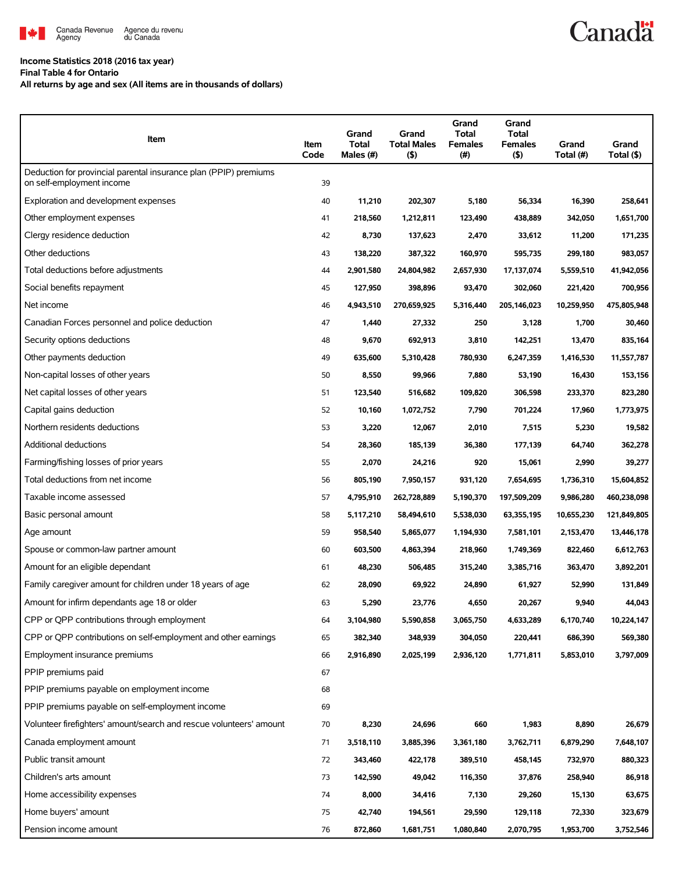

#### **Income Statistics 2018 (2016 tax year)**

**Final Table 4 for Ontario**

**All returns by age and sex (All items are in thousands of dollars)**

| Item                                                                                          | <b>Item</b><br>Code | Grand<br><b>Total</b><br>Males (#) | Grand<br><b>Total Males</b><br>(5) | Grand<br>Total<br><b>Females</b><br>$(\#)$ | Grand<br>Total<br><b>Females</b><br>$($ \$) | Grand<br>Total (#) | Grand<br>Total (\$) |
|-----------------------------------------------------------------------------------------------|---------------------|------------------------------------|------------------------------------|--------------------------------------------|---------------------------------------------|--------------------|---------------------|
| Deduction for provincial parental insurance plan (PPIP) premiums<br>on self-employment income | 39                  |                                    |                                    |                                            |                                             |                    |                     |
| Exploration and development expenses                                                          | 40                  | 11,210                             | 202,307                            | 5,180                                      | 56,334                                      | 16,390             | 258,641             |
| Other employment expenses                                                                     | 41                  | 218,560                            | 1,212,811                          | 123,490                                    | 438,889                                     | 342,050            | 1,651,700           |
| Clergy residence deduction                                                                    | 42                  | 8,730                              | 137,623                            | 2,470                                      | 33,612                                      | 11,200             | 171,235             |
| Other deductions                                                                              | 43                  | 138,220                            | 387,322                            | 160,970                                    | 595,735                                     | 299,180            | 983,057             |
| Total deductions before adjustments                                                           | 44                  | 2,901,580                          | 24,804,982                         | 2,657,930                                  | 17,137,074                                  | 5,559,510          | 41,942,056          |
| Social benefits repayment                                                                     | 45                  | 127,950                            | 398,896                            | 93,470                                     | 302,060                                     | 221,420            | 700,956             |
| Net income                                                                                    | 46                  | 4,943,510                          | 270,659,925                        | 5,316,440                                  | 205,146,023                                 | 10,259,950         | 475,805,948         |
| Canadian Forces personnel and police deduction                                                | 47                  | 1,440                              | 27,332                             | 250                                        | 3,128                                       | 1,700              | 30,460              |
| Security options deductions                                                                   | 48                  | 9,670                              | 692,913                            | 3,810                                      | 142,251                                     | 13,470             | 835,164             |
| Other payments deduction                                                                      | 49                  | 635,600                            | 5,310,428                          | 780,930                                    | 6,247,359                                   | 1,416,530          | 11,557,787          |
| Non-capital losses of other years                                                             | 50                  | 8,550                              | 99,966                             | 7,880                                      | 53,190                                      | 16,430             | 153,156             |
| Net capital losses of other years                                                             | 51                  | 123,540                            | 516,682                            | 109,820                                    | 306,598                                     | 233,370            | 823,280             |
| Capital gains deduction                                                                       | 52                  | 10,160                             | 1,072,752                          | 7,790                                      | 701,224                                     | 17,960             | 1,773,975           |
| Northern residents deductions                                                                 | 53                  | 3,220                              | 12,067                             | 2,010                                      | 7,515                                       | 5,230              | 19,582              |
| Additional deductions                                                                         | 54                  | 28,360                             | 185,139                            | 36,380                                     | 177,139                                     | 64,740             | 362,278             |
| Farming/fishing losses of prior years                                                         | 55                  | 2,070                              | 24,216                             | 920                                        | 15,061                                      | 2,990              | 39,277              |
| Total deductions from net income                                                              | 56                  | 805,190                            | 7,950,157                          | 931,120                                    | 7,654,695                                   | 1,736,310          | 15,604,852          |
| Taxable income assessed                                                                       | 57                  | 4,795,910                          | 262,728,889                        | 5,190,370                                  | 197,509,209                                 | 9,986,280          | 460,238,098         |
| Basic personal amount                                                                         | 58                  | 5,117,210                          | 58,494,610                         | 5,538,030                                  | 63,355,195                                  | 10,655,230         | 121,849,805         |
| Age amount                                                                                    | 59                  | 958,540                            | 5,865,077                          | 1,194,930                                  | 7,581,101                                   | 2,153,470          | 13,446,178          |
| Spouse or common-law partner amount                                                           | 60                  | 603,500                            | 4,863,394                          | 218,960                                    | 1,749,369                                   | 822,460            | 6,612,763           |
| Amount for an eligible dependant                                                              | 61                  | 48,230                             | 506,485                            | 315,240                                    | 3,385,716                                   | 363,470            | 3,892,201           |
| Family caregiver amount for children under 18 years of age                                    | 62                  | 28,090                             | 69,922                             | 24,890                                     | 61,927                                      | 52,990             | 131,849             |
| Amount for infirm dependants age 18 or older                                                  | 63                  | 5,290                              | 23,776                             | 4,650                                      | 20,267                                      | 9,940              | 44,043              |
| CPP or QPP contributions through employment                                                   | 64                  | 3,104,980                          | 5,590,858                          | 3,065,750                                  | 4,633,289                                   | 6,170,740          | 10,224,147          |
| CPP or OPP contributions on self-employment and other earnings                                | 65                  | 382,340                            | 348,939                            | 304,050                                    | 220,441                                     | 686,390            | 569,380             |
| Employment insurance premiums                                                                 | 66                  | 2,916,890                          | 2,025,199                          | 2,936,120                                  | 1,771,811                                   | 5,853,010          | 3,797,009           |
| PPIP premiums paid                                                                            | 67                  |                                    |                                    |                                            |                                             |                    |                     |
| PPIP premiums payable on employment income                                                    | 68                  |                                    |                                    |                                            |                                             |                    |                     |
| PPIP premiums payable on self-employment income                                               | 69                  |                                    |                                    |                                            |                                             |                    |                     |
| Volunteer firefighters' amount/search and rescue volunteers' amount                           | 70                  | 8,230                              | 24,696                             | 660                                        | 1,983                                       | 8,890              | 26,679              |
| Canada employment amount                                                                      | 71                  | 3,518,110                          | 3,885,396                          | 3,361,180                                  | 3,762,711                                   | 6,879,290          | 7,648,107           |
| Public transit amount                                                                         | 72                  | 343,460                            | 422,178                            | 389,510                                    | 458,145                                     | 732,970            | 880,323             |
| Children's arts amount                                                                        | 73                  | 142,590                            | 49,042                             | 116,350                                    | 37,876                                      | 258,940            | 86,918              |
| Home accessibility expenses                                                                   | 74                  | 8,000                              | 34,416                             | 7,130                                      | 29,260                                      | 15,130             | 63,675              |
| Home buyers' amount                                                                           | 75                  | 42,740                             | 194,561                            | 29,590                                     | 129,118                                     | 72,330             | 323,679             |
| Pension income amount                                                                         | 76                  | 872,860                            | 1,681,751                          | 1,080,840                                  | 2,070,795                                   | 1,953,700          | 3,752,546           |

**Canadä**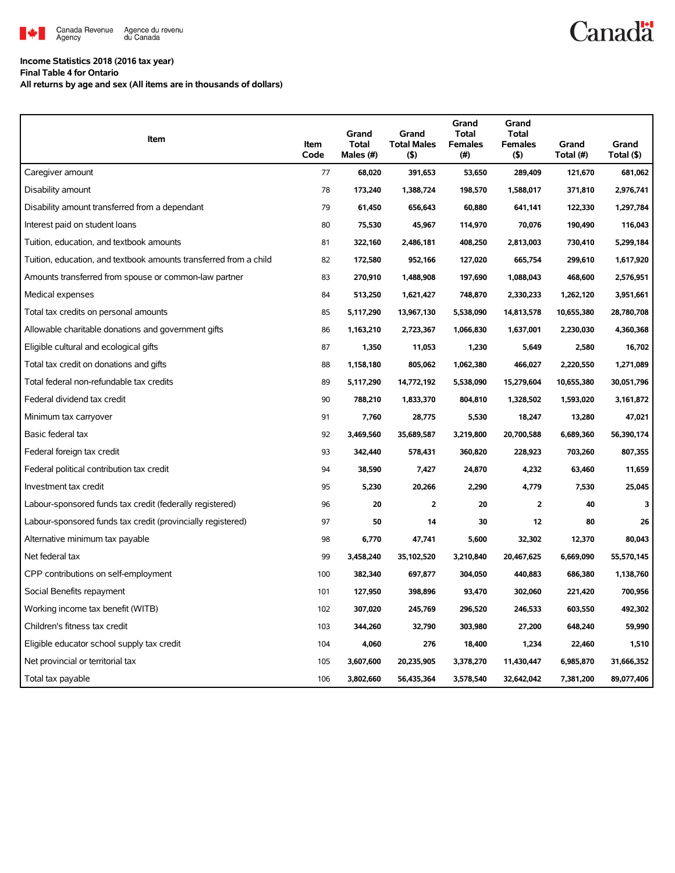

# **Canadä**

### **Income Statistics 2018 (2016 tax year)**

**Final Table 4 for Ontario**

**All returns by age and sex (All items are in thousands of dollars)**

| Item                                                              | Item<br>Code | Grand<br><b>Total</b><br>Males (#) | Grand<br><b>Total Males</b><br>(5) | Grand<br>Total<br><b>Females</b><br>(#) | Grand<br><b>Total</b><br><b>Females</b><br>(5) | Grand<br>Total (#) | Grand<br>Total (\$) |
|-------------------------------------------------------------------|--------------|------------------------------------|------------------------------------|-----------------------------------------|------------------------------------------------|--------------------|---------------------|
| Caregiver amount                                                  | 77           | 68,020                             | 391,653                            | 53,650                                  | 289,409                                        | 121,670            | 681,062             |
| Disability amount                                                 | 78           | 173,240                            | 1,388,724                          | 198,570                                 | 1,588,017                                      | 371,810            | 2,976,741           |
| Disability amount transferred from a dependant                    | 79           | 61,450                             | 656,643                            | 60,880                                  | 641,141                                        | 122,330            | 1,297,784           |
| Interest paid on student loans                                    | 80           | 75,530                             | 45,967                             | 114,970                                 | 70,076                                         | 190,490            | 116,043             |
| Tuition, education, and textbook amounts                          | 81           | 322,160                            | 2,486,181                          | 408,250                                 | 2,813,003                                      | 730,410            | 5,299,184           |
| Tuition, education, and textbook amounts transferred from a child | 82           | 172,580                            | 952,166                            | 127,020                                 | 665,754                                        | 299,610            | 1,617,920           |
| Amounts transferred from spouse or common-law partner             | 83           | 270,910                            | 1,488,908                          | 197,690                                 | 1,088,043                                      | 468,600            | 2,576,951           |
| Medical expenses                                                  | 84           | 513,250                            | 1,621,427                          | 748,870                                 | 2,330,233                                      | 1,262,120          | 3,951,661           |
| Total tax credits on personal amounts                             | 85           | 5,117,290                          | 13,967,130                         | 5,538,090                               | 14,813,578                                     | 10,655,380         | 28,780,708          |
| Allowable charitable donations and government gifts               | 86           | 1,163,210                          | 2,723,367                          | 1,066,830                               | 1,637,001                                      | 2,230,030          | 4,360,368           |
| Eligible cultural and ecological gifts                            | 87           | 1,350                              | 11,053                             | 1,230                                   | 5,649                                          | 2,580              | 16,702              |
| Total tax credit on donations and gifts                           | 88           | 1,158,180                          | 805,062                            | 1,062,380                               | 466,027                                        | 2,220,550          | 1,271,089           |
| Total federal non-refundable tax credits                          | 89           | 5,117,290                          | 14,772,192                         | 5,538,090                               | 15,279,604                                     | 10,655,380         | 30,051,796          |
| Federal dividend tax credit                                       | 90           | 788,210                            | 1,833,370                          | 804,810                                 | 1,328,502                                      | 1,593,020          | 3,161,872           |
| Minimum tax carryover                                             | 91           | 7,760                              | 28,775                             | 5,530                                   | 18,247                                         | 13,280             | 47,021              |
| Basic federal tax                                                 | 92           | 3,469,560                          | 35,689,587                         | 3,219,800                               | 20,700,588                                     | 6,689,360          | 56,390,174          |
| Federal foreign tax credit                                        | 93           | 342,440                            | 578,431                            | 360,820                                 | 228,923                                        | 703,260            | 807,355             |
| Federal political contribution tax credit                         | 94           | 38,590                             | 7,427                              | 24,870                                  | 4,232                                          | 63,460             | 11,659              |
| Investment tax credit                                             | 95           | 5,230                              | 20,266                             | 2,290                                   | 4,779                                          | 7,530              | 25,045              |
| Labour-sponsored funds tax credit (federally registered)          | 96           | 20                                 | $\overline{2}$                     | 20                                      | $\overline{2}$                                 | 40                 | 3                   |
| Labour-sponsored funds tax credit (provincially registered)       | 97           | 50                                 | 14                                 | 30                                      | 12                                             | 80                 | 26                  |
| Alternative minimum tax payable                                   | 98           | 6,770                              | 47,741                             | 5,600                                   | 32,302                                         | 12,370             | 80,043              |
| Net federal tax                                                   | 99           | 3,458,240                          | 35,102,520                         | 3,210,840                               | 20,467,625                                     | 6,669,090          | 55,570,145          |
| CPP contributions on self-employment                              | 100          | 382,340                            | 697,877                            | 304,050                                 | 440,883                                        | 686,380            | 1,138,760           |
| Social Benefits repayment                                         | 101          | 127,950                            | 398,896                            | 93,470                                  | 302,060                                        | 221,420            | 700,956             |
| Working income tax benefit (WITB)                                 | 102          | 307,020                            | 245,769                            | 296,520                                 | 246,533                                        | 603,550            | 492,302             |
| Children's fitness tax credit                                     | 103          | 344,260                            | 32,790                             | 303,980                                 | 27,200                                         | 648,240            | 59,990              |
| Eligible educator school supply tax credit                        | 104          | 4,060                              | 276                                | 18,400                                  | 1,234                                          | 22,460             | 1,510               |
| Net provincial or territorial tax                                 | 105          | 3,607,600                          | 20,235,905                         | 3,378,270                               | 11,430,447                                     | 6,985,870          | 31,666,352          |
| Total tax payable                                                 | 106          | 3,802,660                          | 56,435,364                         | 3,578,540                               | 32,642,042                                     | 7,381,200          | 89,077,406          |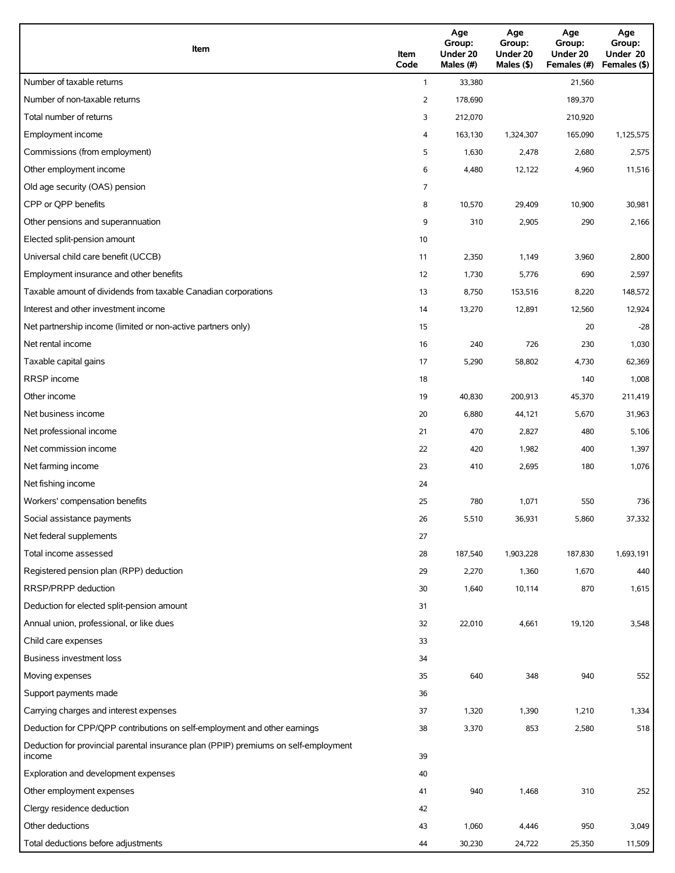| Item                                                                                          | Item<br>Code | Age<br>Group:<br>Under 20<br>Males (#) | Age<br>Group:<br>Under 20<br>Males (\$) | Age<br>Group:<br>Under 20<br>Females (#) | Age<br>Group:<br>Under 20<br>Females (\$) |
|-----------------------------------------------------------------------------------------------|--------------|----------------------------------------|-----------------------------------------|------------------------------------------|-------------------------------------------|
| Number of taxable returns                                                                     | $\mathbf{1}$ | 33,380                                 |                                         | 21,560                                   |                                           |
| Number of non-taxable returns                                                                 | 2            | 178,690                                |                                         | 189,370                                  |                                           |
| Total number of returns                                                                       | 3            | 212,070                                |                                         | 210,920                                  |                                           |
| Employment income                                                                             | 4            | 163,130                                | 1,324,307                               | 165,090                                  | 1,125,575                                 |
| Commissions (from employment)                                                                 | 5            | 1,630                                  | 2,478                                   | 2,680                                    | 2,575                                     |
| Other employment income                                                                       | 6            | 4,480                                  | 12,122                                  | 4,960                                    | 11,516                                    |
| Old age security (OAS) pension                                                                | 7            |                                        |                                         |                                          |                                           |
| CPP or QPP benefits                                                                           | 8            | 10,570                                 | 29,409                                  | 10,900                                   | 30,981                                    |
| Other pensions and superannuation                                                             | 9            | 310                                    | 2,905                                   | 290                                      | 2,166                                     |
| Elected split-pension amount                                                                  | 10           |                                        |                                         |                                          |                                           |
| Universal child care benefit (UCCB)                                                           | 11           | 2,350                                  | 1,149                                   | 3,960                                    | 2,800                                     |
| Employment insurance and other benefits                                                       | 12           | 1,730                                  | 5,776                                   | 690                                      | 2,597                                     |
| Taxable amount of dividends from taxable Canadian corporations                                | 13           | 8,750                                  | 153,516                                 | 8,220                                    | 148,572                                   |
| Interest and other investment income                                                          | 14           | 13,270                                 | 12,891                                  | 12,560                                   | 12,924                                    |
| Net partnership income (limited or non-active partners only)                                  | 15           |                                        |                                         | 20                                       | $-28$                                     |
| Net rental income                                                                             | 16           | 240                                    | 726                                     | 230                                      | 1,030                                     |
| Taxable capital gains                                                                         | 17           | 5,290                                  | 58,802                                  | 4,730                                    | 62,369                                    |
| <b>RRSP</b> income                                                                            | 18           |                                        |                                         | 140                                      | 1,008                                     |
| Other income                                                                                  | 19           | 40,830                                 | 200,913                                 | 45,370                                   | 211,419                                   |
| Net business income                                                                           | 20           | 6,880                                  | 44,121                                  | 5,670                                    | 31,963                                    |
| Net professional income                                                                       | 21           | 470                                    | 2,827                                   | 480                                      | 5,106                                     |
| Net commission income                                                                         | 22           | 420                                    | 1,982                                   | 400                                      | 1,397                                     |
| Net farming income                                                                            | 23           | 410                                    | 2,695                                   | 180                                      | 1,076                                     |
| Net fishing income                                                                            | 24           |                                        |                                         |                                          |                                           |
| Workers' compensation benefits                                                                | 25           | 780                                    | 1,071                                   | 550                                      | 736                                       |
| Social assistance payments                                                                    | 26           | 5,510                                  | 36,931                                  | 5,860                                    | 37,332                                    |
| Net federal supplements                                                                       | 27           |                                        |                                         |                                          |                                           |
| Total income assessed                                                                         | 28           | 187,540                                | 1,903,228                               | 187,830                                  | 1,693,191                                 |
| Registered pension plan (RPP) deduction                                                       | 29           | 2,270                                  | 1,360                                   | 1,670                                    | 440                                       |
| RRSP/PRPP deduction                                                                           | 30           | 1,640                                  | 10,114                                  | 870                                      | 1,615                                     |
| Deduction for elected split-pension amount                                                    | 31           |                                        |                                         |                                          |                                           |
| Annual union, professional, or like dues                                                      | 32           | 22,010                                 | 4,661                                   | 19,120                                   | 3,548                                     |
| Child care expenses                                                                           | 33           |                                        |                                         |                                          |                                           |
| Business investment loss                                                                      | 34           |                                        |                                         |                                          |                                           |
| Moving expenses                                                                               | 35           | 640                                    | 348                                     | 940                                      | 552                                       |
| Support payments made                                                                         | 36           |                                        |                                         |                                          |                                           |
| Carrying charges and interest expenses                                                        | 37           | 1,320                                  | 1,390                                   | 1,210                                    | 1,334                                     |
| Deduction for CPP/QPP contributions on self-employment and other earnings                     | 38           | 3,370                                  | 853                                     | 2,580                                    | 518                                       |
| Deduction for provincial parental insurance plan (PPIP) premiums on self-employment<br>income | 39           |                                        |                                         |                                          |                                           |
| Exploration and development expenses                                                          | 40           |                                        |                                         |                                          |                                           |
| Other employment expenses                                                                     | 41           | 940                                    | 1,468                                   | 310                                      | 252                                       |
| Clergy residence deduction                                                                    | 42           |                                        |                                         |                                          |                                           |
| Other deductions                                                                              | 43           | 1,060                                  | 4,446                                   | 950                                      | 3,049                                     |
| Total deductions before adjustments                                                           | 44           | 30,230                                 | 24,722                                  | 25,350                                   | 11,509                                    |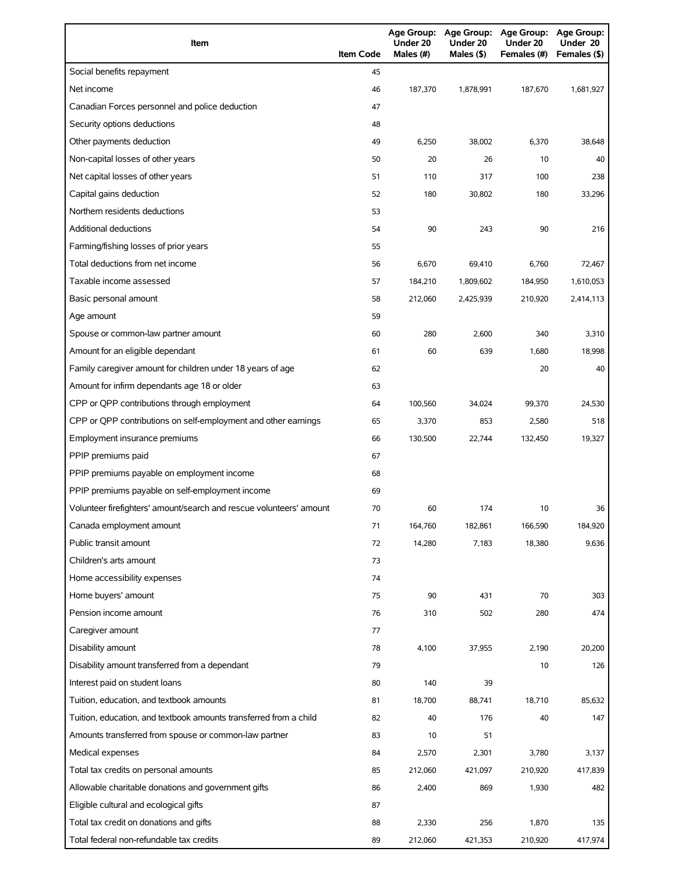| Item                                                                | <b>Item Code</b> | <b>Age Group:</b><br>Under 20<br>Males (#) | <b>Age Group:</b><br>Under 20<br>Males (\$) | Age Group: Age Group:<br>Under 20<br>Females (#) | Under 20<br>Females (\$) |
|---------------------------------------------------------------------|------------------|--------------------------------------------|---------------------------------------------|--------------------------------------------------|--------------------------|
| Social benefits repayment                                           | 45               |                                            |                                             |                                                  |                          |
| Net income                                                          | 46               | 187,370                                    | 1,878,991                                   | 187,670                                          | 1,681,927                |
| Canadian Forces personnel and police deduction                      | 47               |                                            |                                             |                                                  |                          |
| Security options deductions                                         | 48               |                                            |                                             |                                                  |                          |
| Other payments deduction                                            | 49               | 6,250                                      | 38,002                                      | 6,370                                            | 38,648                   |
| Non-capital losses of other years                                   | 50               | 20                                         | 26                                          | 10                                               | 40                       |
| Net capital losses of other years                                   | 51               | 110                                        | 317                                         | 100                                              | 238                      |
| Capital gains deduction                                             | 52               | 180                                        | 30,802                                      | 180                                              | 33,296                   |
| Northern residents deductions                                       | 53               |                                            |                                             |                                                  |                          |
| <b>Additional deductions</b>                                        | 54               | 90                                         | 243                                         | 90                                               | 216                      |
| Farming/fishing losses of prior years                               | 55               |                                            |                                             |                                                  |                          |
| Total deductions from net income                                    | 56               | 6,670                                      | 69,410                                      | 6,760                                            | 72,467                   |
| Taxable income assessed                                             | 57               | 184,210                                    | 1,809,602                                   | 184,950                                          | 1,610,053                |
| Basic personal amount                                               | 58               | 212,060                                    | 2,425,939                                   | 210,920                                          | 2,414,113                |
| Age amount                                                          | 59               |                                            |                                             |                                                  |                          |
| Spouse or common-law partner amount                                 | 60               | 280                                        | 2,600                                       | 340                                              | 3,310                    |
| Amount for an eligible dependant                                    | 61               | 60                                         | 639                                         | 1,680                                            | 18,998                   |
| Family caregiver amount for children under 18 years of age          | 62               |                                            |                                             | 20                                               | 40                       |
| Amount for infirm dependants age 18 or older                        | 63               |                                            |                                             |                                                  |                          |
| CPP or QPP contributions through employment                         | 64               | 100,560                                    | 34,024                                      | 99,370                                           | 24,530                   |
| CPP or QPP contributions on self-employment and other earnings      | 65               | 3,370                                      | 853                                         | 2,580                                            | 518                      |
| Employment insurance premiums                                       | 66               | 130,500                                    | 22,744                                      | 132,450                                          | 19,327                   |
| PPIP premiums paid                                                  | 67               |                                            |                                             |                                                  |                          |
| PPIP premiums payable on employment income                          | 68               |                                            |                                             |                                                  |                          |
| PPIP premiums payable on self-employment income                     | 69               |                                            |                                             |                                                  |                          |
| Volunteer firefighters' amount/search and rescue volunteers' amount | 70               | 60                                         | 174                                         | 10                                               | 36                       |
| Canada employment amount                                            | 71               | 164,760                                    | 182,861                                     | 166,590                                          | 184,920                  |
| Public transit amount                                               | 72               | 14,280                                     | 7,183                                       | 18,380                                           | 9,636                    |
| Children's arts amount                                              | 73               |                                            |                                             |                                                  |                          |
| Home accessibility expenses                                         | 74               |                                            |                                             |                                                  |                          |
| Home buyers' amount                                                 | 75               | 90                                         | 431                                         | 70                                               | 303                      |
| Pension income amount                                               | 76               | 310                                        | 502                                         | 280                                              | 474                      |
| Caregiver amount                                                    | 77               |                                            |                                             |                                                  |                          |
| Disability amount                                                   | 78               | 4,100                                      | 37,955                                      | 2,190                                            | 20,200                   |
| Disability amount transferred from a dependant                      | 79               |                                            |                                             | 10                                               | 126                      |
| Interest paid on student loans                                      | 80               | 140                                        | 39                                          |                                                  |                          |
| Tuition, education, and textbook amounts                            | 81               | 18,700                                     | 88,741                                      | 18,710                                           | 85,632                   |
| Tuition, education, and textbook amounts transferred from a child   | 82               | 40                                         | 176                                         | 40                                               | 147                      |
| Amounts transferred from spouse or common-law partner               | 83               | 10                                         | 51                                          |                                                  |                          |
| Medical expenses                                                    | 84               | 2,570                                      | 2,301                                       | 3,780                                            | 3,137                    |
| Total tax credits on personal amounts                               | 85               | 212,060                                    | 421,097                                     | 210,920                                          | 417,839                  |
| Allowable charitable donations and government gifts                 | 86               | 2,400                                      | 869                                         | 1,930                                            | 482                      |
| Eligible cultural and ecological gifts                              | 87               |                                            |                                             |                                                  |                          |
| Total tax credit on donations and gifts                             | 88               | 2,330                                      | 256                                         | 1,870                                            | 135                      |
| Total federal non-refundable tax credits                            | 89               | 212,060                                    | 421,353                                     | 210,920                                          | 417,974                  |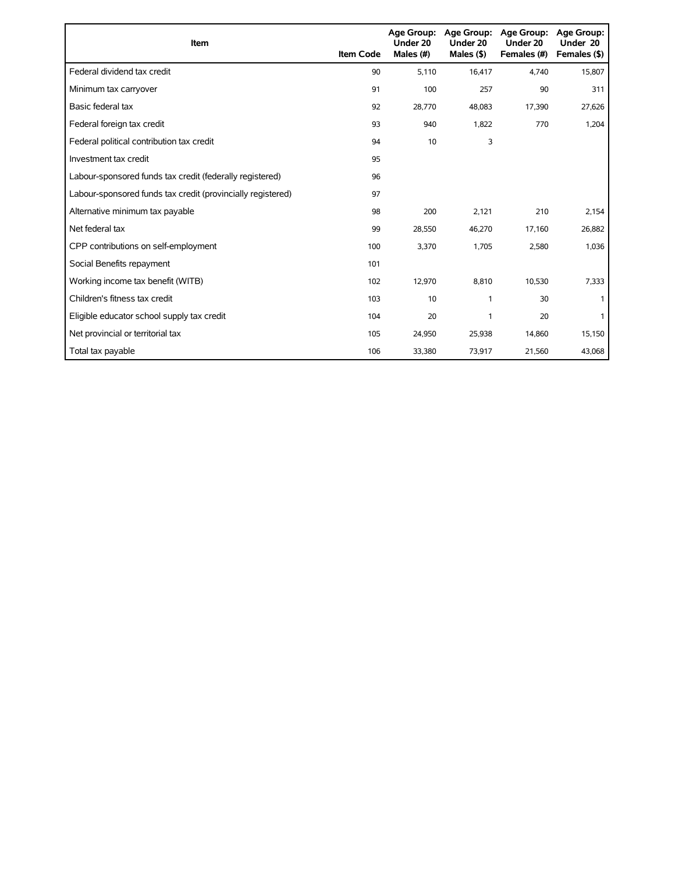| <b>Item</b>                                                 | <b>Item Code</b> | <b>Age Group:</b><br>Under 20<br>Males (#) | <b>Age Group:</b><br>Under 20<br>Males $($ \$) | Age Group:<br>Under 20<br>Females (#) | <b>Age Group:</b><br>Under 20<br>Females (\$) |
|-------------------------------------------------------------|------------------|--------------------------------------------|------------------------------------------------|---------------------------------------|-----------------------------------------------|
| Federal dividend tax credit                                 | 90               | 5,110                                      | 16,417                                         | 4,740                                 | 15,807                                        |
| Minimum tax carryover                                       | 91               | 100                                        | 257                                            | 90                                    | 311                                           |
| Basic federal tax                                           | 92               | 28.770                                     | 48,083                                         | 17,390                                | 27,626                                        |
| Federal foreign tax credit                                  | 93               | 940                                        | 1,822                                          | 770                                   | 1,204                                         |
| Federal political contribution tax credit                   | 94               | 10                                         | 3                                              |                                       |                                               |
| Investment tax credit                                       | 95               |                                            |                                                |                                       |                                               |
| Labour-sponsored funds tax credit (federally registered)    | 96               |                                            |                                                |                                       |                                               |
| Labour-sponsored funds tax credit (provincially registered) | 97               |                                            |                                                |                                       |                                               |
| Alternative minimum tax payable                             | 98               | 200                                        | 2,121                                          | 210                                   | 2,154                                         |
| Net federal tax                                             | 99               | 28,550                                     | 46,270                                         | 17,160                                | 26,882                                        |
| CPP contributions on self-employment                        | 100              | 3,370                                      | 1,705                                          | 2,580                                 | 1,036                                         |
| Social Benefits repayment                                   | 101              |                                            |                                                |                                       |                                               |
| Working income tax benefit (WITB)                           | 102              | 12,970                                     | 8,810                                          | 10,530                                | 7,333                                         |
| Children's fitness tax credit                               | 103              | 10                                         | 1                                              | 30                                    |                                               |
| Eligible educator school supply tax credit                  | 104              | 20                                         | 1                                              | 20                                    |                                               |
| Net provincial or territorial tax                           | 105              | 24,950                                     | 25,938                                         | 14,860                                | 15,150                                        |
| Total tax payable                                           | 106              | 33,380                                     | 73,917                                         | 21,560                                | 43,068                                        |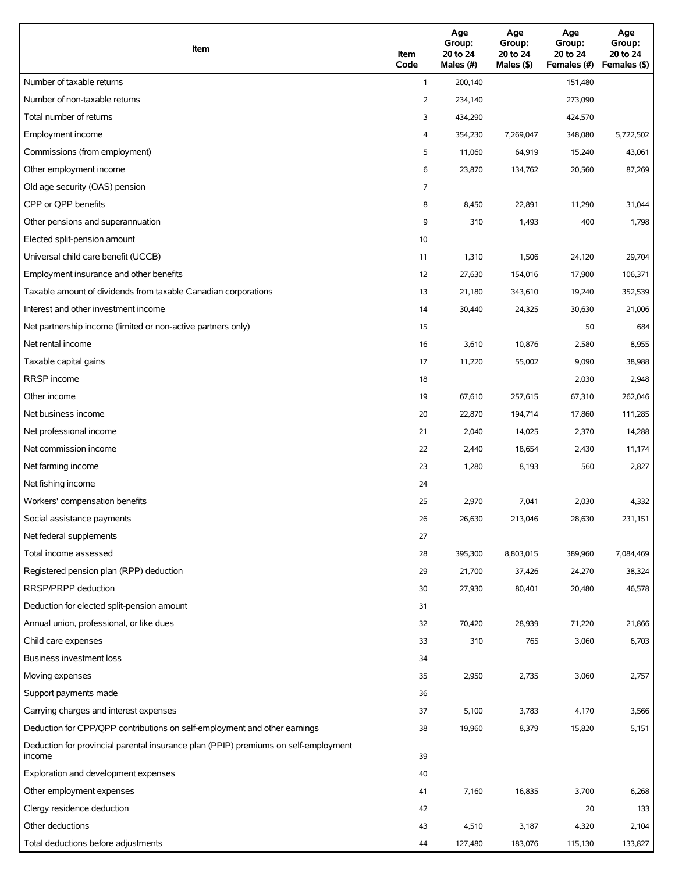| Item                                                                                          | Item<br>Code   | Age<br>Group:<br>20 to 24<br>Males (#) | Age<br>Group:<br>20 to 24<br>Males (\$) | Age<br>Group:<br>20 to 24<br>Females (#) | Age<br>Group:<br>20 to 24<br>Females (\$) |
|-----------------------------------------------------------------------------------------------|----------------|----------------------------------------|-----------------------------------------|------------------------------------------|-------------------------------------------|
| Number of taxable returns                                                                     | $\mathbf{1}$   | 200,140                                |                                         | 151,480                                  |                                           |
| Number of non-taxable returns                                                                 | 2              | 234,140                                |                                         | 273,090                                  |                                           |
| Total number of returns                                                                       | 3              | 434,290                                |                                         | 424,570                                  |                                           |
| Employment income                                                                             | 4              | 354,230                                | 7,269,047                               | 348,080                                  | 5,722,502                                 |
| Commissions (from employment)                                                                 | 5              | 11,060                                 | 64,919                                  | 15,240                                   | 43,061                                    |
| Other employment income                                                                       | 6              | 23,870                                 | 134,762                                 | 20,560                                   | 87,269                                    |
| Old age security (OAS) pension                                                                | $\overline{7}$ |                                        |                                         |                                          |                                           |
| CPP or OPP benefits                                                                           | 8              | 8,450                                  | 22,891                                  | 11,290                                   | 31,044                                    |
| Other pensions and superannuation                                                             | 9              | 310                                    | 1,493                                   | 400                                      | 1,798                                     |
| Elected split-pension amount                                                                  | 10             |                                        |                                         |                                          |                                           |
| Universal child care benefit (UCCB)                                                           | 11             | 1,310                                  | 1,506                                   | 24,120                                   | 29,704                                    |
| Employment insurance and other benefits                                                       | 12             | 27,630                                 | 154,016                                 | 17,900                                   | 106,371                                   |
| Taxable amount of dividends from taxable Canadian corporations                                | 13             | 21,180                                 | 343,610                                 | 19,240                                   | 352,539                                   |
| Interest and other investment income                                                          | 14             | 30,440                                 | 24,325                                  | 30,630                                   | 21,006                                    |
| Net partnership income (limited or non-active partners only)                                  | 15             |                                        |                                         | 50                                       | 684                                       |
| Net rental income                                                                             | 16             | 3,610                                  | 10,876                                  | 2,580                                    | 8,955                                     |
| Taxable capital gains                                                                         | 17             | 11,220                                 | 55,002                                  | 9,090                                    | 38,988                                    |
| <b>RRSP</b> income                                                                            | 18             |                                        |                                         | 2,030                                    | 2,948                                     |
| Other income                                                                                  | 19             | 67,610                                 | 257,615                                 | 67,310                                   | 262,046                                   |
| Net business income                                                                           | 20             | 22,870                                 | 194,714                                 | 17,860                                   | 111,285                                   |
| Net professional income                                                                       | 21             | 2,040                                  | 14,025                                  | 2,370                                    | 14,288                                    |
| Net commission income                                                                         | 22             | 2,440                                  | 18,654                                  | 2,430                                    | 11,174                                    |
| Net farming income                                                                            | 23             | 1,280                                  | 8,193                                   | 560                                      | 2,827                                     |
| Net fishing income                                                                            | 24             |                                        |                                         |                                          |                                           |
| Workers' compensation benefits                                                                | 25             | 2,970                                  | 7,041                                   | 2,030                                    | 4,332                                     |
| Social assistance payments                                                                    | 26             | 26,630                                 | 213,046                                 | 28,630                                   | 231,151                                   |
| Net federal supplements                                                                       | 27             |                                        |                                         |                                          |                                           |
| Total income assessed                                                                         | 28             | 395,300                                | 8,803,015                               | 389,960                                  | 7,084,469                                 |
| Registered pension plan (RPP) deduction                                                       | 29             | 21,700                                 | 37,426                                  | 24,270                                   | 38,324                                    |
| RRSP/PRPP deduction                                                                           | 30             | 27,930                                 | 80,401                                  | 20,480                                   | 46,578                                    |
| Deduction for elected split-pension amount                                                    | 31             |                                        |                                         |                                          |                                           |
| Annual union, professional, or like dues                                                      | 32             | 70,420                                 | 28,939                                  | 71,220                                   | 21,866                                    |
| Child care expenses                                                                           | 33             | 310                                    | 765                                     | 3,060                                    | 6,703                                     |
| Business investment loss                                                                      | 34             |                                        |                                         |                                          |                                           |
| Moving expenses                                                                               | 35             | 2,950                                  | 2,735                                   | 3,060                                    | 2,757                                     |
| Support payments made                                                                         | 36             |                                        |                                         |                                          |                                           |
| Carrying charges and interest expenses                                                        | 37             | 5,100                                  | 3,783                                   | 4,170                                    | 3,566                                     |
| Deduction for CPP/QPP contributions on self-employment and other earnings                     | 38             | 19,960                                 | 8,379                                   | 15,820                                   | 5,151                                     |
| Deduction for provincial parental insurance plan (PPIP) premiums on self-employment<br>income | 39             |                                        |                                         |                                          |                                           |
| Exploration and development expenses                                                          | 40             |                                        |                                         |                                          |                                           |
| Other employment expenses                                                                     | 41             | 7,160                                  | 16,835                                  | 3,700                                    | 6,268                                     |
| Clergy residence deduction                                                                    | 42             |                                        |                                         | 20                                       | 133                                       |
| Other deductions                                                                              | 43             | 4,510                                  | 3,187                                   | 4,320                                    | 2,104                                     |
| Total deductions before adjustments                                                           | 44             | 127,480                                | 183,076                                 | 115,130                                  | 133,827                                   |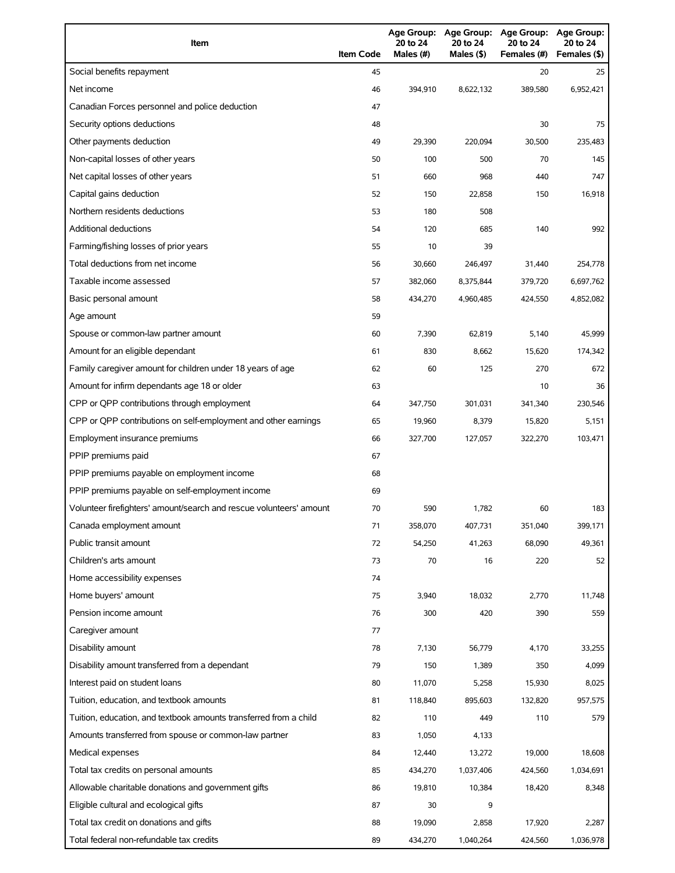| Item                                                                | <b>Item Code</b> | 20 to 24<br>Males (#) | Age Group: Age Group:<br>20 to 24<br>Males $(§)$ | <b>Age Group:</b><br>20 to 24<br>Females (#) | <b>Age Group:</b><br>20 to 24<br>Females (\$) |
|---------------------------------------------------------------------|------------------|-----------------------|--------------------------------------------------|----------------------------------------------|-----------------------------------------------|
| Social benefits repayment                                           | 45               |                       |                                                  | 20                                           | 25                                            |
| Net income                                                          | 46               | 394,910               | 8,622,132                                        | 389,580                                      | 6,952,421                                     |
| Canadian Forces personnel and police deduction                      | 47               |                       |                                                  |                                              |                                               |
| Security options deductions                                         | 48               |                       |                                                  | 30                                           | 75                                            |
| Other payments deduction                                            | 49               | 29,390                | 220.094                                          | 30,500                                       | 235,483                                       |
| Non-capital losses of other years                                   | 50               | 100                   | 500                                              | 70                                           | 145                                           |
| Net capital losses of other years                                   | 51               | 660                   | 968                                              | 440                                          | 747                                           |
| Capital gains deduction                                             | 52               | 150                   | 22,858                                           | 150                                          | 16,918                                        |
| Northern residents deductions                                       | 53               | 180                   | 508                                              |                                              |                                               |
| <b>Additional deductions</b>                                        | 54               | 120                   | 685                                              | 140                                          | 992                                           |
| Farming/fishing losses of prior years                               | 55               | 10                    | 39                                               |                                              |                                               |
| Total deductions from net income                                    | 56               | 30.660                | 246,497                                          | 31,440                                       | 254,778                                       |
| Taxable income assessed                                             | 57               | 382,060               | 8,375,844                                        | 379,720                                      | 6,697,762                                     |
| Basic personal amount                                               | 58               | 434,270               | 4,960,485                                        | 424,550                                      | 4,852,082                                     |
| Age amount                                                          | 59               |                       |                                                  |                                              |                                               |
| Spouse or common-law partner amount                                 | 60               | 7,390                 | 62,819                                           | 5,140                                        | 45,999                                        |
| Amount for an eligible dependant                                    | 61               | 830                   | 8,662                                            | 15,620                                       | 174,342                                       |
| Family caregiver amount for children under 18 years of age          | 62               | 60                    | 125                                              | 270                                          | 672                                           |
| Amount for infirm dependants age 18 or older                        | 63               |                       |                                                  | 10                                           | 36                                            |
| CPP or QPP contributions through employment                         | 64               | 347,750               | 301,031                                          | 341,340                                      | 230,546                                       |
| CPP or QPP contributions on self-employment and other earnings      | 65               | 19,960                | 8,379                                            | 15,820                                       | 5,151                                         |
| Employment insurance premiums                                       | 66               | 327,700               | 127,057                                          | 322,270                                      | 103,471                                       |
| PPIP premiums paid                                                  | 67               |                       |                                                  |                                              |                                               |
| PPIP premiums payable on employment income                          | 68               |                       |                                                  |                                              |                                               |
| PPIP premiums payable on self-employment income                     | 69               |                       |                                                  |                                              |                                               |
| Volunteer firefighters' amount/search and rescue volunteers' amount | 70               | 590                   | 1,782                                            | 60                                           | 183                                           |
| Canada employment amount                                            | 71               | 358,070               | 407,731                                          | 351,040                                      | 399,171                                       |
| Public transit amount                                               | 72               | 54,250                | 41,263                                           | 68,090                                       | 49,361                                        |
| Children's arts amount                                              | 73               | 70                    | 16                                               | 220                                          | 52                                            |
| Home accessibility expenses                                         | 74               |                       |                                                  |                                              |                                               |
| Home buyers' amount                                                 | 75               | 3,940                 | 18,032                                           | 2,770                                        | 11,748                                        |
| Pension income amount                                               | 76               | 300                   | 420                                              | 390                                          | 559                                           |
| Caregiver amount                                                    | 77               |                       |                                                  |                                              |                                               |
| Disability amount                                                   | 78               | 7,130                 | 56,779                                           | 4,170                                        | 33,255                                        |
| Disability amount transferred from a dependant                      | 79               | 150                   | 1,389                                            | 350                                          | 4,099                                         |
| Interest paid on student loans                                      | 80               | 11,070                | 5,258                                            | 15,930                                       | 8,025                                         |
| Tuition, education, and textbook amounts                            | 81               | 118,840               | 895,603                                          | 132,820                                      | 957,575                                       |
| Tuition, education, and textbook amounts transferred from a child   | 82               | 110                   | 449                                              | 110                                          | 579                                           |
| Amounts transferred from spouse or common-law partner               | 83               | 1,050                 | 4,133                                            |                                              |                                               |
| Medical expenses                                                    | 84               | 12,440                | 13,272                                           | 19,000                                       | 18,608                                        |
| Total tax credits on personal amounts                               | 85               | 434,270               | 1,037,406                                        | 424,560                                      | 1,034,691                                     |
| Allowable charitable donations and government gifts                 | 86               | 19,810                | 10,384                                           | 18,420                                       | 8,348                                         |
| Eligible cultural and ecological gifts                              | 87               | 30                    | 9                                                |                                              |                                               |
| Total tax credit on donations and gifts                             | 88               | 19,090                | 2,858                                            | 17,920                                       | 2,287                                         |
| Total federal non-refundable tax credits                            | 89               | 434,270               | 1,040,264                                        | 424,560                                      | 1,036,978                                     |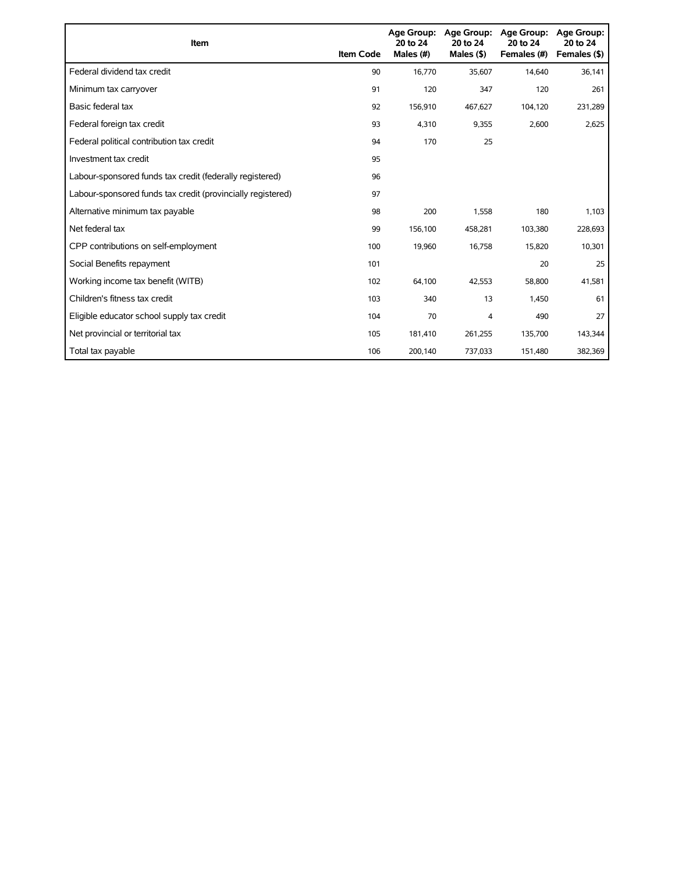| <b>Item</b>                                                 | <b>Item Code</b> | Age Group:<br>20 to 24<br>Males (#) | Age Group:<br>20 to 24<br>Males $(§)$ | Age Group:<br>20 to 24<br>Females (#) | Age Group:<br>20 to 24<br>Females (\$) |
|-------------------------------------------------------------|------------------|-------------------------------------|---------------------------------------|---------------------------------------|----------------------------------------|
| Federal dividend tax credit                                 | 90               | 16,770                              | 35,607                                | 14,640                                | 36,141                                 |
| Minimum tax carryover                                       | 91               | 120                                 | 347                                   | 120                                   | 261                                    |
| Basic federal tax                                           | 92               | 156,910                             | 467,627                               | 104,120                               | 231,289                                |
| Federal foreign tax credit                                  | 93               | 4,310                               | 9,355                                 | 2,600                                 | 2,625                                  |
| Federal political contribution tax credit                   | 94               | 170                                 | 25                                    |                                       |                                        |
| Investment tax credit                                       | 95               |                                     |                                       |                                       |                                        |
| Labour-sponsored funds tax credit (federally registered)    | 96               |                                     |                                       |                                       |                                        |
| Labour-sponsored funds tax credit (provincially registered) | 97               |                                     |                                       |                                       |                                        |
| Alternative minimum tax payable                             | 98               | 200                                 | 1,558                                 | 180                                   | 1,103                                  |
| Net federal tax                                             | 99               | 156,100                             | 458,281                               | 103,380                               | 228,693                                |
| CPP contributions on self-employment                        | 100              | 19,960                              | 16,758                                | 15,820                                | 10,301                                 |
| Social Benefits repayment                                   | 101              |                                     |                                       | 20                                    | 25                                     |
| Working income tax benefit (WITB)                           | 102              | 64,100                              | 42,553                                | 58,800                                | 41,581                                 |
| Children's fitness tax credit                               | 103              | 340                                 | 13                                    | 1,450                                 | 61                                     |
| Eligible educator school supply tax credit                  | 104              | 70                                  | 4                                     | 490                                   | 27                                     |
| Net provincial or territorial tax                           | 105              | 181,410                             | 261,255                               | 135,700                               | 143,344                                |
| Total tax payable                                           | 106              | 200,140                             | 737,033                               | 151,480                               | 382,369                                |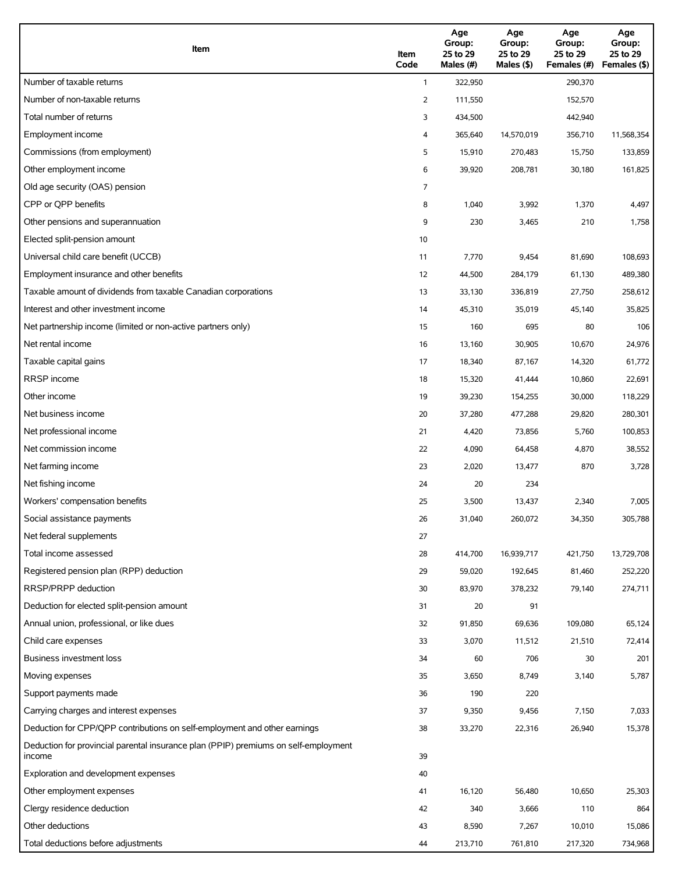| Item                                                                                          | Item<br>Code | Age<br>Group:<br>25 to 29<br>Males (#) | Age<br>Group:<br>25 to 29<br>Males $($ \$) | Age<br>Group:<br>25 to 29<br>Females (#) | Age<br>Group:<br>25 to 29<br>Females (\$) |
|-----------------------------------------------------------------------------------------------|--------------|----------------------------------------|--------------------------------------------|------------------------------------------|-------------------------------------------|
| Number of taxable returns                                                                     | $\mathbf{1}$ | 322,950                                |                                            | 290,370                                  |                                           |
| Number of non-taxable returns                                                                 | 2            | 111,550                                |                                            | 152,570                                  |                                           |
| Total number of returns                                                                       | 3            | 434,500                                |                                            | 442,940                                  |                                           |
| Employment income                                                                             | 4            | 365,640                                | 14,570,019                                 | 356,710                                  | 11,568,354                                |
| Commissions (from employment)                                                                 | 5            | 15,910                                 | 270,483                                    | 15,750                                   | 133,859                                   |
| Other employment income                                                                       | 6            | 39,920                                 | 208,781                                    | 30,180                                   | 161,825                                   |
| Old age security (OAS) pension                                                                | 7            |                                        |                                            |                                          |                                           |
| CPP or QPP benefits                                                                           | 8            | 1,040                                  | 3,992                                      | 1,370                                    | 4,497                                     |
| Other pensions and superannuation                                                             | 9            | 230                                    | 3,465                                      | 210                                      | 1,758                                     |
| Elected split-pension amount                                                                  | 10           |                                        |                                            |                                          |                                           |
| Universal child care benefit (UCCB)                                                           | 11           | 7,770                                  | 9,454                                      | 81,690                                   | 108,693                                   |
| Employment insurance and other benefits                                                       | 12           | 44,500                                 | 284,179                                    | 61,130                                   | 489,380                                   |
| Taxable amount of dividends from taxable Canadian corporations                                | 13           | 33,130                                 | 336,819                                    | 27,750                                   | 258,612                                   |
| Interest and other investment income                                                          | 14           | 45,310                                 | 35,019                                     | 45,140                                   | 35,825                                    |
| Net partnership income (limited or non-active partners only)                                  | 15           | 160                                    | 695                                        | 80                                       | 106                                       |
| Net rental income                                                                             | 16           | 13,160                                 | 30,905                                     | 10,670                                   | 24,976                                    |
| Taxable capital gains                                                                         | 17           | 18,340                                 | 87,167                                     | 14,320                                   | 61,772                                    |
| <b>RRSP</b> income                                                                            | 18           | 15,320                                 | 41,444                                     | 10,860                                   | 22,691                                    |
| Other income                                                                                  | 19           | 39,230                                 | 154,255                                    | 30,000                                   | 118,229                                   |
| Net business income                                                                           | 20           | 37,280                                 | 477,288                                    | 29,820                                   | 280,301                                   |
| Net professional income                                                                       | 21           | 4,420                                  | 73,856                                     | 5,760                                    | 100,853                                   |
| Net commission income                                                                         | 22           | 4,090                                  | 64,458                                     | 4,870                                    | 38,552                                    |
| Net farming income                                                                            | 23           | 2,020                                  | 13,477                                     | 870                                      | 3,728                                     |
| Net fishing income                                                                            | 24           | 20                                     | 234                                        |                                          |                                           |
| Workers' compensation benefits                                                                | 25           | 3,500                                  | 13,437                                     | 2,340                                    | 7,005                                     |
| Social assistance payments                                                                    | 26           | 31,040                                 | 260,072                                    | 34,350                                   | 305,788                                   |
| Net federal supplements                                                                       | 27           |                                        |                                            |                                          |                                           |
| Total income assessed                                                                         | 28           | 414,700                                | 16,939,717                                 | 421,750                                  | 13,729,708                                |
| Registered pension plan (RPP) deduction                                                       | 29           | 59,020                                 | 192,645                                    | 81,460                                   | 252,220                                   |
| RRSP/PRPP deduction                                                                           | 30           | 83,970                                 | 378,232                                    | 79,140                                   | 274,711                                   |
| Deduction for elected split-pension amount                                                    | 31           | 20                                     | 91                                         |                                          |                                           |
| Annual union, professional, or like dues                                                      | 32           | 91,850                                 | 69,636                                     | 109,080                                  | 65,124                                    |
| Child care expenses                                                                           | 33           | 3,070                                  | 11,512                                     | 21,510                                   | 72,414                                    |
| Business investment loss                                                                      | 34           | 60                                     | 706                                        | 30                                       | 201                                       |
| Moving expenses                                                                               | 35           | 3,650                                  | 8,749                                      | 3,140                                    | 5,787                                     |
| Support payments made                                                                         | 36           | 190                                    | 220                                        |                                          |                                           |
| Carrying charges and interest expenses                                                        | 37           | 9,350                                  | 9,456                                      | 7,150                                    | 7,033                                     |
| Deduction for CPP/QPP contributions on self-employment and other earnings                     | 38           | 33,270                                 | 22,316                                     | 26,940                                   | 15,378                                    |
| Deduction for provincial parental insurance plan (PPIP) premiums on self-employment<br>income | 39           |                                        |                                            |                                          |                                           |
| Exploration and development expenses                                                          | 40           |                                        |                                            |                                          |                                           |
| Other employment expenses                                                                     | 41           | 16,120                                 | 56,480                                     | 10,650                                   | 25,303                                    |
| Clergy residence deduction                                                                    | 42           | 340                                    | 3,666                                      | 110                                      | 864                                       |
| Other deductions                                                                              | 43           | 8,590                                  | 7,267                                      | 10,010                                   | 15,086                                    |
| Total deductions before adjustments                                                           | 44           | 213,710                                | 761,810                                    | 217,320                                  | 734,968                                   |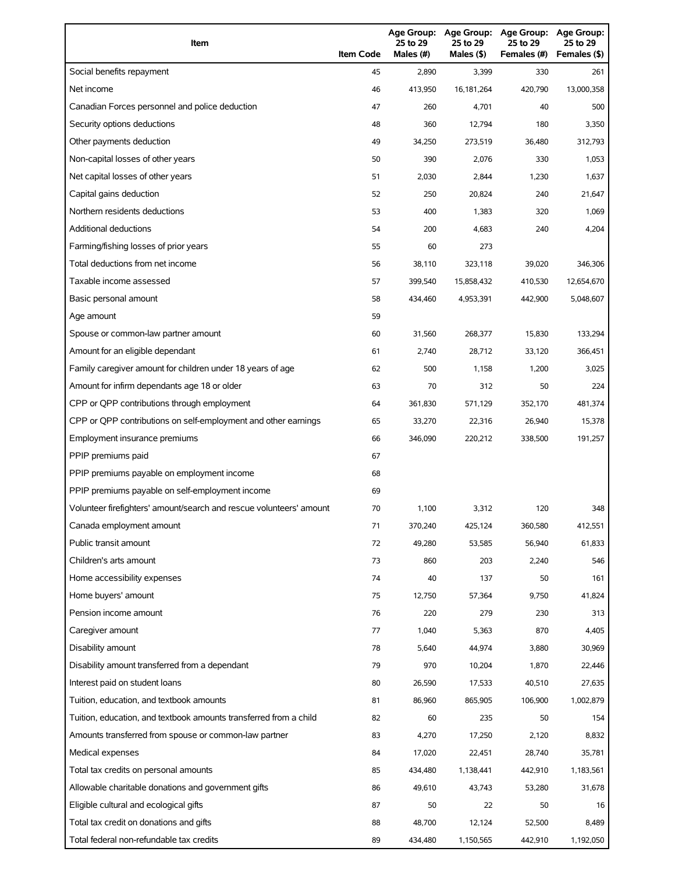| Item                                                                | <b>Item Code</b> | 25 to 29<br>Males (#) | 25 to 29<br>Males (\$) | Age Group: Age Group: Age Group:<br>25 to 29<br>Females (#) | <b>Age Group:</b><br>25 to 29<br>Females (\$) |
|---------------------------------------------------------------------|------------------|-----------------------|------------------------|-------------------------------------------------------------|-----------------------------------------------|
| Social benefits repayment                                           | 45               | 2,890                 | 3,399                  | 330                                                         | 261                                           |
| Net income                                                          | 46               | 413,950               | 16,181,264             | 420,790                                                     | 13,000,358                                    |
| Canadian Forces personnel and police deduction                      | 47               | 260                   | 4,701                  | 40                                                          | 500                                           |
| Security options deductions                                         | 48               | 360                   | 12,794                 | 180                                                         | 3,350                                         |
| Other payments deduction                                            | 49               | 34,250                | 273,519                | 36,480                                                      | 312,793                                       |
| Non-capital losses of other years                                   | 50               | 390                   | 2,076                  | 330                                                         | 1,053                                         |
| Net capital losses of other years                                   | 51               | 2,030                 | 2,844                  | 1,230                                                       | 1,637                                         |
| Capital gains deduction                                             | 52               | 250                   | 20,824                 | 240                                                         | 21,647                                        |
| Northern residents deductions                                       | 53               | 400                   | 1,383                  | 320                                                         | 1,069                                         |
| Additional deductions                                               | 54               | 200                   | 4,683                  | 240                                                         | 4,204                                         |
| Farming/fishing losses of prior years                               | 55               | 60                    | 273                    |                                                             |                                               |
| Total deductions from net income                                    | 56               | 38,110                | 323,118                | 39,020                                                      | 346,306                                       |
| Taxable income assessed                                             | 57               | 399,540               | 15,858,432             | 410,530                                                     | 12,654,670                                    |
| Basic personal amount                                               | 58               | 434,460               | 4,953,391              | 442,900                                                     | 5,048,607                                     |
| Age amount                                                          | 59               |                       |                        |                                                             |                                               |
| Spouse or common-law partner amount                                 | 60               | 31,560                | 268,377                | 15,830                                                      | 133,294                                       |
| Amount for an eligible dependant                                    | 61               | 2,740                 | 28,712                 | 33,120                                                      | 366,451                                       |
| Family caregiver amount for children under 18 years of age          | 62               | 500                   | 1,158                  | 1,200                                                       | 3,025                                         |
| Amount for infirm dependants age 18 or older                        | 63               | 70                    | 312                    | 50                                                          | 224                                           |
| CPP or QPP contributions through employment                         | 64               | 361,830               | 571,129                | 352,170                                                     | 481,374                                       |
| CPP or QPP contributions on self-employment and other earnings      | 65               | 33,270                | 22,316                 | 26,940                                                      | 15,378                                        |
| Employment insurance premiums                                       | 66               | 346,090               | 220,212                | 338,500                                                     | 191,257                                       |
| PPIP premiums paid                                                  | 67               |                       |                        |                                                             |                                               |
| PPIP premiums payable on employment income                          | 68               |                       |                        |                                                             |                                               |
| PPIP premiums payable on self-employment income                     | 69               |                       |                        |                                                             |                                               |
| Volunteer firefighters' amount/search and rescue volunteers' amount | 70               | 1,100                 | 3,312                  | 120                                                         | 348                                           |
| Canada employment amount                                            | 71               | 370,240               | 425,124                | 360,580                                                     | 412,551                                       |
| Public transit amount                                               | 72               | 49,280                | 53,585                 | 56,940                                                      | 61,833                                        |
| Children's arts amount                                              | 73               | 860                   | 203                    | 2,240                                                       | 546                                           |
| Home accessibility expenses                                         | 74               | 40                    | 137                    | 50                                                          | 161                                           |
| Home buyers' amount                                                 | 75               | 12,750                | 57,364                 | 9,750                                                       | 41,824                                        |
| Pension income amount                                               | 76               | 220                   | 279                    | 230                                                         | 313                                           |
| Caregiver amount                                                    | 77               | 1,040                 | 5,363                  | 870                                                         | 4,405                                         |
| Disability amount                                                   | 78               | 5,640                 | 44,974                 | 3,880                                                       | 30,969                                        |
| Disability amount transferred from a dependant                      | 79               | 970                   | 10,204                 | 1,870                                                       | 22,446                                        |
| Interest paid on student loans                                      | 80               | 26,590                | 17,533                 | 40,510                                                      | 27,635                                        |
| Tuition, education, and textbook amounts                            | 81               | 86,960                | 865,905                | 106,900                                                     | 1,002,879                                     |
| Tuition, education, and textbook amounts transferred from a child   | 82               | 60                    | 235                    | 50                                                          | 154                                           |
| Amounts transferred from spouse or common-law partner               | 83               | 4,270                 | 17,250                 | 2,120                                                       | 8,832                                         |
| Medical expenses                                                    | 84               | 17,020                | 22,451                 | 28,740                                                      | 35,781                                        |
| Total tax credits on personal amounts                               | 85               | 434,480               | 1,138,441              | 442,910                                                     | 1,183,561                                     |
| Allowable charitable donations and government gifts                 | 86               | 49,610                | 43,743                 | 53,280                                                      | 31,678                                        |
| Eligible cultural and ecological gifts                              | 87               | 50                    | 22                     | 50                                                          | 16                                            |
| Total tax credit on donations and gifts                             | 88               | 48,700                | 12,124                 | 52,500                                                      | 8,489                                         |
| Total federal non-refundable tax credits                            | 89               | 434,480               | 1,150,565              | 442,910                                                     | 1,192,050                                     |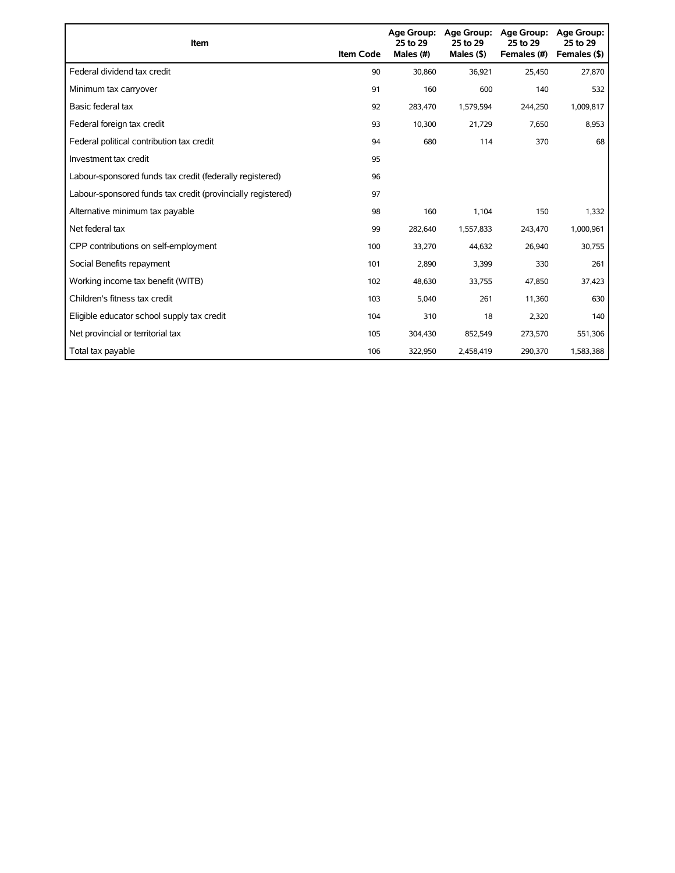| Item                                                        | <b>Item Code</b> | Age Group:<br>25 to 29<br>Males (#) | Age Group:<br>25 to 29<br>Males $($ \$) | <b>Age Group:</b><br>25 to 29<br>Females (#) | <b>Age Group:</b><br>25 to 29<br>Females (\$) |
|-------------------------------------------------------------|------------------|-------------------------------------|-----------------------------------------|----------------------------------------------|-----------------------------------------------|
| Federal dividend tax credit                                 | 90               | 30,860                              | 36,921                                  | 25,450                                       | 27,870                                        |
| Minimum tax carryover                                       | 91               | 160                                 | 600                                     | 140                                          | 532                                           |
| Basic federal tax                                           | 92               | 283.470                             | 1,579,594                               | 244,250                                      | 1,009,817                                     |
| Federal foreign tax credit                                  | 93               | 10,300                              | 21,729                                  | 7,650                                        | 8,953                                         |
| Federal political contribution tax credit                   | 94               | 680                                 | 114                                     | 370                                          | 68                                            |
| Investment tax credit                                       | 95               |                                     |                                         |                                              |                                               |
| Labour-sponsored funds tax credit (federally registered)    | 96               |                                     |                                         |                                              |                                               |
| Labour-sponsored funds tax credit (provincially registered) | 97               |                                     |                                         |                                              |                                               |
| Alternative minimum tax payable                             | 98               | 160                                 | 1,104                                   | 150                                          | 1,332                                         |
| Net federal tax                                             | 99               | 282,640                             | 1,557,833                               | 243,470                                      | 1,000,961                                     |
| CPP contributions on self-employment                        | 100              | 33,270                              | 44,632                                  | 26,940                                       | 30,755                                        |
| Social Benefits repayment                                   | 101              | 2,890                               | 3,399                                   | 330                                          | 261                                           |
| Working income tax benefit (WITB)                           | 102              | 48,630                              | 33,755                                  | 47,850                                       | 37,423                                        |
| Children's fitness tax credit                               | 103              | 5,040                               | 261                                     | 11,360                                       | 630                                           |
| Eligible educator school supply tax credit                  | 104              | 310                                 | 18                                      | 2,320                                        | 140                                           |
| Net provincial or territorial tax                           | 105              | 304,430                             | 852,549                                 | 273,570                                      | 551,306                                       |
| Total tax payable                                           | 106              | 322,950                             | 2.458.419                               | 290,370                                      | 1,583,388                                     |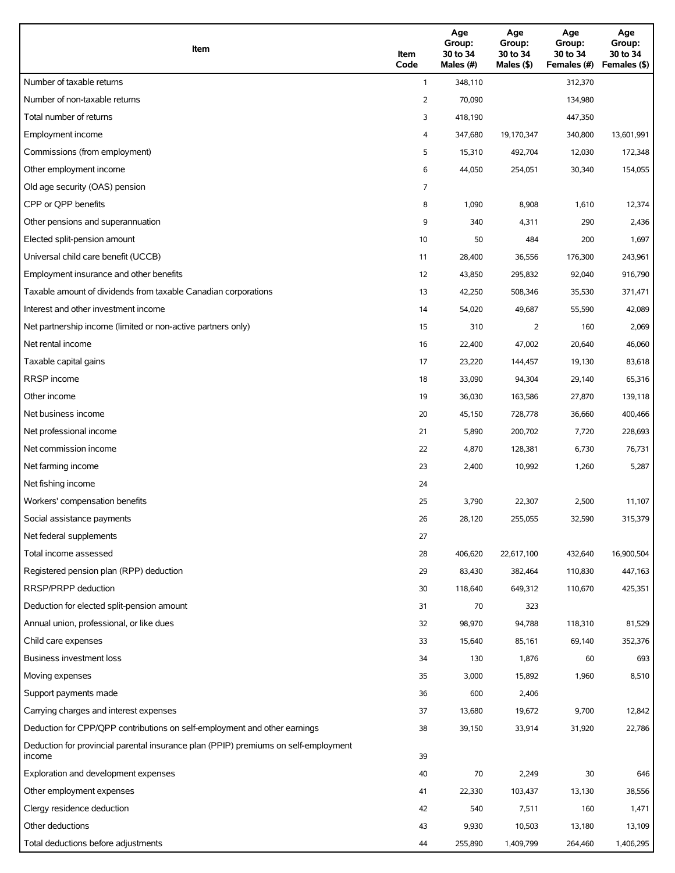| Item                                                                                          | Item<br>Code | Age<br>Group:<br>30 to 34<br>Males (#) | Age<br>Group:<br>30 to 34<br>Males (\$) | Age<br>Group:<br>30 to 34<br>Females (#) | Age<br>Group:<br>30 to 34<br>Females (\$) |
|-----------------------------------------------------------------------------------------------|--------------|----------------------------------------|-----------------------------------------|------------------------------------------|-------------------------------------------|
| Number of taxable returns                                                                     | $\mathbf{1}$ | 348,110                                |                                         | 312,370                                  |                                           |
| Number of non-taxable returns                                                                 | 2            | 70,090                                 |                                         | 134,980                                  |                                           |
| Total number of returns                                                                       | 3            | 418,190                                |                                         | 447,350                                  |                                           |
| Employment income                                                                             | 4            | 347,680                                | 19,170,347                              | 340,800                                  | 13,601,991                                |
| Commissions (from employment)                                                                 | 5            | 15,310                                 | 492,704                                 | 12,030                                   | 172,348                                   |
| Other employment income                                                                       | 6            | 44,050                                 | 254,051                                 | 30,340                                   | 154,055                                   |
| Old age security (OAS) pension                                                                | 7            |                                        |                                         |                                          |                                           |
| CPP or QPP benefits                                                                           | 8            | 1,090                                  | 8,908                                   | 1,610                                    | 12,374                                    |
| Other pensions and superannuation                                                             | 9            | 340                                    | 4,311                                   | 290                                      | 2,436                                     |
| Elected split-pension amount                                                                  | 10           | 50                                     | 484                                     | 200                                      | 1,697                                     |
| Universal child care benefit (UCCB)                                                           | 11           | 28,400                                 | 36,556                                  | 176,300                                  | 243,961                                   |
| Employment insurance and other benefits                                                       | 12           | 43,850                                 | 295,832                                 | 92,040                                   | 916,790                                   |
| Taxable amount of dividends from taxable Canadian corporations                                | 13           | 42,250                                 | 508,346                                 | 35,530                                   | 371,471                                   |
| Interest and other investment income                                                          | 14           | 54,020                                 | 49,687                                  | 55,590                                   | 42,089                                    |
| Net partnership income (limited or non-active partners only)                                  | 15           | 310                                    | 2                                       | 160                                      | 2,069                                     |
| Net rental income                                                                             | 16           | 22,400                                 | 47,002                                  | 20,640                                   | 46,060                                    |
| Taxable capital gains                                                                         | 17           | 23,220                                 | 144,457                                 | 19,130                                   | 83,618                                    |
| <b>RRSP</b> income                                                                            | 18           | 33,090                                 | 94,304                                  | 29,140                                   | 65,316                                    |
| Other income                                                                                  | 19           | 36,030                                 | 163,586                                 | 27,870                                   | 139,118                                   |
| Net business income                                                                           | 20           | 45,150                                 | 728,778                                 | 36,660                                   | 400,466                                   |
| Net professional income                                                                       | 21           | 5,890                                  | 200,702                                 | 7,720                                    | 228,693                                   |
| Net commission income                                                                         | 22           | 4,870                                  | 128,381                                 | 6,730                                    | 76,731                                    |
| Net farming income                                                                            | 23           | 2,400                                  | 10,992                                  | 1,260                                    | 5,287                                     |
| Net fishing income                                                                            | 24           |                                        |                                         |                                          |                                           |
| Workers' compensation benefits                                                                | 25           | 3,790                                  | 22,307                                  | 2,500                                    | 11,107                                    |
| Social assistance payments                                                                    | 26           | 28,120                                 | 255,055                                 | 32,590                                   | 315,379                                   |
| Net federal supplements                                                                       | 27           |                                        |                                         |                                          |                                           |
| Total income assessed                                                                         | 28           | 406,620                                | 22,617,100                              | 432,640                                  | 16,900,504                                |
| Registered pension plan (RPP) deduction                                                       | 29           | 83,430                                 | 382,464                                 | 110,830                                  | 447,163                                   |
| RRSP/PRPP deduction                                                                           | 30           | 118,640                                | 649,312                                 | 110,670                                  | 425,351                                   |
| Deduction for elected split-pension amount                                                    | 31           | 70                                     | 323                                     |                                          |                                           |
| Annual union, professional, or like dues                                                      | 32           | 98,970                                 | 94,788                                  | 118,310                                  | 81,529                                    |
| Child care expenses                                                                           | 33           | 15,640                                 | 85,161                                  | 69,140                                   | 352,376                                   |
| <b>Business investment loss</b>                                                               | 34           | 130                                    | 1,876                                   | 60                                       | 693                                       |
| Moving expenses                                                                               | 35           | 3,000                                  | 15,892                                  | 1,960                                    | 8,510                                     |
| Support payments made                                                                         | 36           | 600                                    | 2,406                                   |                                          |                                           |
| Carrying charges and interest expenses                                                        | 37           | 13,680                                 | 19,672                                  | 9,700                                    | 12,842                                    |
| Deduction for CPP/QPP contributions on self-employment and other earnings                     | 38           | 39,150                                 | 33,914                                  | 31,920                                   | 22,786                                    |
| Deduction for provincial parental insurance plan (PPIP) premiums on self-employment<br>income | 39           |                                        |                                         |                                          |                                           |
| Exploration and development expenses                                                          | 40           | 70                                     | 2,249                                   | 30                                       | 646                                       |
| Other employment expenses                                                                     | 41           | 22,330                                 | 103,437                                 | 13,130                                   | 38,556                                    |
| Clergy residence deduction                                                                    | 42           | 540                                    | 7,511                                   | 160                                      | 1,471                                     |
| Other deductions                                                                              | 43           | 9,930                                  | 10,503                                  | 13,180                                   | 13,109                                    |
| Total deductions before adjustments                                                           | 44           | 255,890                                | 1,409,799                               | 264,460                                  | 1,406,295                                 |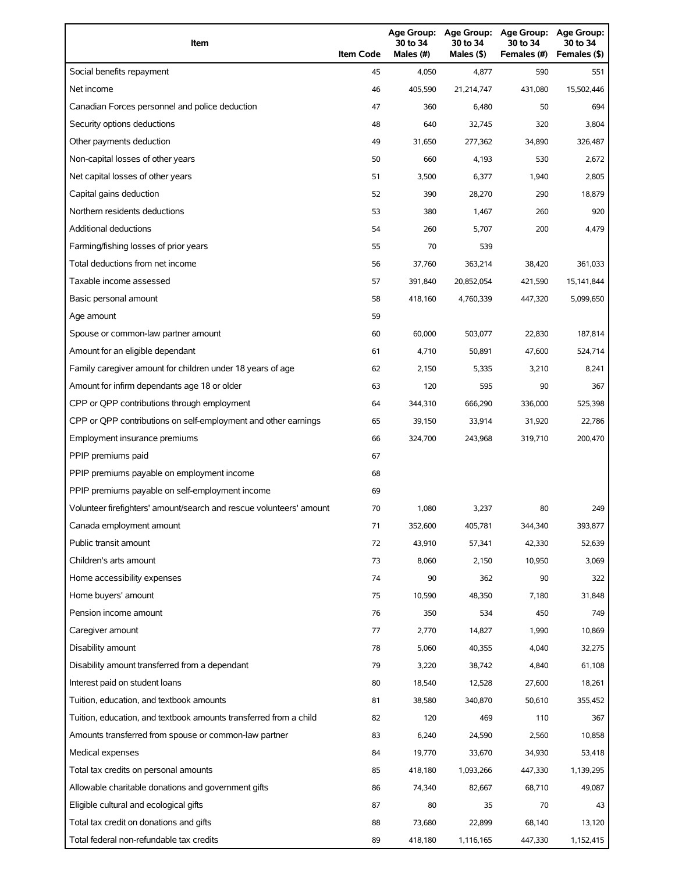| Item                                                                | <b>Item Code</b> | 30 to 34<br>Males (#) | 30 to 34<br>Males (\$) | Age Group: Age Group: Age Group:<br>30 to 34<br>Females (#) | Age Group:<br>30 to 34<br>Females (\$) |
|---------------------------------------------------------------------|------------------|-----------------------|------------------------|-------------------------------------------------------------|----------------------------------------|
| Social benefits repayment                                           | 45               | 4,050                 | 4,877                  | 590                                                         | 551                                    |
| Net income                                                          | 46               | 405,590               | 21,214,747             | 431,080                                                     | 15,502,446                             |
| Canadian Forces personnel and police deduction                      | 47               | 360                   | 6,480                  | 50                                                          | 694                                    |
| Security options deductions                                         | 48               | 640                   | 32,745                 | 320                                                         | 3,804                                  |
| Other payments deduction                                            | 49               | 31,650                | 277,362                | 34,890                                                      | 326,487                                |
| Non-capital losses of other years                                   | 50               | 660                   | 4,193                  | 530                                                         | 2,672                                  |
| Net capital losses of other years                                   | 51               | 3,500                 | 6,377                  | 1,940                                                       | 2,805                                  |
| Capital gains deduction                                             | 52               | 390                   | 28,270                 | 290                                                         | 18,879                                 |
| Northern residents deductions                                       | 53               | 380                   | 1,467                  | 260                                                         | 920                                    |
| Additional deductions                                               | 54               | 260                   | 5,707                  | 200                                                         | 4,479                                  |
| Farming/fishing losses of prior years                               | 55               | 70                    | 539                    |                                                             |                                        |
| Total deductions from net income                                    | 56               | 37,760                | 363,214                | 38,420                                                      | 361,033                                |
| Taxable income assessed                                             | 57               | 391,840               | 20,852,054             | 421,590                                                     | 15,141,844                             |
| Basic personal amount                                               | 58               | 418,160               | 4,760,339              | 447,320                                                     | 5,099,650                              |
| Age amount                                                          | 59               |                       |                        |                                                             |                                        |
| Spouse or common-law partner amount                                 | 60               | 60,000                | 503,077                | 22,830                                                      | 187,814                                |
| Amount for an eligible dependant                                    | 61               | 4,710                 | 50,891                 | 47,600                                                      | 524,714                                |
| Family caregiver amount for children under 18 years of age          | 62               | 2,150                 | 5,335                  | 3,210                                                       | 8,241                                  |
| Amount for infirm dependants age 18 or older                        | 63               | 120                   | 595                    | 90                                                          | 367                                    |
| CPP or QPP contributions through employment                         | 64               | 344,310               | 666,290                | 336,000                                                     | 525,398                                |
| CPP or QPP contributions on self-employment and other earnings      | 65               | 39,150                | 33,914                 | 31,920                                                      | 22,786                                 |
| Employment insurance premiums                                       | 66               | 324,700               | 243,968                | 319,710                                                     | 200,470                                |
| PPIP premiums paid                                                  | 67               |                       |                        |                                                             |                                        |
| PPIP premiums payable on employment income                          | 68               |                       |                        |                                                             |                                        |
| PPIP premiums payable on self-employment income                     | 69               |                       |                        |                                                             |                                        |
| Volunteer firefighters' amount/search and rescue volunteers' amount | 70               | 1,080                 | 3,237                  | 80                                                          | 249                                    |
| Canada employment amount                                            | 71               | 352,600               | 405,781                | 344,340                                                     | 393,877                                |
| Public transit amount                                               | 72               | 43,910                | 57,341                 | 42,330                                                      | 52,639                                 |
| Children's arts amount                                              | 73               | 8,060                 | 2,150                  | 10,950                                                      | 3,069                                  |
| Home accessibility expenses                                         | 74               | 90                    | 362                    | 90                                                          | 322                                    |
| Home buyers' amount                                                 | 75               | 10,590                | 48,350                 | 7,180                                                       | 31,848                                 |
| Pension income amount                                               | 76               | 350                   | 534                    | 450                                                         | 749                                    |
| Caregiver amount                                                    | 77               | 2,770                 | 14,827                 | 1,990                                                       | 10,869                                 |
| Disability amount                                                   | 78               | 5,060                 | 40,355                 | 4,040                                                       | 32,275                                 |
| Disability amount transferred from a dependant                      | 79               | 3,220                 | 38,742                 | 4,840                                                       | 61,108                                 |
| Interest paid on student loans                                      | 80               | 18,540                | 12,528                 | 27,600                                                      | 18,261                                 |
| Tuition, education, and textbook amounts                            | 81               | 38,580                | 340,870                | 50,610                                                      | 355,452                                |
| Tuition, education, and textbook amounts transferred from a child   | 82               | 120                   | 469                    | 110                                                         | 367                                    |
| Amounts transferred from spouse or common-law partner               | 83               | 6,240                 | 24,590                 | 2,560                                                       | 10,858                                 |
| Medical expenses                                                    | 84               | 19,770                | 33,670                 | 34,930                                                      | 53,418                                 |
| Total tax credits on personal amounts                               | 85               | 418,180               | 1,093,266              | 447,330                                                     | 1,139,295                              |
| Allowable charitable donations and government gifts                 | 86               | 74,340                | 82,667                 | 68,710                                                      | 49,087                                 |
| Eligible cultural and ecological gifts                              | 87               | 80                    | 35                     | 70                                                          | 43                                     |
| Total tax credit on donations and gifts                             | 88               | 73,680                | 22,899                 | 68,140                                                      | 13,120                                 |
| Total federal non-refundable tax credits                            | 89               | 418,180               | 1,116,165              | 447,330                                                     | 1,152,415                              |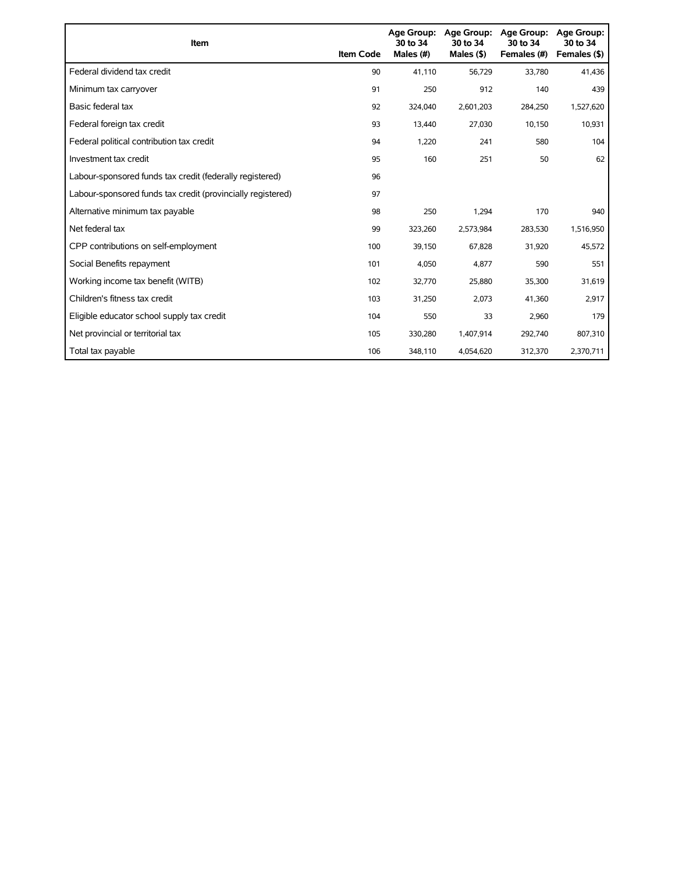| Item                                                        | <b>Item Code</b> | Age Group:<br>30 to 34<br>Males (#) | Age Group:<br>30 to 34<br>Males $($ \$) | <b>Age Group:</b><br>30 to 34<br>Females (#) | <b>Age Group:</b><br>30 to 34<br>Females (\$) |
|-------------------------------------------------------------|------------------|-------------------------------------|-----------------------------------------|----------------------------------------------|-----------------------------------------------|
| Federal dividend tax credit                                 | 90               | 41.110                              | 56,729                                  | 33,780                                       | 41,436                                        |
| Minimum tax carryover                                       | 91               | 250                                 | 912                                     | 140                                          | 439                                           |
| Basic federal tax                                           | 92               | 324,040                             | 2,601,203                               | 284,250                                      | 1,527,620                                     |
| Federal foreign tax credit                                  | 93               | 13,440                              | 27,030                                  | 10,150                                       | 10,931                                        |
| Federal political contribution tax credit                   | 94               | 1,220                               | 241                                     | 580                                          | 104                                           |
| Investment tax credit                                       | 95               | 160                                 | 251                                     | 50                                           | 62                                            |
| Labour-sponsored funds tax credit (federally registered)    | 96               |                                     |                                         |                                              |                                               |
| Labour-sponsored funds tax credit (provincially registered) | 97               |                                     |                                         |                                              |                                               |
| Alternative minimum tax payable                             | 98               | 250                                 | 1,294                                   | 170                                          | 940                                           |
| Net federal tax                                             | 99               | 323,260                             | 2,573,984                               | 283,530                                      | 1,516,950                                     |
| CPP contributions on self-employment                        | 100              | 39,150                              | 67,828                                  | 31,920                                       | 45,572                                        |
| Social Benefits repayment                                   | 101              | 4,050                               | 4,877                                   | 590                                          | 551                                           |
| Working income tax benefit (WITB)                           | 102              | 32,770                              | 25,880                                  | 35,300                                       | 31,619                                        |
| Children's fitness tax credit                               | 103              | 31,250                              | 2,073                                   | 41,360                                       | 2,917                                         |
| Eligible educator school supply tax credit                  | 104              | 550                                 | 33                                      | 2,960                                        | 179                                           |
| Net provincial or territorial tax                           | 105              | 330,280                             | 1,407,914                               | 292,740                                      | 807,310                                       |
| Total tax payable                                           | 106              | 348,110                             | 4,054,620                               | 312,370                                      | 2,370,711                                     |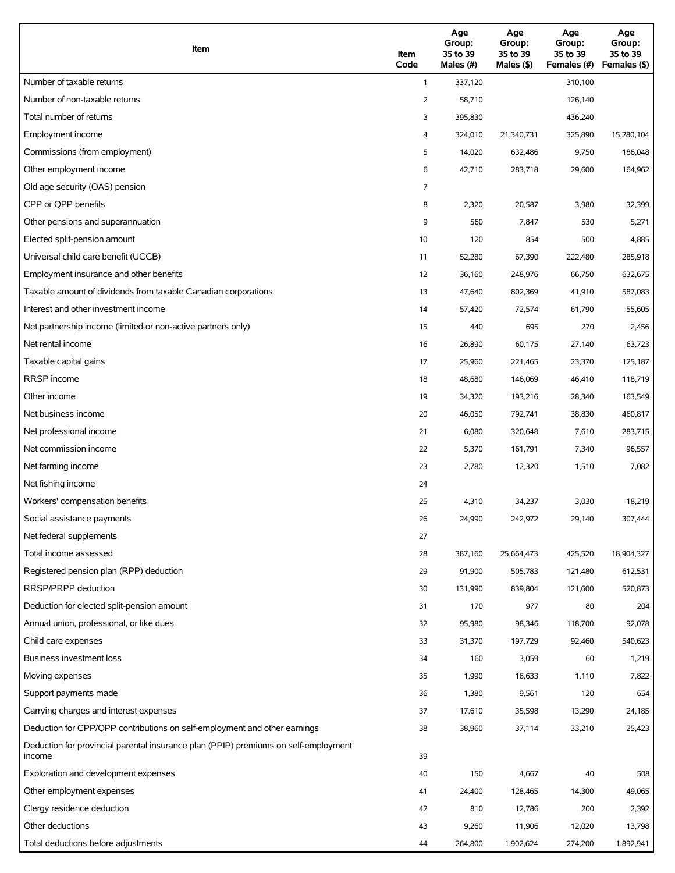| Item                                                                                          | Item<br>Code | Age<br>Group:<br>35 to 39<br>Males (#) | Age<br>Group:<br>35 to 39<br>Males $(\$)$ | Age<br>Group:<br>35 to 39<br>Females (#) | Age<br>Group:<br>35 to 39<br>Females (\$) |
|-----------------------------------------------------------------------------------------------|--------------|----------------------------------------|-------------------------------------------|------------------------------------------|-------------------------------------------|
| Number of taxable returns                                                                     | $\mathbf{1}$ | 337,120                                |                                           | 310,100                                  |                                           |
| Number of non-taxable returns                                                                 | 2            | 58,710                                 |                                           | 126,140                                  |                                           |
| Total number of returns                                                                       | 3            | 395,830                                |                                           | 436,240                                  |                                           |
| Employment income                                                                             | 4            | 324,010                                | 21,340,731                                | 325,890                                  | 15,280,104                                |
| Commissions (from employment)                                                                 | 5            | 14,020                                 | 632,486                                   | 9,750                                    | 186,048                                   |
| Other employment income                                                                       | 6            | 42,710                                 | 283,718                                   | 29,600                                   | 164,962                                   |
| Old age security (OAS) pension                                                                | 7            |                                        |                                           |                                          |                                           |
| CPP or QPP benefits                                                                           | 8            | 2,320                                  | 20,587                                    | 3,980                                    | 32,399                                    |
| Other pensions and superannuation                                                             | 9            | 560                                    | 7,847                                     | 530                                      | 5,271                                     |
| Elected split-pension amount                                                                  | 10           | 120                                    | 854                                       | 500                                      | 4,885                                     |
| Universal child care benefit (UCCB)                                                           | 11           | 52,280                                 | 67,390                                    | 222,480                                  | 285,918                                   |
| Employment insurance and other benefits                                                       | 12           | 36,160                                 | 248,976                                   | 66,750                                   | 632,675                                   |
| Taxable amount of dividends from taxable Canadian corporations                                | 13           | 47,640                                 | 802,369                                   | 41,910                                   | 587,083                                   |
| Interest and other investment income                                                          | 14           | 57,420                                 | 72,574                                    | 61,790                                   | 55,605                                    |
| Net partnership income (limited or non-active partners only)                                  | 15           | 440                                    | 695                                       | 270                                      | 2,456                                     |
| Net rental income                                                                             | 16           | 26,890                                 | 60,175                                    | 27,140                                   | 63,723                                    |
| Taxable capital gains                                                                         | 17           | 25,960                                 | 221,465                                   | 23,370                                   | 125,187                                   |
| <b>RRSP</b> income                                                                            | 18           | 48,680                                 | 146,069                                   | 46,410                                   | 118,719                                   |
| Other income                                                                                  | 19           | 34,320                                 | 193,216                                   | 28,340                                   | 163,549                                   |
| Net business income                                                                           | 20           | 46,050                                 | 792,741                                   | 38,830                                   | 460,817                                   |
| Net professional income                                                                       | 21           | 6,080                                  | 320,648                                   | 7,610                                    | 283,715                                   |
| Net commission income                                                                         | 22           | 5,370                                  | 161,791                                   | 7,340                                    | 96,557                                    |
| Net farming income                                                                            | 23           | 2,780                                  | 12,320                                    | 1,510                                    | 7,082                                     |
| Net fishing income                                                                            | 24           |                                        |                                           |                                          |                                           |
| Workers' compensation benefits                                                                | 25           | 4,310                                  | 34,237                                    | 3,030                                    | 18,219                                    |
| Social assistance payments                                                                    | 26           | 24,990                                 | 242,972                                   | 29,140                                   | 307,444                                   |
| Net federal supplements                                                                       | 27           |                                        |                                           |                                          |                                           |
| Total income assessed                                                                         | 28           | 387,160                                | 25,664,473                                | 425,520                                  | 18,904,327                                |
| Registered pension plan (RPP) deduction                                                       | 29           | 91,900                                 | 505,783                                   | 121,480                                  | 612,531                                   |
| RRSP/PRPP deduction                                                                           | 30           | 131,990                                | 839,804                                   | 121,600                                  | 520,873                                   |
| Deduction for elected split-pension amount                                                    | 31           | 170                                    | 977                                       | 80                                       | 204                                       |
| Annual union, professional, or like dues                                                      | 32           | 95,980                                 | 98,346                                    | 118,700                                  | 92,078                                    |
| Child care expenses                                                                           | 33           | 31,370                                 | 197,729                                   | 92,460                                   | 540,623                                   |
| Business investment loss                                                                      | 34           | 160                                    | 3,059                                     | 60                                       | 1,219                                     |
| Moving expenses                                                                               | 35           | 1,990                                  | 16,633                                    | 1,110                                    | 7,822                                     |
| Support payments made                                                                         | 36           | 1,380                                  | 9,561                                     | 120                                      | 654                                       |
| Carrying charges and interest expenses                                                        | 37           | 17,610                                 | 35,598                                    | 13,290                                   | 24,185                                    |
| Deduction for CPP/QPP contributions on self-employment and other earnings                     | 38           | 38,960                                 | 37,114                                    | 33,210                                   | 25,423                                    |
| Deduction for provincial parental insurance plan (PPIP) premiums on self-employment<br>income | 39           |                                        |                                           |                                          |                                           |
| Exploration and development expenses                                                          | 40           | 150                                    | 4,667                                     | 40                                       | 508                                       |
| Other employment expenses                                                                     | 41           | 24,400                                 | 128,465                                   | 14,300                                   | 49,065                                    |
| Clergy residence deduction                                                                    | 42           | 810                                    | 12,786                                    | 200                                      | 2,392                                     |
| Other deductions                                                                              | 43           | 9,260                                  | 11,906                                    | 12,020                                   | 13,798                                    |
| Total deductions before adjustments                                                           | 44           | 264,800                                | 1,902,624                                 | 274,200                                  | 1,892,941                                 |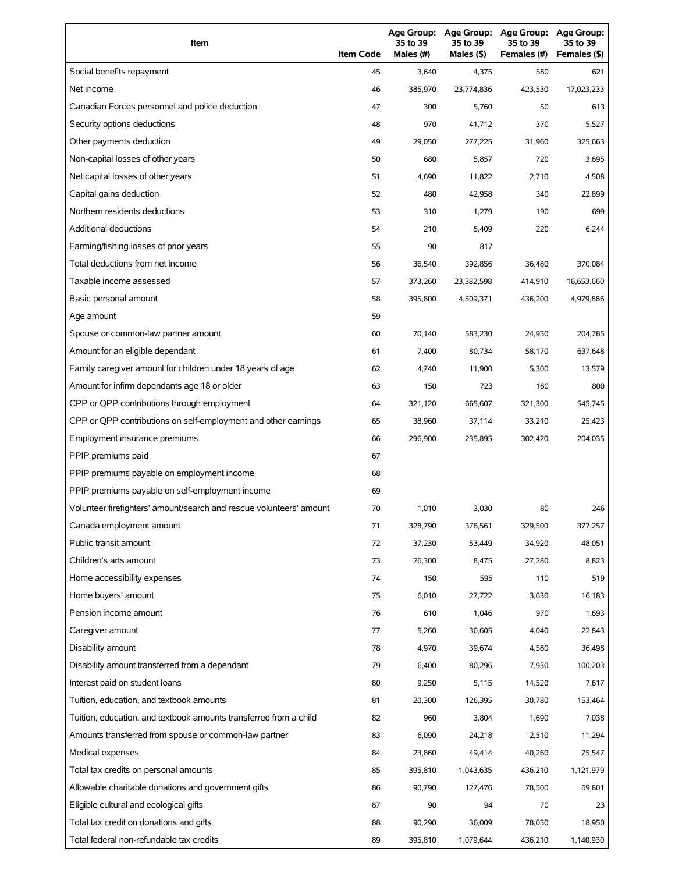| Item                                                                | <b>Item Code</b> | 35 to 39<br>Males (#) | 35 to 39<br>Males (\$) | Age Group: Age Group: Age Group:<br>35 to 39<br>Females (#) | Age Group:<br>35 to 39<br>Females (\$) |
|---------------------------------------------------------------------|------------------|-----------------------|------------------------|-------------------------------------------------------------|----------------------------------------|
| Social benefits repayment                                           | 45               | 3,640                 | 4,375                  | 580                                                         | 621                                    |
| Net income                                                          | 46               | 385,970               | 23,774,836             | 423,530                                                     | 17,023,233                             |
| Canadian Forces personnel and police deduction                      | 47               | 300                   | 5,760                  | 50                                                          | 613                                    |
| Security options deductions                                         | 48               | 970                   | 41,712                 | 370                                                         | 5,527                                  |
| Other payments deduction                                            | 49               | 29,050                | 277,225                | 31,960                                                      | 325,663                                |
| Non-capital losses of other years                                   | 50               | 680                   | 5,857                  | 720                                                         | 3,695                                  |
| Net capital losses of other years                                   | 51               | 4,690                 | 11,822                 | 2,710                                                       | 4,508                                  |
| Capital gains deduction                                             | 52               | 480                   | 42,958                 | 340                                                         | 22,899                                 |
| Northern residents deductions                                       | 53               | 310                   | 1,279                  | 190                                                         | 699                                    |
| Additional deductions                                               | 54               | 210                   | 5,409                  | 220                                                         | 6,244                                  |
| Farming/fishing losses of prior years                               | 55               | 90                    | 817                    |                                                             |                                        |
| Total deductions from net income                                    | 56               | 36,540                | 392,856                | 36,480                                                      | 370,084                                |
| Taxable income assessed                                             | 57               | 373,260               | 23,382,598             | 414,910                                                     | 16,653,660                             |
| Basic personal amount                                               | 58               | 395,800               | 4,509,371              | 436,200                                                     | 4,979,886                              |
| Age amount                                                          | 59               |                       |                        |                                                             |                                        |
| Spouse or common-law partner amount                                 | 60               | 70,140                | 583,230                | 24,930                                                      | 204,785                                |
| Amount for an eligible dependant                                    | 61               | 7,400                 | 80,734                 | 58,170                                                      | 637,648                                |
| Family caregiver amount for children under 18 years of age          | 62               | 4,740                 | 11,900                 | 5,300                                                       | 13,579                                 |
| Amount for infirm dependants age 18 or older                        | 63               | 150                   | 723                    | 160                                                         | 800                                    |
| CPP or QPP contributions through employment                         | 64               | 321,120               | 665,607                | 321,300                                                     | 545,745                                |
| CPP or QPP contributions on self-employment and other earnings      | 65               | 38,960                | 37,114                 | 33,210                                                      | 25,423                                 |
| Employment insurance premiums                                       | 66               | 296,900               | 235,895                | 302,420                                                     | 204,035                                |
| PPIP premiums paid                                                  | 67               |                       |                        |                                                             |                                        |
| PPIP premiums payable on employment income                          | 68               |                       |                        |                                                             |                                        |
| PPIP premiums payable on self-employment income                     | 69               |                       |                        |                                                             |                                        |
| Volunteer firefighters' amount/search and rescue volunteers' amount | 70               | 1,010                 | 3,030                  | 80                                                          | 246                                    |
| Canada employment amount                                            | 71               | 328,790               | 378,561                | 329,500                                                     | 377,257                                |
| Public transit amount                                               | 72               | 37,230                | 53,449                 | 34,920                                                      | 48,051                                 |
| Children's arts amount                                              | 73               | 26,300                | 8,475                  | 27,280                                                      | 8,823                                  |
| Home accessibility expenses                                         | 74               | 150                   | 595                    | 110                                                         | 519                                    |
| Home buyers' amount                                                 | 75               | 6,010                 | 27,722                 | 3,630                                                       | 16,183                                 |
| Pension income amount                                               | 76               | 610                   | 1,046                  | 970                                                         | 1,693                                  |
| Caregiver amount                                                    | 77               | 5,260                 | 30,605                 | 4,040                                                       | 22,843                                 |
| Disability amount                                                   | 78               | 4,970                 | 39,674                 | 4,580                                                       | 36,498                                 |
| Disability amount transferred from a dependant                      | 79               | 6,400                 | 80,296                 | 7,930                                                       | 100,203                                |
| Interest paid on student loans                                      | 80               | 9,250                 | 5,115                  | 14,520                                                      | 7,617                                  |
| Tuition, education, and textbook amounts                            | 81               | 20,300                | 126,395                | 30,780                                                      | 153,464                                |
| Tuition, education, and textbook amounts transferred from a child   | 82               | 960                   | 3,804                  | 1,690                                                       | 7,038                                  |
| Amounts transferred from spouse or common-law partner               | 83               | 6,090                 | 24,218                 | 2,510                                                       | 11,294                                 |
| Medical expenses                                                    | 84               | 23,860                | 49,414                 | 40,260                                                      | 75,547                                 |
| Total tax credits on personal amounts                               | 85               | 395,810               | 1,043,635              | 436,210                                                     | 1,121,979                              |
| Allowable charitable donations and government gifts                 | 86               | 90,790                | 127,476                | 78,500                                                      | 69,801                                 |
| Eligible cultural and ecological gifts                              | 87               | 90                    | 94                     | 70                                                          | 23                                     |
| Total tax credit on donations and gifts                             | 88               | 90,290                | 36,009                 | 78,030                                                      | 18,950                                 |
| Total federal non-refundable tax credits                            | 89               | 395,810               | 1,079,644              | 436,210                                                     | 1,140,930                              |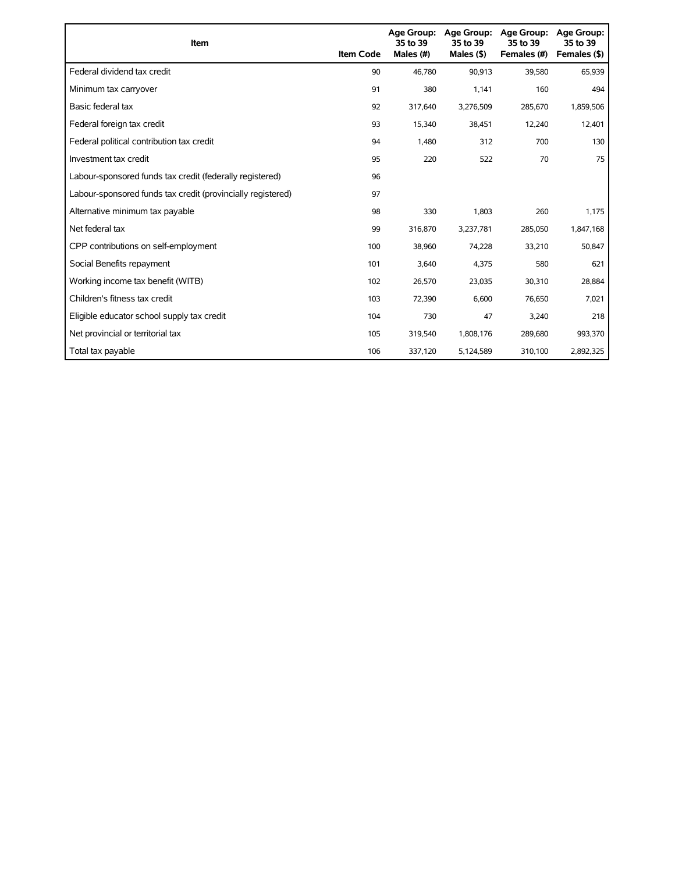| Item                                                        | <b>Item Code</b> | Age Group:<br>35 to 39<br>Males (#) | Age Group:<br>35 to 39<br>Males $($ \$) | <b>Age Group:</b><br>35 to 39<br>Females (#) | <b>Age Group:</b><br>35 to 39<br>Females (\$) |
|-------------------------------------------------------------|------------------|-------------------------------------|-----------------------------------------|----------------------------------------------|-----------------------------------------------|
| Federal dividend tax credit                                 | 90               | 46.780                              | 90,913                                  | 39,580                                       | 65,939                                        |
| Minimum tax carryover                                       | 91               | 380                                 | 1,141                                   | 160                                          | 494                                           |
| Basic federal tax                                           | 92               | 317,640                             | 3,276,509                               | 285,670                                      | 1,859,506                                     |
| Federal foreign tax credit                                  | 93               | 15,340                              | 38,451                                  | 12,240                                       | 12,401                                        |
| Federal political contribution tax credit                   | 94               | 1.480                               | 312                                     | 700                                          | 130                                           |
| Investment tax credit                                       | 95               | 220                                 | 522                                     | 70                                           | 75                                            |
| Labour-sponsored funds tax credit (federally registered)    | 96               |                                     |                                         |                                              |                                               |
| Labour-sponsored funds tax credit (provincially registered) | 97               |                                     |                                         |                                              |                                               |
| Alternative minimum tax payable                             | 98               | 330                                 | 1,803                                   | 260                                          | 1,175                                         |
| Net federal tax                                             | 99               | 316,870                             | 3,237,781                               | 285,050                                      | 1,847,168                                     |
| CPP contributions on self-employment                        | 100              | 38,960                              | 74,228                                  | 33,210                                       | 50,847                                        |
| Social Benefits repayment                                   | 101              | 3,640                               | 4,375                                   | 580                                          | 621                                           |
| Working income tax benefit (WITB)                           | 102              | 26,570                              | 23,035                                  | 30,310                                       | 28,884                                        |
| Children's fitness tax credit                               | 103              | 72,390                              | 6,600                                   | 76,650                                       | 7,021                                         |
| Eligible educator school supply tax credit                  | 104              | 730                                 | 47                                      | 3,240                                        | 218                                           |
| Net provincial or territorial tax                           | 105              | 319,540                             | 1,808,176                               | 289,680                                      | 993,370                                       |
| Total tax payable                                           | 106              | 337,120                             | 5,124,589                               | 310,100                                      | 2,892,325                                     |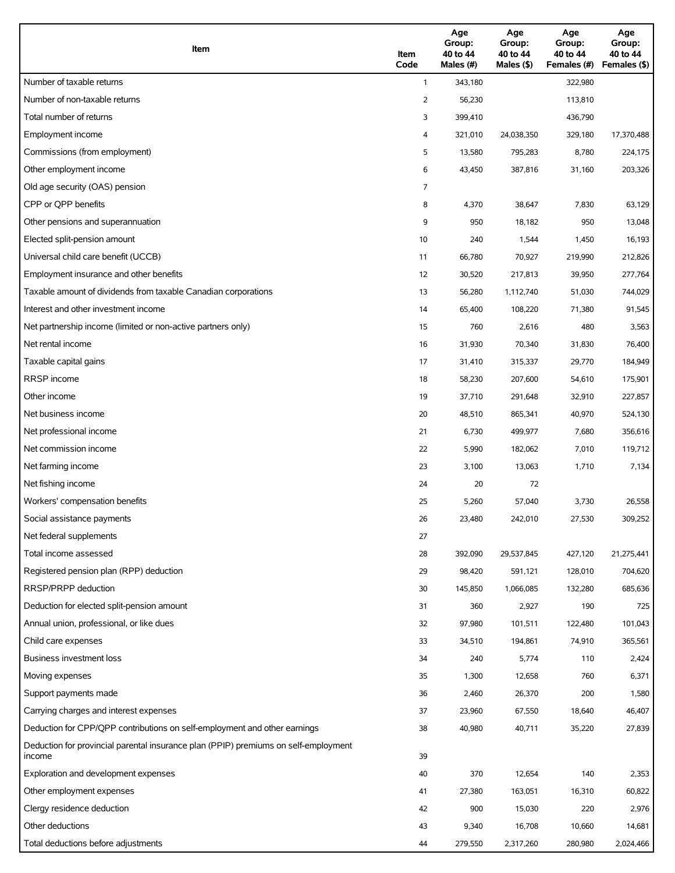| Item                                                                                          | Item<br>Code | Age<br>Group:<br>40 to 44<br>Males (#) | Age<br>Group:<br>40 to 44<br>Males (\$) | Age<br>Group:<br>40 to 44<br>Females (#) | Age<br>Group:<br>40 to 44<br>Females (\$) |
|-----------------------------------------------------------------------------------------------|--------------|----------------------------------------|-----------------------------------------|------------------------------------------|-------------------------------------------|
| Number of taxable returns                                                                     | $\mathbf{1}$ | 343,180                                |                                         | 322,980                                  |                                           |
| Number of non-taxable returns                                                                 | 2            | 56,230                                 |                                         | 113,810                                  |                                           |
| Total number of returns                                                                       | 3            | 399,410                                |                                         | 436,790                                  |                                           |
| Employment income                                                                             | 4            | 321,010                                | 24,038,350                              | 329,180                                  | 17,370,488                                |
| Commissions (from employment)                                                                 | 5            | 13,580                                 | 795,283                                 | 8,780                                    | 224,175                                   |
| Other employment income                                                                       | 6            | 43,450                                 | 387,816                                 | 31,160                                   | 203,326                                   |
| Old age security (OAS) pension                                                                | 7            |                                        |                                         |                                          |                                           |
| CPP or OPP benefits                                                                           | 8            | 4,370                                  | 38,647                                  | 7,830                                    | 63,129                                    |
| Other pensions and superannuation                                                             | 9            | 950                                    | 18,182                                  | 950                                      | 13,048                                    |
| Elected split-pension amount                                                                  | 10           | 240                                    | 1,544                                   | 1,450                                    | 16,193                                    |
| Universal child care benefit (UCCB)                                                           | 11           | 66,780                                 | 70,927                                  | 219,990                                  | 212,826                                   |
| Employment insurance and other benefits                                                       | 12           | 30,520                                 | 217,813                                 | 39,950                                   | 277,764                                   |
| Taxable amount of dividends from taxable Canadian corporations                                | 13           | 56,280                                 | 1,112,740                               | 51,030                                   | 744,029                                   |
| Interest and other investment income                                                          | 14           | 65,400                                 | 108,220                                 | 71,380                                   | 91,545                                    |
| Net partnership income (limited or non-active partners only)                                  | 15           | 760                                    | 2,616                                   | 480                                      | 3,563                                     |
| Net rental income                                                                             | 16           | 31,930                                 | 70,340                                  | 31,830                                   | 76,400                                    |
| Taxable capital gains                                                                         | 17           | 31,410                                 | 315,337                                 | 29,770                                   | 184,949                                   |
| <b>RRSP</b> income                                                                            | 18           | 58,230                                 | 207,600                                 | 54,610                                   | 175,901                                   |
| Other income                                                                                  | 19           | 37,710                                 | 291,648                                 | 32,910                                   | 227,857                                   |
| Net business income                                                                           | 20           | 48,510                                 | 865,341                                 | 40,970                                   | 524,130                                   |
| Net professional income                                                                       | 21           | 6,730                                  | 499,977                                 | 7,680                                    | 356,616                                   |
| Net commission income                                                                         | 22           | 5,990                                  | 182,062                                 | 7,010                                    | 119,712                                   |
| Net farming income                                                                            | 23           | 3,100                                  | 13,063                                  | 1,710                                    | 7,134                                     |
| Net fishing income                                                                            | 24           | 20                                     | 72                                      |                                          |                                           |
| Workers' compensation benefits                                                                | 25           | 5,260                                  | 57,040                                  | 3,730                                    | 26,558                                    |
| Social assistance payments                                                                    | 26           | 23,480                                 | 242,010                                 | 27,530                                   | 309,252                                   |
| Net federal supplements                                                                       | 27           |                                        |                                         |                                          |                                           |
| Total income assessed                                                                         | 28           | 392,090                                | 29,537,845                              | 427,120                                  | 21,275,441                                |
| Registered pension plan (RPP) deduction                                                       | 29           | 98,420                                 | 591,121                                 | 128,010                                  | 704,620                                   |
| RRSP/PRPP deduction                                                                           | 30           | 145,850                                | 1,066,085                               | 132,280                                  | 685,636                                   |
| Deduction for elected split-pension amount                                                    | 31           | 360                                    | 2,927                                   | 190                                      | 725                                       |
| Annual union, professional, or like dues                                                      | 32           | 97,980                                 | 101,511                                 | 122,480                                  | 101,043                                   |
| Child care expenses                                                                           | 33           | 34,510                                 | 194,861                                 | 74,910                                   | 365,561                                   |
| Business investment loss                                                                      | 34           | 240                                    | 5,774                                   | 110                                      | 2,424                                     |
| Moving expenses                                                                               | 35           | 1,300                                  | 12,658                                  | 760                                      | 6,371                                     |
| Support payments made                                                                         | 36           | 2,460                                  | 26,370                                  | 200                                      | 1,580                                     |
| Carrying charges and interest expenses                                                        | 37           | 23,960                                 | 67,550                                  | 18,640                                   | 46,407                                    |
| Deduction for CPP/QPP contributions on self-employment and other earnings                     | 38           | 40,980                                 | 40,711                                  | 35,220                                   | 27,839                                    |
| Deduction for provincial parental insurance plan (PPIP) premiums on self-employment<br>income | 39           |                                        |                                         |                                          |                                           |
| Exploration and development expenses                                                          | 40           | 370                                    | 12,654                                  | 140                                      | 2,353                                     |
| Other employment expenses                                                                     | 41           | 27,380                                 | 163,051                                 | 16,310                                   | 60,822                                    |
| Clergy residence deduction                                                                    | 42           | 900                                    | 15,030                                  | 220                                      | 2,976                                     |
| Other deductions                                                                              | 43           | 9,340                                  | 16,708                                  | 10,660                                   | 14,681                                    |
| Total deductions before adjustments                                                           | 44           | 279,550                                | 2,317,260                               | 280,980                                  | 2,024,466                                 |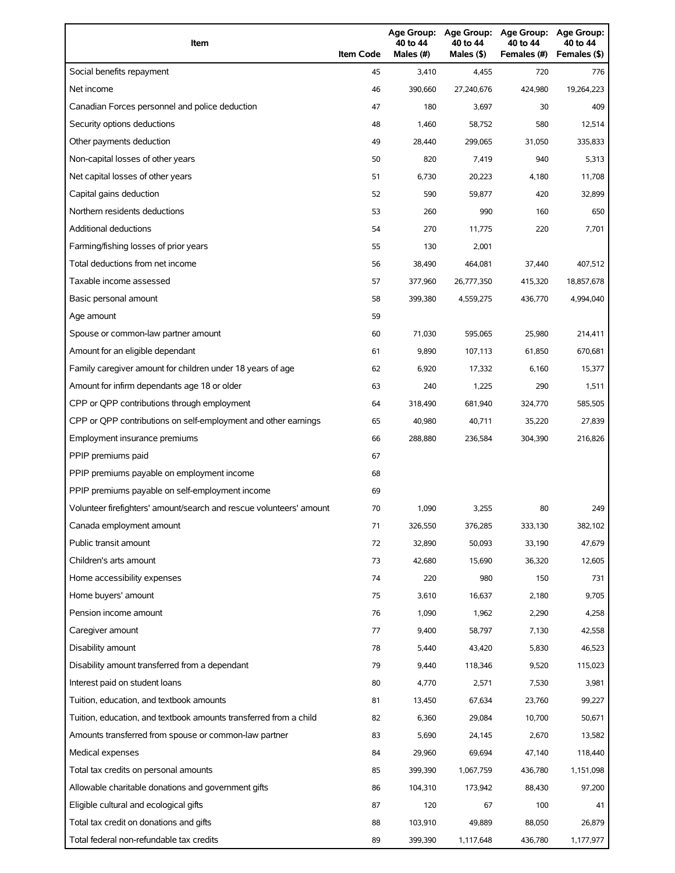| Item                                                                | <b>Item Code</b> | 40 to 44<br>Males (#) | 40 to 44<br>Males (\$) | Age Group: Age Group: Age Group:<br>40 to 44<br>Females (#) | Age Group:<br>40 to 44<br>Females (\$) |
|---------------------------------------------------------------------|------------------|-----------------------|------------------------|-------------------------------------------------------------|----------------------------------------|
| Social benefits repayment                                           | 45               | 3,410                 | 4,455                  | 720                                                         | 776                                    |
| Net income                                                          | 46               | 390,660               | 27,240,676             | 424,980                                                     | 19,264,223                             |
| Canadian Forces personnel and police deduction                      | 47               | 180                   | 3,697                  | 30                                                          | 409                                    |
| Security options deductions                                         | 48               | 1,460                 | 58,752                 | 580                                                         | 12,514                                 |
| Other payments deduction                                            | 49               | 28,440                | 299,065                | 31,050                                                      | 335,833                                |
| Non-capital losses of other years                                   | 50               | 820                   | 7,419                  | 940                                                         | 5,313                                  |
| Net capital losses of other years                                   | 51               | 6,730                 | 20,223                 | 4,180                                                       | 11,708                                 |
| Capital gains deduction                                             | 52               | 590                   | 59,877                 | 420                                                         | 32,899                                 |
| Northern residents deductions                                       | 53               | 260                   | 990                    | 160                                                         | 650                                    |
| Additional deductions                                               | 54               | 270                   | 11,775                 | 220                                                         | 7,701                                  |
| Farming/fishing losses of prior years                               | 55               | 130                   | 2,001                  |                                                             |                                        |
| Total deductions from net income                                    | 56               | 38,490                | 464,081                | 37,440                                                      | 407,512                                |
| Taxable income assessed                                             | 57               | 377,960               | 26,777,350             | 415,320                                                     | 18,857,678                             |
| Basic personal amount                                               | 58               | 399,380               | 4,559,275              | 436,770                                                     | 4,994,040                              |
| Age amount                                                          | 59               |                       |                        |                                                             |                                        |
| Spouse or common-law partner amount                                 | 60               | 71,030                | 595,065                | 25,980                                                      | 214,411                                |
| Amount for an eligible dependant                                    | 61               | 9,890                 | 107,113                | 61,850                                                      | 670,681                                |
| Family caregiver amount for children under 18 years of age          | 62               | 6,920                 | 17,332                 | 6,160                                                       | 15,377                                 |
| Amount for infirm dependants age 18 or older                        | 63               | 240                   | 1,225                  | 290                                                         | 1,511                                  |
| CPP or QPP contributions through employment                         | 64               | 318,490               | 681,940                | 324,770                                                     | 585,505                                |
| CPP or QPP contributions on self-employment and other earnings      | 65               | 40,980                | 40,711                 | 35,220                                                      | 27,839                                 |
| Employment insurance premiums                                       | 66               | 288,880               | 236,584                | 304,390                                                     | 216,826                                |
| PPIP premiums paid                                                  | 67               |                       |                        |                                                             |                                        |
| PPIP premiums payable on employment income                          | 68               |                       |                        |                                                             |                                        |
| PPIP premiums payable on self-employment income                     | 69               |                       |                        |                                                             |                                        |
| Volunteer firefighters' amount/search and rescue volunteers' amount | 70               | 1,090                 | 3,255                  | 80                                                          | 249                                    |
| Canada employment amount                                            | 71               | 326,550               | 376,285                | 333,130                                                     | 382,102                                |
| Public transit amount                                               | 72               | 32,890                | 50,093                 | 33,190                                                      | 47,679                                 |
| Children's arts amount                                              | 73               | 42,680                | 15,690                 | 36,320                                                      | 12,605                                 |
| Home accessibility expenses                                         | 74               | 220                   | 980                    | 150                                                         | 731                                    |
| Home buyers' amount                                                 | 75               | 3,610                 | 16,637                 | 2,180                                                       | 9,705                                  |
| Pension income amount                                               | 76               | 1,090                 | 1,962                  | 2,290                                                       | 4,258                                  |
| Caregiver amount                                                    | 77               | 9,400                 | 58,797                 | 7,130                                                       | 42,558                                 |
| Disability amount                                                   | 78               | 5,440                 | 43,420                 | 5,830                                                       | 46,523                                 |
| Disability amount transferred from a dependant                      | 79               | 9,440                 | 118,346                | 9,520                                                       | 115,023                                |
| Interest paid on student loans                                      | 80               | 4,770                 | 2,571                  | 7,530                                                       | 3,981                                  |
| Tuition, education, and textbook amounts                            | 81               | 13,450                | 67,634                 | 23,760                                                      | 99,227                                 |
| Tuition, education, and textbook amounts transferred from a child   | 82               | 6,360                 | 29,084                 | 10,700                                                      | 50,671                                 |
| Amounts transferred from spouse or common-law partner               | 83               | 5,690                 | 24,145                 | 2,670                                                       | 13,582                                 |
| Medical expenses                                                    | 84               | 29,960                | 69,694                 | 47,140                                                      | 118,440                                |
| Total tax credits on personal amounts                               | 85               | 399,390               | 1,067,759              | 436,780                                                     | 1,151,098                              |
| Allowable charitable donations and government gifts                 | 86               | 104,310               | 173,942                | 88,430                                                      | 97,200                                 |
| Eligible cultural and ecological gifts                              | 87               | 120                   | 67                     | 100                                                         | 41                                     |
| Total tax credit on donations and gifts                             | 88               | 103,910               | 49,889                 | 88,050                                                      | 26,879                                 |
| Total federal non-refundable tax credits                            | 89               | 399,390               | 1,117,648              | 436,780                                                     | 1,177,977                              |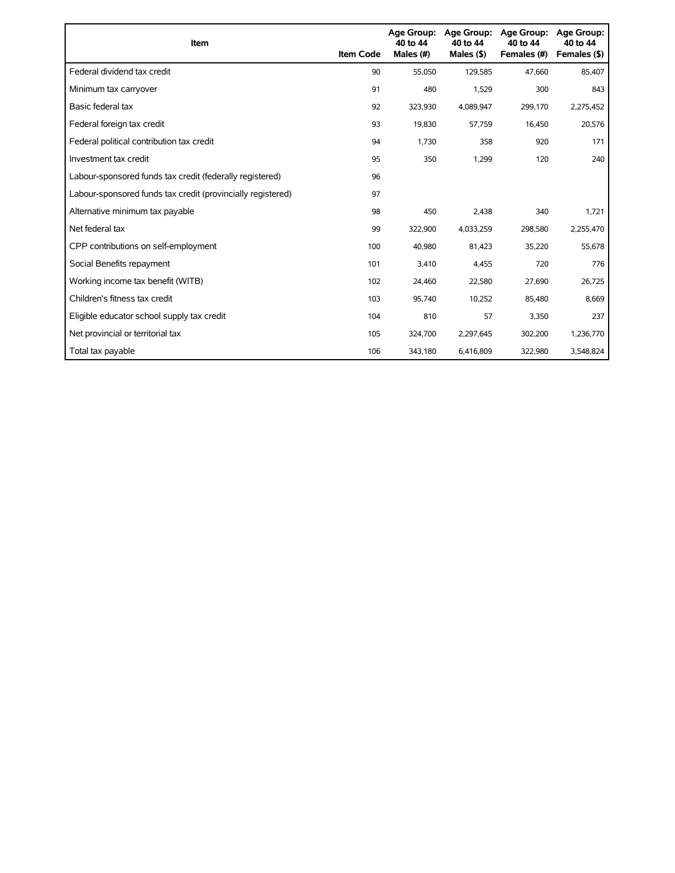| Item                                                        | <b>Item Code</b> | Age Group:<br>40 to 44<br>Males (#) | Age Group:<br>40 to 44<br>Males $(§)$ | <b>Age Group:</b><br>40 to 44<br>Females (#) | <b>Age Group:</b><br>40 to 44<br>Females (\$) |
|-------------------------------------------------------------|------------------|-------------------------------------|---------------------------------------|----------------------------------------------|-----------------------------------------------|
| Federal dividend tax credit                                 | 90               | 55,050                              | 129,585                               | 47,660                                       | 85,407                                        |
| Minimum tax carryover                                       | 91               | 480                                 | 1,529                                 | 300                                          | 843                                           |
| Basic federal tax                                           | 92               | 323,930                             | 4,089,947                             | 299.170                                      | 2,275,452                                     |
| Federal foreign tax credit                                  | 93               | 19,830                              | 57,759                                | 16,450                                       | 20,576                                        |
| Federal political contribution tax credit                   | 94               | 1,730                               | 358                                   | 920                                          | 171                                           |
| Investment tax credit                                       | 95               | 350                                 | 1,299                                 | 120                                          | 240                                           |
| Labour-sponsored funds tax credit (federally registered)    | 96               |                                     |                                       |                                              |                                               |
| Labour-sponsored funds tax credit (provincially registered) | 97               |                                     |                                       |                                              |                                               |
| Alternative minimum tax payable                             | 98               | 450                                 | 2,438                                 | 340                                          | 1,721                                         |
| Net federal tax                                             | 99               | 322,900                             | 4,033,259                             | 298,580                                      | 2,255,470                                     |
| CPP contributions on self-employment                        | 100              | 40,980                              | 81,423                                | 35,220                                       | 55,678                                        |
| Social Benefits repayment                                   | 101              | 3,410                               | 4,455                                 | 720                                          | 776                                           |
| Working income tax benefit (WITB)                           | 102              | 24,460                              | 22,580                                | 27,690                                       | 26,725                                        |
| Children's fitness tax credit                               | 103              | 95,740                              | 10,252                                | 85,480                                       | 8,669                                         |
| Eligible educator school supply tax credit                  | 104              | 810                                 | 57                                    | 3,350                                        | 237                                           |
| Net provincial or territorial tax                           | 105              | 324,700                             | 2,297,645                             | 302,200                                      | 1,236,770                                     |
| Total tax payable                                           | 106              | 343,180                             | 6,416,809                             | 322,980                                      | 3,548,824                                     |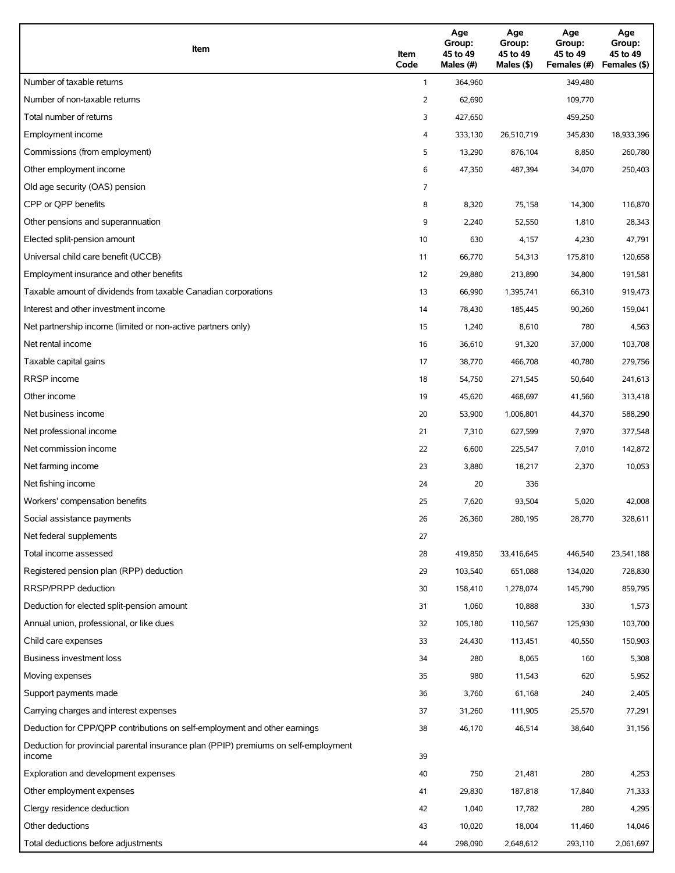| Item                                                                                          | Item<br>Code | Age<br>Group:<br>45 to 49<br>Males (#) | Age<br>Group:<br>45 to 49<br>Males (\$) | Age<br>Group:<br>45 to 49<br>Females (#) | Age<br>Group:<br>45 to 49<br>Females (\$) |
|-----------------------------------------------------------------------------------------------|--------------|----------------------------------------|-----------------------------------------|------------------------------------------|-------------------------------------------|
| Number of taxable returns                                                                     | $\mathbf{1}$ | 364,960                                |                                         | 349,480                                  |                                           |
| Number of non-taxable returns                                                                 | 2            | 62,690                                 |                                         | 109,770                                  |                                           |
| Total number of returns                                                                       | 3            | 427,650                                |                                         | 459,250                                  |                                           |
| Employment income                                                                             | 4            | 333,130                                | 26,510,719                              | 345,830                                  | 18,933,396                                |
| Commissions (from employment)                                                                 | 5            | 13,290                                 | 876,104                                 | 8,850                                    | 260,780                                   |
| Other employment income                                                                       | 6            | 47,350                                 | 487,394                                 | 34,070                                   | 250,403                                   |
| Old age security (OAS) pension                                                                | 7            |                                        |                                         |                                          |                                           |
| CPP or QPP benefits                                                                           | 8            | 8,320                                  | 75,158                                  | 14,300                                   | 116,870                                   |
| Other pensions and superannuation                                                             | 9            | 2,240                                  | 52,550                                  | 1,810                                    | 28,343                                    |
| Elected split-pension amount                                                                  | 10           | 630                                    | 4,157                                   | 4,230                                    | 47,791                                    |
| Universal child care benefit (UCCB)                                                           | 11           | 66,770                                 | 54,313                                  | 175,810                                  | 120,658                                   |
| Employment insurance and other benefits                                                       | 12           | 29,880                                 | 213,890                                 | 34,800                                   | 191,581                                   |
| Taxable amount of dividends from taxable Canadian corporations                                | 13           | 66,990                                 | 1,395,741                               | 66,310                                   | 919,473                                   |
| Interest and other investment income                                                          | 14           | 78,430                                 | 185,445                                 | 90,260                                   | 159,041                                   |
| Net partnership income (limited or non-active partners only)                                  | 15           | 1,240                                  | 8,610                                   | 780                                      | 4,563                                     |
| Net rental income                                                                             | 16           | 36,610                                 | 91,320                                  | 37,000                                   | 103,708                                   |
| Taxable capital gains                                                                         | 17           | 38,770                                 | 466,708                                 | 40,780                                   | 279,756                                   |
| <b>RRSP</b> income                                                                            | 18           | 54,750                                 | 271,545                                 | 50,640                                   | 241,613                                   |
| Other income                                                                                  | 19           | 45,620                                 | 468,697                                 | 41,560                                   | 313,418                                   |
| Net business income                                                                           | 20           | 53,900                                 | 1,006,801                               | 44,370                                   | 588,290                                   |
| Net professional income                                                                       | 21           | 7,310                                  | 627,599                                 | 7,970                                    | 377,548                                   |
| Net commission income                                                                         | 22           | 6,600                                  | 225,547                                 | 7,010                                    | 142,872                                   |
| Net farming income                                                                            | 23           | 3,880                                  | 18,217                                  | 2,370                                    | 10,053                                    |
| Net fishing income                                                                            | 24           | 20                                     | 336                                     |                                          |                                           |
| Workers' compensation benefits                                                                | 25           | 7,620                                  | 93,504                                  | 5,020                                    | 42,008                                    |
| Social assistance payments                                                                    | 26           | 26,360                                 | 280,195                                 | 28,770                                   | 328,611                                   |
| Net federal supplements                                                                       | 27           |                                        |                                         |                                          |                                           |
| Total income assessed                                                                         | 28           | 419,850                                | 33,416,645                              | 446,540                                  | 23,541,188                                |
| Registered pension plan (RPP) deduction                                                       | 29           | 103,540                                | 651,088                                 | 134,020                                  | 728,830                                   |
| RRSP/PRPP deduction                                                                           | 30           | 158,410                                | 1,278,074                               | 145,790                                  | 859,795                                   |
| Deduction for elected split-pension amount                                                    | 31           | 1,060                                  | 10,888                                  | 330                                      | 1,573                                     |
| Annual union, professional, or like dues                                                      | 32           | 105,180                                | 110,567                                 | 125,930                                  | 103,700                                   |
| Child care expenses                                                                           | 33           | 24,430                                 | 113,451                                 | 40,550                                   | 150,903                                   |
| Business investment loss                                                                      | 34           | 280                                    | 8,065                                   | 160                                      | 5,308                                     |
| Moving expenses                                                                               | 35           | 980                                    | 11,543                                  | 620                                      | 5,952                                     |
| Support payments made                                                                         | 36           | 3,760                                  | 61,168                                  | 240                                      | 2,405                                     |
| Carrying charges and interest expenses                                                        | 37           | 31,260                                 | 111,905                                 | 25,570                                   | 77,291                                    |
| Deduction for CPP/QPP contributions on self-employment and other earnings                     | 38           | 46,170                                 | 46,514                                  | 38,640                                   | 31,156                                    |
| Deduction for provincial parental insurance plan (PPIP) premiums on self-employment<br>income | 39           |                                        |                                         |                                          |                                           |
| Exploration and development expenses                                                          | 40           | 750                                    | 21,481                                  | 280                                      | 4,253                                     |
| Other employment expenses                                                                     | 41           | 29,830                                 | 187,818                                 | 17,840                                   | 71,333                                    |
| Clergy residence deduction                                                                    | 42           | 1,040                                  | 17,782                                  | 280                                      | 4,295                                     |
| Other deductions                                                                              | 43           | 10,020                                 | 18,004                                  | 11,460                                   | 14,046                                    |
| Total deductions before adjustments                                                           | 44           | 298,090                                | 2,648,612                               | 293,110                                  | 2,061,697                                 |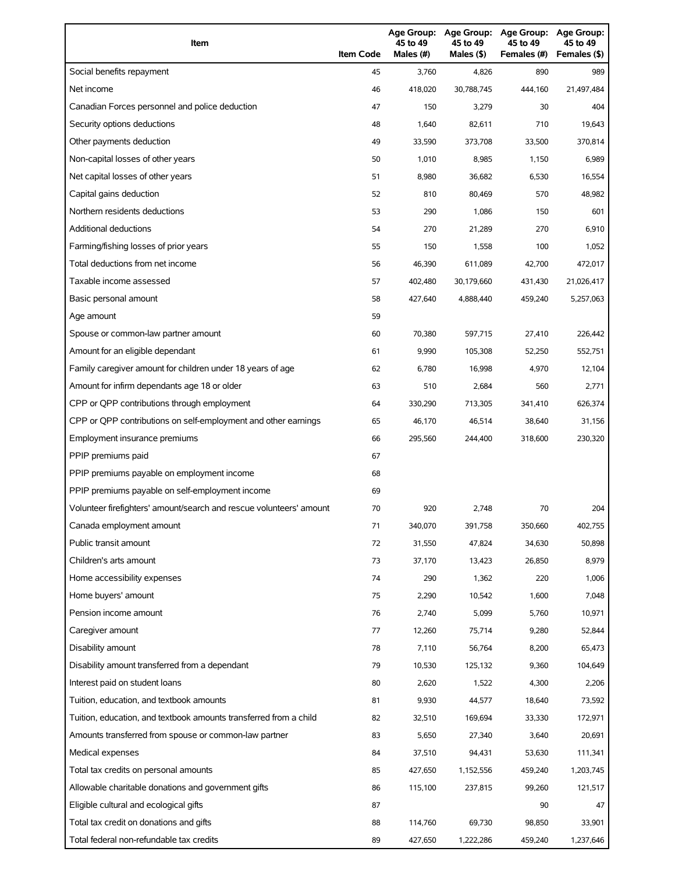| Item                                                                | <b>Item Code</b> | 45 to 49<br>Males (#) | 45 to 49<br>Males (\$) | Age Group: Age Group: Age Group:<br>45 to 49<br>Females (#) | Age Group:<br>45 to 49<br>Females (\$) |
|---------------------------------------------------------------------|------------------|-----------------------|------------------------|-------------------------------------------------------------|----------------------------------------|
| Social benefits repayment                                           | 45               | 3,760                 | 4,826                  | 890                                                         | 989                                    |
| Net income                                                          | 46               | 418,020               | 30,788,745             | 444,160                                                     | 21,497,484                             |
| Canadian Forces personnel and police deduction                      | 47               | 150                   | 3,279                  | 30                                                          | 404                                    |
| Security options deductions                                         | 48               | 1,640                 | 82,611                 | 710                                                         | 19,643                                 |
| Other payments deduction                                            | 49               | 33,590                | 373,708                | 33,500                                                      | 370,814                                |
| Non-capital losses of other years                                   | 50               | 1,010                 | 8,985                  | 1,150                                                       | 6,989                                  |
| Net capital losses of other years                                   | 51               | 8,980                 | 36,682                 | 6,530                                                       | 16,554                                 |
| Capital gains deduction                                             | 52               | 810                   | 80,469                 | 570                                                         | 48,982                                 |
| Northern residents deductions                                       | 53               | 290                   | 1,086                  | 150                                                         | 601                                    |
| Additional deductions                                               | 54               | 270                   | 21,289                 | 270                                                         | 6,910                                  |
| Farming/fishing losses of prior years                               | 55               | 150                   | 1,558                  | 100                                                         | 1,052                                  |
| Total deductions from net income                                    | 56               | 46,390                | 611,089                | 42,700                                                      | 472,017                                |
| Taxable income assessed                                             | 57               | 402.480               | 30,179,660             | 431,430                                                     | 21,026,417                             |
| Basic personal amount                                               | 58               | 427,640               | 4,888,440              | 459,240                                                     | 5,257,063                              |
| Age amount                                                          | 59               |                       |                        |                                                             |                                        |
| Spouse or common-law partner amount                                 | 60               | 70,380                | 597.715                | 27,410                                                      | 226,442                                |
| Amount for an eligible dependant                                    | 61               | 9,990                 | 105,308                | 52,250                                                      | 552,751                                |
| Family caregiver amount for children under 18 years of age          | 62               | 6,780                 | 16,998                 | 4,970                                                       | 12,104                                 |
| Amount for infirm dependants age 18 or older                        | 63               | 510                   | 2,684                  | 560                                                         | 2,771                                  |
| CPP or QPP contributions through employment                         | 64               | 330,290               | 713,305                | 341,410                                                     | 626,374                                |
| CPP or QPP contributions on self-employment and other earnings      | 65               | 46,170                | 46,514                 | 38,640                                                      | 31,156                                 |
| Employment insurance premiums                                       | 66               | 295,560               | 244,400                | 318,600                                                     | 230,320                                |
| PPIP premiums paid                                                  | 67               |                       |                        |                                                             |                                        |
| PPIP premiums payable on employment income                          | 68               |                       |                        |                                                             |                                        |
| PPIP premiums payable on self-employment income                     | 69               |                       |                        |                                                             |                                        |
| Volunteer firefighters' amount/search and rescue volunteers' amount | 70               | 920                   | 2,748                  | 70                                                          | 204                                    |
| Canada employment amount                                            | 71               | 340,070               | 391,758                | 350,660                                                     | 402,755                                |
| Public transit amount                                               | 72               | 31,550                | 47,824                 | 34,630                                                      | 50,898                                 |
| Children's arts amount                                              | 73               | 37,170                | 13,423                 | 26,850                                                      | 8,979                                  |
| Home accessibility expenses                                         | 74               | 290                   | 1,362                  | 220                                                         | 1,006                                  |
| Home buyers' amount                                                 | 75               | 2,290                 | 10,542                 | 1,600                                                       | 7,048                                  |
| Pension income amount                                               | 76               | 2,740                 | 5,099                  | 5,760                                                       | 10,971                                 |
| Caregiver amount                                                    | 77               | 12,260                | 75,714                 | 9,280                                                       | 52,844                                 |
| Disability amount                                                   | 78               | 7,110                 | 56,764                 | 8,200                                                       | 65,473                                 |
| Disability amount transferred from a dependant                      | 79               | 10,530                | 125,132                | 9,360                                                       | 104,649                                |
| Interest paid on student loans                                      | 80               | 2,620                 | 1,522                  | 4,300                                                       | 2,206                                  |
| Tuition, education, and textbook amounts                            | 81               | 9,930                 | 44,577                 | 18,640                                                      | 73,592                                 |
| Tuition, education, and textbook amounts transferred from a child   | 82               | 32,510                | 169,694                | 33,330                                                      | 172,971                                |
| Amounts transferred from spouse or common-law partner               | 83               | 5,650                 | 27,340                 | 3,640                                                       | 20,691                                 |
| Medical expenses                                                    | 84               | 37,510                | 94,431                 | 53,630                                                      | 111,341                                |
| Total tax credits on personal amounts                               | 85               | 427,650               | 1,152,556              | 459,240                                                     | 1,203,745                              |
| Allowable charitable donations and government gifts                 | 86               | 115,100               | 237,815                | 99,260                                                      | 121,517                                |
| Eligible cultural and ecological gifts                              | 87               |                       |                        | 90                                                          | 47                                     |
| Total tax credit on donations and gifts                             | 88               | 114,760               | 69,730                 | 98,850                                                      | 33,901                                 |
| Total federal non-refundable tax credits                            | 89               | 427,650               | 1,222,286              | 459,240                                                     | 1,237,646                              |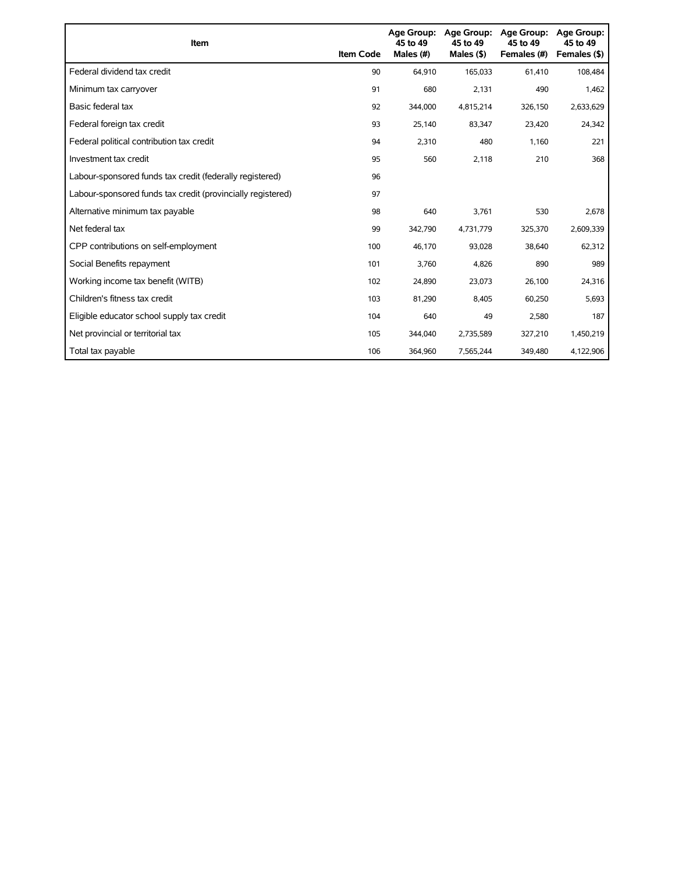| Item                                                        | <b>Item Code</b> | Age Group:<br>45 to 49<br>Males (#) | <b>Age Group:</b><br>45 to 49<br>Males $($ \$) | <b>Age Group:</b><br>45 to 49<br>Females (#) | <b>Age Group:</b><br>45 to 49<br>Females (\$) |
|-------------------------------------------------------------|------------------|-------------------------------------|------------------------------------------------|----------------------------------------------|-----------------------------------------------|
| Federal dividend tax credit                                 | 90               | 64.910                              | 165,033                                        | 61,410                                       | 108,484                                       |
| Minimum tax carryover                                       | 91               | 680                                 | 2,131                                          | 490                                          | 1,462                                         |
| Basic federal tax                                           | 92               | 344,000                             | 4,815,214                                      | 326,150                                      | 2,633,629                                     |
| Federal foreign tax credit                                  | 93               | 25,140                              | 83,347                                         | 23,420                                       | 24,342                                        |
| Federal political contribution tax credit                   | 94               | 2.310                               | 480                                            | 1,160                                        | 221                                           |
| Investment tax credit                                       | 95               | 560                                 | 2.118                                          | 210                                          | 368                                           |
| Labour-sponsored funds tax credit (federally registered)    | 96               |                                     |                                                |                                              |                                               |
| Labour-sponsored funds tax credit (provincially registered) | 97               |                                     |                                                |                                              |                                               |
| Alternative minimum tax payable                             | 98               | 640                                 | 3,761                                          | 530                                          | 2,678                                         |
| Net federal tax                                             | 99               | 342,790                             | 4,731,779                                      | 325,370                                      | 2,609,339                                     |
| CPP contributions on self-employment                        | 100              | 46,170                              | 93,028                                         | 38,640                                       | 62,312                                        |
| Social Benefits repayment                                   | 101              | 3,760                               | 4,826                                          | 890                                          | 989                                           |
| Working income tax benefit (WITB)                           | 102              | 24,890                              | 23,073                                         | 26,100                                       | 24,316                                        |
| Children's fitness tax credit                               | 103              | 81,290                              | 8,405                                          | 60,250                                       | 5,693                                         |
| Eligible educator school supply tax credit                  | 104              | 640                                 | 49                                             | 2,580                                        | 187                                           |
| Net provincial or territorial tax                           | 105              | 344,040                             | 2,735,589                                      | 327,210                                      | 1,450,219                                     |
| Total tax payable                                           | 106              | 364,960                             | 7.565.244                                      | 349.480                                      | 4,122,906                                     |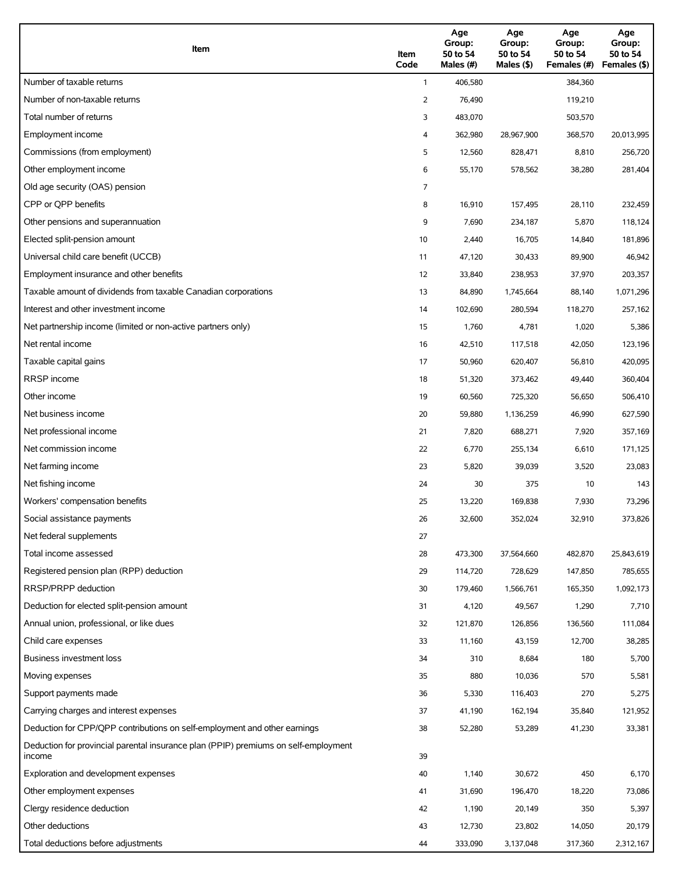| Item                                                                                          | Item<br>Code | Age<br>Group:<br>50 to 54<br>Males (#) | Age<br>Group:<br>50 to 54<br>Males (\$) | Age<br>Group:<br>50 to 54<br>Females (#) | Age<br>Group:<br>50 to 54<br>Females (\$) |
|-----------------------------------------------------------------------------------------------|--------------|----------------------------------------|-----------------------------------------|------------------------------------------|-------------------------------------------|
| Number of taxable returns                                                                     | $\mathbf{1}$ | 406,580                                |                                         | 384,360                                  |                                           |
| Number of non-taxable returns                                                                 | 2            | 76,490                                 |                                         | 119,210                                  |                                           |
| Total number of returns                                                                       | 3            | 483,070                                |                                         | 503,570                                  |                                           |
| Employment income                                                                             | 4            | 362,980                                | 28,967,900                              | 368,570                                  | 20,013,995                                |
| Commissions (from employment)                                                                 | 5            | 12,560                                 | 828,471                                 | 8,810                                    | 256,720                                   |
| Other employment income                                                                       | 6            | 55,170                                 | 578,562                                 | 38,280                                   | 281,404                                   |
| Old age security (OAS) pension                                                                | 7            |                                        |                                         |                                          |                                           |
| CPP or OPP benefits                                                                           | 8            | 16,910                                 | 157,495                                 | 28,110                                   | 232,459                                   |
| Other pensions and superannuation                                                             | 9            | 7,690                                  | 234,187                                 | 5,870                                    | 118,124                                   |
| Elected split-pension amount                                                                  | 10           | 2,440                                  | 16,705                                  | 14,840                                   | 181,896                                   |
| Universal child care benefit (UCCB)                                                           | 11           | 47,120                                 | 30,433                                  | 89,900                                   | 46,942                                    |
| Employment insurance and other benefits                                                       | 12           | 33,840                                 | 238,953                                 | 37,970                                   | 203,357                                   |
| Taxable amount of dividends from taxable Canadian corporations                                | 13           | 84,890                                 | 1,745,664                               | 88,140                                   | 1,071,296                                 |
| Interest and other investment income                                                          | 14           | 102,690                                | 280,594                                 | 118,270                                  | 257,162                                   |
| Net partnership income (limited or non-active partners only)                                  | 15           | 1,760                                  | 4,781                                   | 1,020                                    | 5,386                                     |
| Net rental income                                                                             | 16           | 42,510                                 | 117,518                                 | 42,050                                   | 123,196                                   |
| Taxable capital gains                                                                         | 17           | 50,960                                 | 620,407                                 | 56,810                                   | 420,095                                   |
| <b>RRSP</b> income                                                                            | 18           | 51,320                                 | 373,462                                 | 49,440                                   | 360,404                                   |
| Other income                                                                                  | 19           | 60,560                                 | 725,320                                 | 56,650                                   | 506,410                                   |
| Net business income                                                                           | 20           | 59,880                                 | 1,136,259                               | 46,990                                   | 627,590                                   |
| Net professional income                                                                       | 21           | 7,820                                  | 688,271                                 | 7,920                                    | 357,169                                   |
| Net commission income                                                                         | 22           | 6,770                                  | 255,134                                 | 6,610                                    | 171,125                                   |
| Net farming income                                                                            | 23           | 5,820                                  | 39,039                                  | 3,520                                    | 23,083                                    |
| Net fishing income                                                                            | 24           | 30                                     | 375                                     | 10                                       | 143                                       |
| Workers' compensation benefits                                                                | 25           | 13,220                                 | 169,838                                 | 7,930                                    | 73,296                                    |
| Social assistance payments                                                                    | 26           | 32,600                                 | 352,024                                 | 32,910                                   | 373,826                                   |
| Net federal supplements                                                                       | 27           |                                        |                                         |                                          |                                           |
| Total income assessed                                                                         | 28           | 473,300                                | 37,564,660                              | 482,870                                  | 25,843,619                                |
| Registered pension plan (RPP) deduction                                                       | 29           | 114,720                                | 728,629                                 | 147,850                                  | 785,655                                   |
| RRSP/PRPP deduction                                                                           | 30           | 179,460                                | 1,566,761                               | 165,350                                  | 1,092,173                                 |
| Deduction for elected split-pension amount                                                    | 31           | 4,120                                  | 49,567                                  | 1,290                                    | 7,710                                     |
| Annual union, professional, or like dues                                                      | 32           | 121,870                                | 126,856                                 | 136,560                                  | 111,084                                   |
| Child care expenses                                                                           | 33           | 11,160                                 | 43,159                                  | 12,700                                   | 38,285                                    |
| <b>Business investment loss</b>                                                               | 34           | 310                                    | 8,684                                   | 180                                      | 5,700                                     |
| Moving expenses                                                                               | 35           | 880                                    | 10,036                                  | 570                                      | 5,581                                     |
| Support payments made                                                                         | 36           | 5,330                                  | 116,403                                 | 270                                      | 5,275                                     |
| Carrying charges and interest expenses                                                        | 37           | 41,190                                 | 162,194                                 | 35,840                                   | 121,952                                   |
| Deduction for CPP/QPP contributions on self-employment and other earnings                     | 38           | 52,280                                 | 53,289                                  | 41,230                                   | 33,381                                    |
| Deduction for provincial parental insurance plan (PPIP) premiums on self-employment<br>income | 39           |                                        |                                         |                                          |                                           |
| Exploration and development expenses                                                          | 40           | 1,140                                  | 30,672                                  | 450                                      | 6,170                                     |
| Other employment expenses                                                                     | 41           | 31,690                                 | 196,470                                 | 18,220                                   | 73,086                                    |
| Clergy residence deduction                                                                    | 42           | 1,190                                  | 20,149                                  | 350                                      | 5,397                                     |
| Other deductions                                                                              | 43           | 12,730                                 | 23,802                                  | 14,050                                   | 20,179                                    |
| Total deductions before adjustments                                                           | 44           | 333,090                                | 3,137,048                               | 317,360                                  | 2,312,167                                 |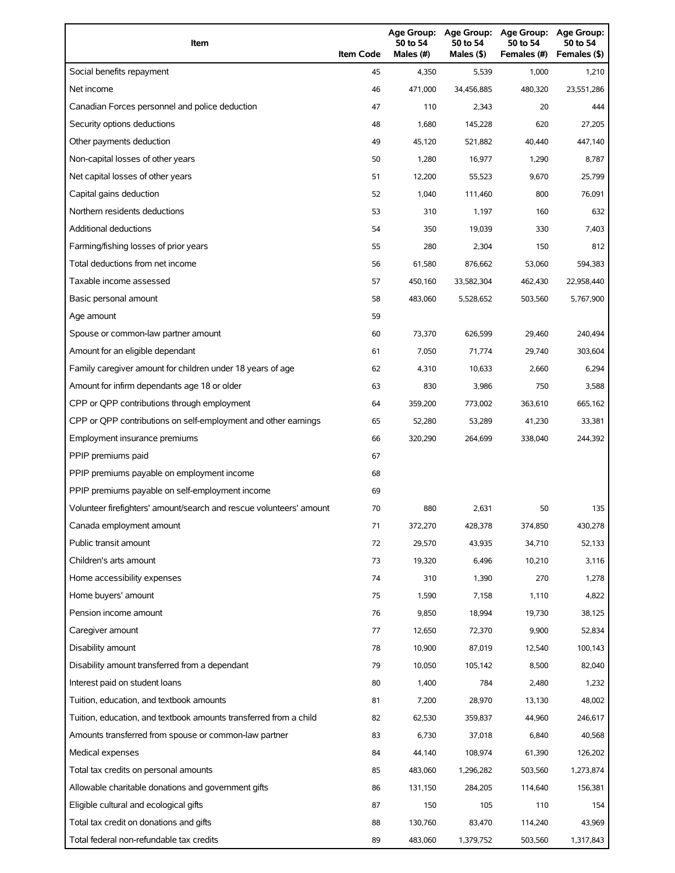| Item                                                                | <b>Item Code</b> | 50 to 54<br>Males (#) | 50 to 54<br>Males (\$) | Age Group: Age Group: Age Group:<br>50 to 54<br>Females (#) | Age Group:<br>50 to 54<br>Females (\$) |
|---------------------------------------------------------------------|------------------|-----------------------|------------------------|-------------------------------------------------------------|----------------------------------------|
| Social benefits repayment                                           | 45               | 4,350                 | 5,539                  | 1,000                                                       | 1,210                                  |
| Net income                                                          | 46               | 471,000               | 34,456,885             | 480,320                                                     | 23,551,286                             |
| Canadian Forces personnel and police deduction                      | 47               | 110                   | 2,343                  | 20                                                          | 444                                    |
| Security options deductions                                         | 48               | 1,680                 | 145,228                | 620                                                         | 27,205                                 |
| Other payments deduction                                            | 49               | 45,120                | 521,882                | 40.440                                                      | 447,140                                |
| Non-capital losses of other years                                   | 50               | 1,280                 | 16,977                 | 1,290                                                       | 8,787                                  |
| Net capital losses of other years                                   | 51               | 12,200                | 55,523                 | 9,670                                                       | 25,799                                 |
| Capital gains deduction                                             | 52               | 1,040                 | 111,460                | 800                                                         | 76,091                                 |
| Northern residents deductions                                       | 53               | 310                   | 1,197                  | 160                                                         | 632                                    |
| Additional deductions                                               | 54               | 350                   | 19,039                 | 330                                                         | 7,403                                  |
| Farming/fishing losses of prior years                               | 55               | 280                   | 2,304                  | 150                                                         | 812                                    |
| Total deductions from net income                                    | 56               | 61,580                | 876,662                | 53,060                                                      | 594,383                                |
| Taxable income assessed                                             | 57               | 450,160               | 33,582,304             | 462,430                                                     | 22,958,440                             |
| Basic personal amount                                               | 58               | 483,060               | 5,528,652              | 503,560                                                     | 5,767,900                              |
| Age amount                                                          | 59               |                       |                        |                                                             |                                        |
| Spouse or common-law partner amount                                 | 60               | 73,370                | 626,599                | 29,460                                                      | 240,494                                |
| Amount for an eligible dependant                                    | 61               | 7,050                 | 71,774                 | 29,740                                                      | 303,604                                |
| Family caregiver amount for children under 18 years of age          | 62               | 4,310                 | 10,633                 | 2,660                                                       | 6,294                                  |
| Amount for infirm dependants age 18 or older                        | 63               | 830                   | 3,986                  | 750                                                         | 3,588                                  |
| CPP or QPP contributions through employment                         | 64               | 359,200               | 773,002                | 363,610                                                     | 665,162                                |
| CPP or QPP contributions on self-employment and other earnings      | 65               | 52,280                | 53,289                 | 41,230                                                      | 33,381                                 |
| Employment insurance premiums                                       | 66               | 320,290               | 264,699                | 338,040                                                     | 244,392                                |
| PPIP premiums paid                                                  | 67               |                       |                        |                                                             |                                        |
| PPIP premiums payable on employment income                          | 68               |                       |                        |                                                             |                                        |
| PPIP premiums payable on self-employment income                     | 69               |                       |                        |                                                             |                                        |
| Volunteer firefighters' amount/search and rescue volunteers' amount | 70               | 880                   | 2,631                  | 50                                                          | 135                                    |
| Canada employment amount                                            | 71               | 372,270               | 428,378                | 374,850                                                     | 430,278                                |
| Public transit amount                                               | 72               | 29,570                | 43,935                 | 34,710                                                      | 52,133                                 |
| Children's arts amount                                              | 73               | 19,320                | 6,496                  | 10,210                                                      | 3,116                                  |
| Home accessibility expenses                                         | 74               | 310                   | 1,390                  | 270                                                         | 1,278                                  |
| Home buyers' amount                                                 | 75               | 1,590                 | 7,158                  | 1,110                                                       | 4,822                                  |
| Pension income amount                                               | 76               | 9,850                 | 18,994                 | 19,730                                                      | 38,125                                 |
| Caregiver amount                                                    | 77               | 12,650                | 72,370                 | 9,900                                                       | 52,834                                 |
| Disability amount                                                   | 78               | 10,900                | 87,019                 | 12,540                                                      | 100,143                                |
| Disability amount transferred from a dependant                      | 79               | 10,050                | 105,142                | 8,500                                                       | 82,040                                 |
| Interest paid on student loans                                      | 80               | 1,400                 | 784                    | 2,480                                                       | 1,232                                  |
| Tuition, education, and textbook amounts                            | 81               | 7,200                 | 28,970                 | 13,130                                                      | 48,002                                 |
| Tuition, education, and textbook amounts transferred from a child   | 82               | 62,530                | 359,837                | 44,960                                                      | 246,617                                |
| Amounts transferred from spouse or common-law partner               | 83               | 6,730                 | 37,018                 | 6,840                                                       | 40,568                                 |
| Medical expenses                                                    | 84               | 44,140                | 108,974                | 61,390                                                      | 126,202                                |
| Total tax credits on personal amounts                               | 85               | 483,060               | 1,296,282              | 503,560                                                     | 1,273,874                              |
| Allowable charitable donations and government gifts                 | 86               | 131,150               | 284,205                | 114,640                                                     | 156,381                                |
| Eligible cultural and ecological gifts                              | 87               | 150                   | 105                    | 110                                                         | 154                                    |
| Total tax credit on donations and gifts                             | 88               | 130,760               | 83,470                 | 114,240                                                     | 43,969                                 |
| Total federal non-refundable tax credits                            | 89               | 483,060               | 1,379,752              | 503,560                                                     | 1,317,843                              |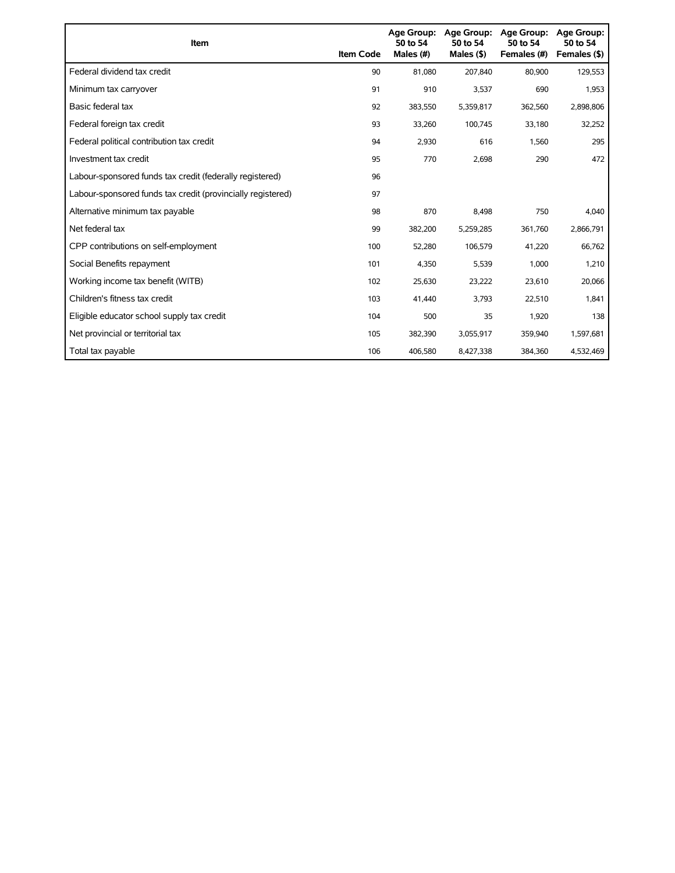| Item                                                        | <b>Item Code</b> | Age Group:<br>50 to 54<br>Males (#) | Age Group:<br>50 to 54<br>Males $($ \$) | <b>Age Group:</b><br>50 to 54<br>Females (#) | <b>Age Group:</b><br>50 to 54<br>Females (\$) |
|-------------------------------------------------------------|------------------|-------------------------------------|-----------------------------------------|----------------------------------------------|-----------------------------------------------|
| Federal dividend tax credit                                 | 90               | 81.080                              | 207,840                                 | 80,900                                       | 129,553                                       |
| Minimum tax carryover                                       | 91               | 910                                 | 3,537                                   | 690                                          | 1,953                                         |
| Basic federal tax                                           | 92               | 383,550                             | 5,359,817                               | 362,560                                      | 2,898,806                                     |
| Federal foreign tax credit                                  | 93               | 33,260                              | 100,745                                 | 33,180                                       | 32,252                                        |
| Federal political contribution tax credit                   | 94               | 2,930                               | 616                                     | 1,560                                        | 295                                           |
| Investment tax credit                                       | 95               | 770                                 | 2,698                                   | 290                                          | 472                                           |
| Labour-sponsored funds tax credit (federally registered)    | 96               |                                     |                                         |                                              |                                               |
| Labour-sponsored funds tax credit (provincially registered) | 97               |                                     |                                         |                                              |                                               |
| Alternative minimum tax payable                             | 98               | 870                                 | 8,498                                   | 750                                          | 4,040                                         |
| Net federal tax                                             | 99               | 382,200                             | 5,259,285                               | 361,760                                      | 2,866,791                                     |
| CPP contributions on self-employment                        | 100              | 52,280                              | 106,579                                 | 41,220                                       | 66,762                                        |
| Social Benefits repayment                                   | 101              | 4,350                               | 5,539                                   | 1,000                                        | 1,210                                         |
| Working income tax benefit (WITB)                           | 102              | 25,630                              | 23,222                                  | 23,610                                       | 20,066                                        |
| Children's fitness tax credit                               | 103              | 41,440                              | 3,793                                   | 22,510                                       | 1,841                                         |
| Eligible educator school supply tax credit                  | 104              | 500                                 | 35                                      | 1,920                                        | 138                                           |
| Net provincial or territorial tax                           | 105              | 382,390                             | 3,055,917                               | 359,940                                      | 1,597,681                                     |
| Total tax payable                                           | 106              | 406.580                             | 8,427,338                               | 384,360                                      | 4,532,469                                     |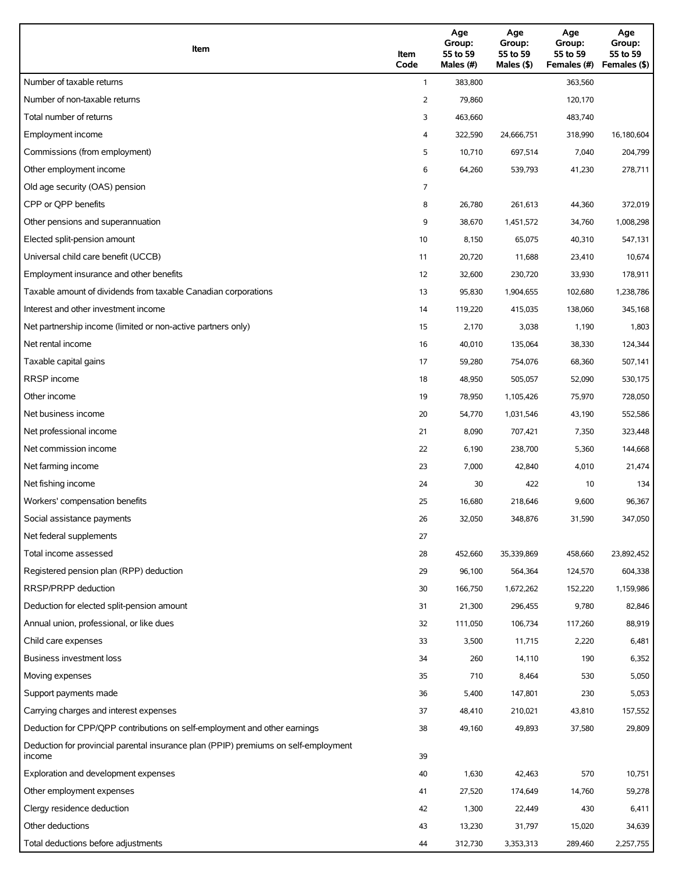| Item                                                                                          | Item<br>Code | Age<br>Group:<br>55 to 59<br>Males (#) | Age<br>Group:<br>55 to 59<br>Males $(\$)$ | Age<br>Group:<br>55 to 59<br>Females (#) | Age<br>Group:<br>55 to 59<br>Females (\$) |
|-----------------------------------------------------------------------------------------------|--------------|----------------------------------------|-------------------------------------------|------------------------------------------|-------------------------------------------|
| Number of taxable returns                                                                     | $\mathbf{1}$ | 383,800                                |                                           | 363,560                                  |                                           |
| Number of non-taxable returns                                                                 | 2            | 79,860                                 |                                           | 120,170                                  |                                           |
| Total number of returns                                                                       | 3            | 463,660                                |                                           | 483,740                                  |                                           |
| Employment income                                                                             | 4            | 322,590                                | 24,666,751                                | 318,990                                  | 16,180,604                                |
| Commissions (from employment)                                                                 | 5            | 10,710                                 | 697,514                                   | 7,040                                    | 204,799                                   |
| Other employment income                                                                       | 6            | 64,260                                 | 539,793                                   | 41,230                                   | 278,711                                   |
| Old age security (OAS) pension                                                                | 7            |                                        |                                           |                                          |                                           |
| CPP or QPP benefits                                                                           | 8            | 26,780                                 | 261,613                                   | 44,360                                   | 372,019                                   |
| Other pensions and superannuation                                                             | 9            | 38,670                                 | 1,451,572                                 | 34,760                                   | 1,008,298                                 |
| Elected split-pension amount                                                                  | 10           | 8,150                                  | 65,075                                    | 40,310                                   | 547,131                                   |
| Universal child care benefit (UCCB)                                                           | 11           | 20,720                                 | 11,688                                    | 23,410                                   | 10,674                                    |
| Employment insurance and other benefits                                                       | 12           | 32,600                                 | 230,720                                   | 33,930                                   | 178,911                                   |
| Taxable amount of dividends from taxable Canadian corporations                                | 13           | 95,830                                 | 1,904,655                                 | 102,680                                  | 1,238,786                                 |
| Interest and other investment income                                                          | 14           | 119,220                                | 415,035                                   | 138,060                                  | 345,168                                   |
| Net partnership income (limited or non-active partners only)                                  | 15           | 2,170                                  | 3,038                                     | 1,190                                    | 1,803                                     |
| Net rental income                                                                             | 16           | 40,010                                 | 135,064                                   | 38,330                                   | 124,344                                   |
| Taxable capital gains                                                                         | 17           | 59,280                                 | 754,076                                   | 68,360                                   | 507,141                                   |
| <b>RRSP</b> income                                                                            | 18           | 48,950                                 | 505,057                                   | 52,090                                   | 530,175                                   |
| Other income                                                                                  | 19           | 78,950                                 | 1,105,426                                 | 75,970                                   | 728,050                                   |
| Net business income                                                                           | 20           | 54,770                                 | 1,031,546                                 | 43,190                                   | 552,586                                   |
| Net professional income                                                                       | 21           | 8,090                                  | 707,421                                   | 7,350                                    | 323,448                                   |
| Net commission income                                                                         | 22           | 6,190                                  | 238,700                                   | 5,360                                    | 144,668                                   |
| Net farming income                                                                            | 23           | 7,000                                  | 42,840                                    | 4,010                                    | 21,474                                    |
| Net fishing income                                                                            | 24           | 30                                     | 422                                       | 10                                       | 134                                       |
| Workers' compensation benefits                                                                | 25           | 16,680                                 | 218,646                                   | 9,600                                    | 96,367                                    |
| Social assistance payments                                                                    | 26           | 32,050                                 | 348,876                                   | 31,590                                   | 347,050                                   |
| Net federal supplements                                                                       | 27           |                                        |                                           |                                          |                                           |
| Total income assessed                                                                         | 28           | 452,660                                | 35,339,869                                | 458,660                                  | 23,892,452                                |
| Registered pension plan (RPP) deduction                                                       | 29           | 96,100                                 | 564,364                                   | 124,570                                  | 604,338                                   |
| RRSP/PRPP deduction                                                                           | 30           | 166,750                                | 1,672,262                                 | 152,220                                  | 1,159,986                                 |
| Deduction for elected split-pension amount                                                    | 31           | 21,300                                 | 296,455                                   | 9,780                                    | 82,846                                    |
| Annual union, professional, or like dues                                                      | 32           | 111,050                                | 106,734                                   | 117,260                                  | 88,919                                    |
| Child care expenses                                                                           | 33           | 3,500                                  | 11,715                                    | 2,220                                    | 6,481                                     |
| Business investment loss                                                                      | 34           | 260                                    | 14,110                                    | 190                                      | 6,352                                     |
| Moving expenses                                                                               | 35           | 710                                    | 8,464                                     | 530                                      | 5,050                                     |
| Support payments made                                                                         | 36           | 5,400                                  | 147,801                                   | 230                                      | 5,053                                     |
| Carrying charges and interest expenses                                                        | 37           | 48,410                                 | 210,021                                   | 43,810                                   | 157,552                                   |
| Deduction for CPP/QPP contributions on self-employment and other earnings                     | 38           | 49,160                                 | 49,893                                    | 37,580                                   | 29,809                                    |
| Deduction for provincial parental insurance plan (PPIP) premiums on self-employment<br>income | 39           |                                        |                                           |                                          |                                           |
| Exploration and development expenses                                                          | 40           | 1,630                                  | 42,463                                    | 570                                      | 10,751                                    |
| Other employment expenses                                                                     | 41           | 27,520                                 | 174,649                                   | 14,760                                   | 59,278                                    |
| Clergy residence deduction                                                                    | 42           | 1,300                                  | 22,449                                    | 430                                      | 6,411                                     |
| Other deductions                                                                              | 43           | 13,230                                 | 31,797                                    | 15,020                                   | 34,639                                    |
| Total deductions before adjustments                                                           | 44           | 312,730                                | 3,353,313                                 | 289,460                                  | 2,257,755                                 |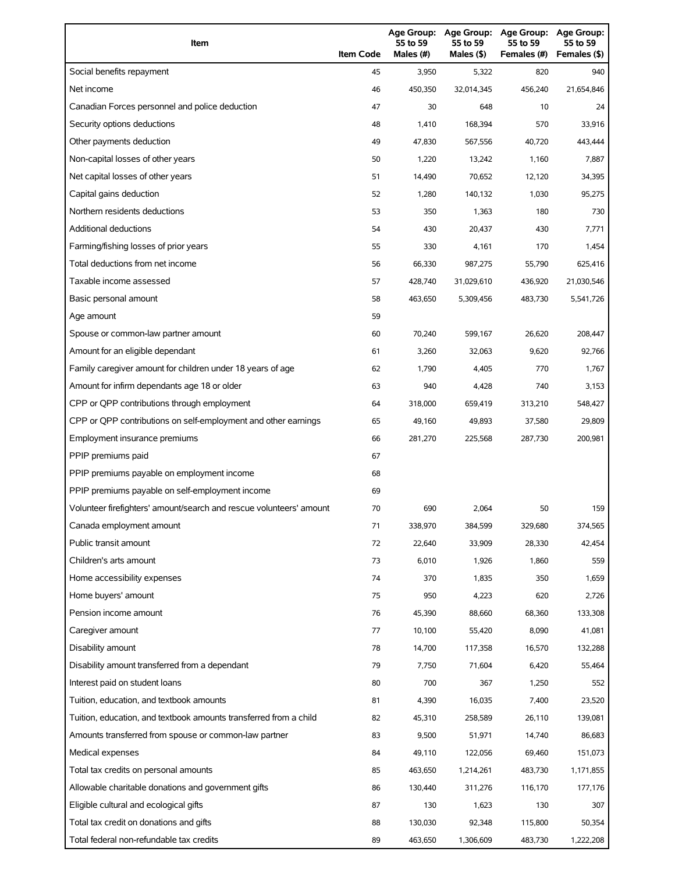| Item                                                                | <b>Item Code</b> | 55 to 59<br>Males (#) | 55 to 59<br>Males (\$) | Age Group: Age Group: Age Group:<br>55 to 59<br>Females (#) | Age Group:<br>55 to 59<br>Females (\$) |
|---------------------------------------------------------------------|------------------|-----------------------|------------------------|-------------------------------------------------------------|----------------------------------------|
| Social benefits repayment                                           | 45               | 3,950                 | 5,322                  | 820                                                         | 940                                    |
| Net income                                                          | 46               | 450,350               | 32,014,345             | 456,240                                                     | 21,654,846                             |
| Canadian Forces personnel and police deduction                      | 47               | 30                    | 648                    | 10                                                          | 24                                     |
| Security options deductions                                         | 48               | 1,410                 | 168,394                | 570                                                         | 33,916                                 |
| Other payments deduction                                            | 49               | 47,830                | 567,556                | 40,720                                                      | 443,444                                |
| Non-capital losses of other years                                   | 50               | 1,220                 | 13,242                 | 1,160                                                       | 7,887                                  |
| Net capital losses of other years                                   | 51               | 14,490                | 70,652                 | 12,120                                                      | 34,395                                 |
| Capital gains deduction                                             | 52               | 1,280                 | 140,132                | 1,030                                                       | 95,275                                 |
| Northern residents deductions                                       | 53               | 350                   | 1,363                  | 180                                                         | 730                                    |
| <b>Additional deductions</b>                                        | 54               | 430                   | 20,437                 | 430                                                         | 7,771                                  |
| Farming/fishing losses of prior years                               | 55               | 330                   | 4,161                  | 170                                                         | 1,454                                  |
| Total deductions from net income                                    | 56               | 66,330                | 987,275                | 55,790                                                      | 625,416                                |
| Taxable income assessed                                             | 57               | 428,740               | 31,029,610             | 436,920                                                     | 21,030,546                             |
| Basic personal amount                                               | 58               | 463,650               | 5,309,456              | 483,730                                                     | 5,541,726                              |
| Age amount                                                          | 59               |                       |                        |                                                             |                                        |
| Spouse or common-law partner amount                                 | 60               | 70,240                | 599,167                | 26,620                                                      | 208,447                                |
| Amount for an eligible dependant                                    | 61               | 3,260                 | 32,063                 | 9,620                                                       | 92,766                                 |
| Family caregiver amount for children under 18 years of age          | 62               | 1,790                 | 4,405                  | 770                                                         | 1,767                                  |
| Amount for infirm dependants age 18 or older                        | 63               | 940                   | 4,428                  | 740                                                         | 3,153                                  |
| CPP or QPP contributions through employment                         | 64               | 318,000               | 659,419                | 313,210                                                     | 548,427                                |
| CPP or QPP contributions on self-employment and other earnings      | 65               | 49,160                | 49,893                 | 37,580                                                      | 29,809                                 |
| Employment insurance premiums                                       | 66               | 281,270               | 225,568                | 287,730                                                     | 200,981                                |
| PPIP premiums paid                                                  | 67               |                       |                        |                                                             |                                        |
| PPIP premiums payable on employment income                          | 68               |                       |                        |                                                             |                                        |
| PPIP premiums payable on self-employment income                     | 69               |                       |                        |                                                             |                                        |
| Volunteer firefighters' amount/search and rescue volunteers' amount | 70               | 690                   | 2,064                  | 50                                                          | 159                                    |
| Canada employment amount                                            | 71               | 338,970               | 384,599                | 329,680                                                     | 374,565                                |
| Public transit amount                                               | 72               | 22,640                | 33,909                 | 28,330                                                      | 42,454                                 |
| Children's arts amount                                              | 73               | 6,010                 | 1,926                  | 1,860                                                       | 559                                    |
| Home accessibility expenses                                         | 74               | 370                   | 1,835                  | 350                                                         | 1,659                                  |
| Home buyers' amount                                                 | 75               | 950                   | 4,223                  | 620                                                         | 2,726                                  |
| Pension income amount                                               | 76               | 45,390                | 88,660                 | 68,360                                                      | 133,308                                |
| Caregiver amount                                                    | 77               | 10,100                | 55,420                 | 8,090                                                       | 41,081                                 |
| Disability amount                                                   | 78               | 14,700                | 117,358                | 16,570                                                      | 132,288                                |
| Disability amount transferred from a dependant                      | 79               | 7,750                 | 71,604                 | 6,420                                                       | 55,464                                 |
| Interest paid on student loans                                      | 80               | 700                   | 367                    | 1,250                                                       | 552                                    |
| Tuition, education, and textbook amounts                            | 81               | 4,390                 | 16,035                 | 7,400                                                       | 23,520                                 |
| Tuition, education, and textbook amounts transferred from a child   | 82               | 45,310                | 258,589                | 26,110                                                      | 139,081                                |
| Amounts transferred from spouse or common-law partner               | 83               | 9,500                 | 51,971                 | 14,740                                                      | 86,683                                 |
| Medical expenses                                                    | 84               | 49,110                | 122,056                | 69,460                                                      | 151,073                                |
| Total tax credits on personal amounts                               | 85               | 463,650               | 1,214,261              | 483,730                                                     | 1,171,855                              |
| Allowable charitable donations and government gifts                 | 86               | 130,440               | 311,276                | 116,170                                                     | 177,176                                |
| Eligible cultural and ecological gifts                              | 87               | 130                   | 1,623                  | 130                                                         | 307                                    |
| Total tax credit on donations and gifts                             | 88               | 130,030               | 92,348                 | 115,800                                                     | 50,354                                 |
| Total federal non-refundable tax credits                            | 89               | 463,650               | 1,306,609              | 483,730                                                     | 1,222,208                              |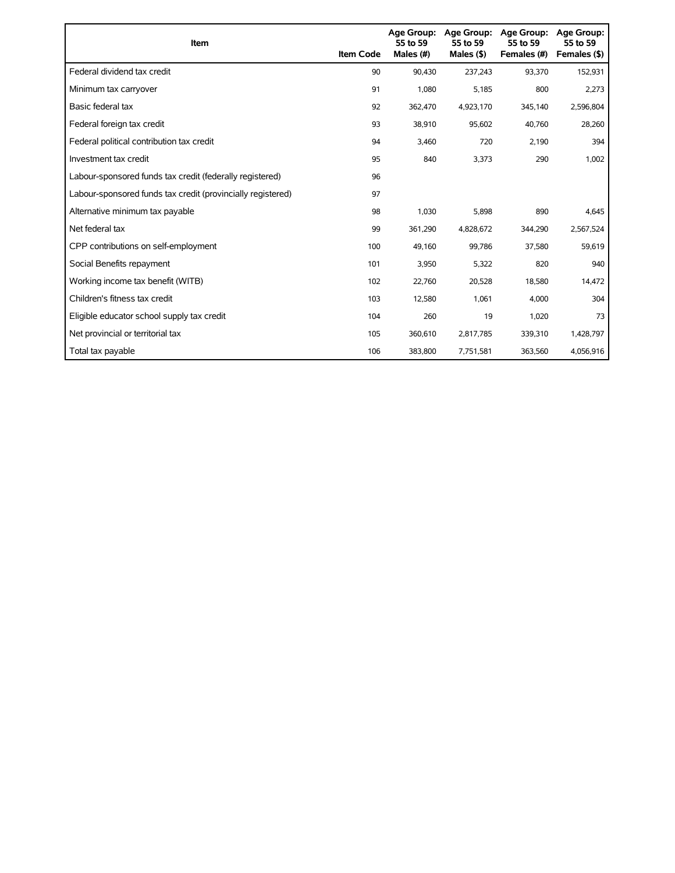| Item                                                        | <b>Item Code</b> | Age Group:<br>55 to 59<br>Males (#) | <b>Age Group:</b><br>55 to 59<br>Males $(§)$ | <b>Age Group:</b><br>55 to 59<br>Females (#) | <b>Age Group:</b><br>55 to 59<br>Females (\$) |
|-------------------------------------------------------------|------------------|-------------------------------------|----------------------------------------------|----------------------------------------------|-----------------------------------------------|
| Federal dividend tax credit                                 | 90               | 90.430                              | 237,243                                      | 93,370                                       | 152,931                                       |
| Minimum tax carryover                                       | 91               | 1.080                               | 5,185                                        | 800                                          | 2,273                                         |
| Basic federal tax                                           | 92               | 362.470                             | 4,923,170                                    | 345,140                                      | 2,596,804                                     |
| Federal foreign tax credit                                  | 93               | 38,910                              | 95,602                                       | 40,760                                       | 28,260                                        |
| Federal political contribution tax credit                   | 94               | 3.460                               | 720                                          | 2,190                                        | 394                                           |
| Investment tax credit                                       | 95               | 840                                 | 3,373                                        | 290                                          | 1,002                                         |
| Labour-sponsored funds tax credit (federally registered)    | 96               |                                     |                                              |                                              |                                               |
| Labour-sponsored funds tax credit (provincially registered) | 97               |                                     |                                              |                                              |                                               |
| Alternative minimum tax payable                             | 98               | 1,030                               | 5,898                                        | 890                                          | 4,645                                         |
| Net federal tax                                             | 99               | 361,290                             | 4,828,672                                    | 344,290                                      | 2,567,524                                     |
| CPP contributions on self-employment                        | 100              | 49,160                              | 99,786                                       | 37,580                                       | 59,619                                        |
| Social Benefits repayment                                   | 101              | 3,950                               | 5,322                                        | 820                                          | 940                                           |
| Working income tax benefit (WITB)                           | 102              | 22,760                              | 20,528                                       | 18,580                                       | 14,472                                        |
| Children's fitness tax credit                               | 103              | 12,580                              | 1,061                                        | 4,000                                        | 304                                           |
| Eligible educator school supply tax credit                  | 104              | 260                                 | 19                                           | 1,020                                        | 73                                            |
| Net provincial or territorial tax                           | 105              | 360,610                             | 2,817,785                                    | 339,310                                      | 1,428,797                                     |
| Total tax payable                                           | 106              | 383.800                             | 7,751,581                                    | 363,560                                      | 4,056,916                                     |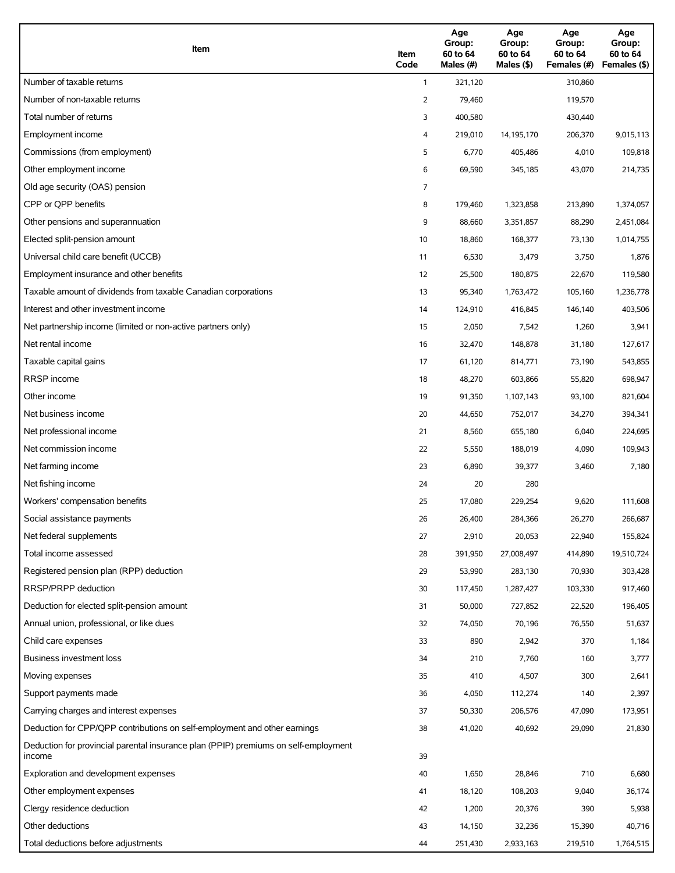| Item                                                                                          | Item<br>Code | Age<br>Group:<br>60 to 64<br>Males (#) | Age<br>Group:<br>60 to 64<br>Males (\$) | Age<br>Group:<br>60 to 64<br>Females (#) | Age<br>Group:<br>60 to 64<br>Females (\$) |
|-----------------------------------------------------------------------------------------------|--------------|----------------------------------------|-----------------------------------------|------------------------------------------|-------------------------------------------|
| Number of taxable returns                                                                     | $\mathbf{1}$ | 321,120                                |                                         | 310,860                                  |                                           |
| Number of non-taxable returns                                                                 | 2            | 79,460                                 |                                         | 119,570                                  |                                           |
| Total number of returns                                                                       | 3            | 400,580                                |                                         | 430,440                                  |                                           |
| Employment income                                                                             | 4            | 219,010                                | 14,195,170                              | 206,370                                  | 9,015,113                                 |
| Commissions (from employment)                                                                 | 5            | 6,770                                  | 405,486                                 | 4,010                                    | 109,818                                   |
| Other employment income                                                                       | 6            | 69,590                                 | 345,185                                 | 43,070                                   | 214,735                                   |
| Old age security (OAS) pension                                                                | 7            |                                        |                                         |                                          |                                           |
| CPP or QPP benefits                                                                           | 8            | 179,460                                | 1,323,858                               | 213,890                                  | 1,374,057                                 |
| Other pensions and superannuation                                                             | 9            | 88,660                                 | 3,351,857                               | 88,290                                   | 2,451,084                                 |
| Elected split-pension amount                                                                  | 10           | 18,860                                 | 168,377                                 | 73,130                                   | 1,014,755                                 |
| Universal child care benefit (UCCB)                                                           | 11           | 6,530                                  | 3,479                                   | 3,750                                    | 1,876                                     |
| Employment insurance and other benefits                                                       | 12           | 25,500                                 | 180,875                                 | 22,670                                   | 119,580                                   |
| Taxable amount of dividends from taxable Canadian corporations                                | 13           | 95,340                                 | 1,763,472                               | 105,160                                  | 1,236,778                                 |
| Interest and other investment income                                                          | 14           | 124,910                                | 416,845                                 | 146,140                                  | 403,506                                   |
| Net partnership income (limited or non-active partners only)                                  | 15           | 2,050                                  | 7,542                                   | 1,260                                    | 3,941                                     |
| Net rental income                                                                             | 16           | 32,470                                 | 148,878                                 | 31,180                                   | 127,617                                   |
| Taxable capital gains                                                                         | 17           | 61,120                                 | 814,771                                 | 73,190                                   | 543,855                                   |
| <b>RRSP</b> income                                                                            | 18           | 48,270                                 | 603,866                                 | 55,820                                   | 698,947                                   |
| Other income                                                                                  | 19           | 91,350                                 | 1,107,143                               | 93,100                                   | 821,604                                   |
| Net business income                                                                           | 20           | 44,650                                 | 752,017                                 | 34,270                                   | 394,341                                   |
| Net professional income                                                                       | 21           | 8,560                                  | 655,180                                 | 6,040                                    | 224,695                                   |
| Net commission income                                                                         | 22           | 5,550                                  | 188,019                                 | 4,090                                    | 109,943                                   |
| Net farming income                                                                            | 23           | 6,890                                  | 39,377                                  | 3,460                                    | 7,180                                     |
| Net fishing income                                                                            | 24           | 20                                     | 280                                     |                                          |                                           |
| Workers' compensation benefits                                                                | 25           | 17,080                                 | 229,254                                 | 9,620                                    | 111,608                                   |
| Social assistance payments                                                                    | 26           | 26,400                                 | 284,366                                 | 26,270                                   | 266,687                                   |
| Net federal supplements                                                                       | 27           | 2,910                                  | 20,053                                  | 22,940                                   | 155,824                                   |
| Total income assessed                                                                         | 28           | 391,950                                | 27,008,497                              | 414,890                                  | 19,510,724                                |
| Registered pension plan (RPP) deduction                                                       | 29           | 53,990                                 | 283,130                                 | 70,930                                   | 303,428                                   |
| RRSP/PRPP deduction                                                                           | 30           | 117,450                                | 1,287,427                               | 103,330                                  | 917,460                                   |
| Deduction for elected split-pension amount                                                    | 31           | 50,000                                 | 727,852                                 | 22,520                                   | 196,405                                   |
| Annual union, professional, or like dues                                                      | 32           | 74,050                                 | 70,196                                  | 76,550                                   | 51,637                                    |
| Child care expenses                                                                           | 33           | 890                                    | 2,942                                   | 370                                      | 1,184                                     |
| Business investment loss                                                                      | 34           | 210                                    | 7,760                                   | 160                                      | 3,777                                     |
| Moving expenses                                                                               | 35           | 410                                    | 4,507                                   | 300                                      | 2,641                                     |
| Support payments made                                                                         | 36           | 4,050                                  | 112,274                                 | 140                                      | 2,397                                     |
| Carrying charges and interest expenses                                                        | 37           | 50,330                                 | 206,576                                 | 47,090                                   | 173,951                                   |
| Deduction for CPP/QPP contributions on self-employment and other earnings                     | 38           | 41,020                                 | 40,692                                  | 29,090                                   | 21,830                                    |
| Deduction for provincial parental insurance plan (PPIP) premiums on self-employment<br>income | 39           |                                        |                                         |                                          |                                           |
| Exploration and development expenses                                                          | 40           | 1,650                                  | 28,846                                  | 710                                      | 6,680                                     |
| Other employment expenses                                                                     | 41           | 18,120                                 | 108,203                                 | 9,040                                    | 36,174                                    |
| Clergy residence deduction                                                                    | 42           | 1,200                                  | 20,376                                  | 390                                      | 5,938                                     |
| Other deductions                                                                              | 43           | 14,150                                 | 32,236                                  | 15,390                                   | 40,716                                    |
| Total deductions before adjustments                                                           | 44           | 251,430                                | 2,933,163                               | 219,510                                  | 1,764,515                                 |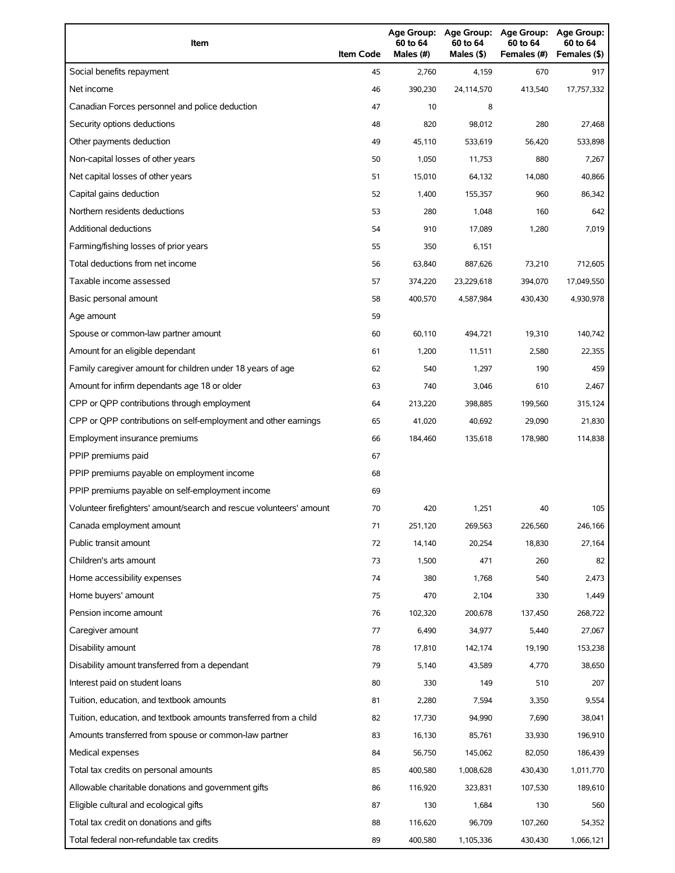| Item                                                                | <b>Item Code</b> | 60 to 64<br>Males (#) | 60 to 64<br>Males (\$) | Age Group: Age Group: Age Group:<br>60 to 64<br>Females (#) | Age Group:<br>60 to 64<br>Females (\$) |
|---------------------------------------------------------------------|------------------|-----------------------|------------------------|-------------------------------------------------------------|----------------------------------------|
| Social benefits repayment                                           | 45               | 2,760                 | 4,159                  | 670                                                         | 917                                    |
| Net income                                                          | 46               | 390,230               | 24,114,570             | 413,540                                                     | 17,757,332                             |
| Canadian Forces personnel and police deduction                      | 47               | 10                    | 8                      |                                                             |                                        |
| Security options deductions                                         | 48               | 820                   | 98,012                 | 280                                                         | 27,468                                 |
| Other payments deduction                                            | 49               | 45,110                | 533,619                | 56,420                                                      | 533,898                                |
| Non-capital losses of other years                                   | 50               | 1,050                 | 11,753                 | 880                                                         | 7,267                                  |
| Net capital losses of other years                                   | 51               | 15,010                | 64,132                 | 14,080                                                      | 40,866                                 |
| Capital gains deduction                                             | 52               | 1,400                 | 155,357                | 960                                                         | 86,342                                 |
| Northern residents deductions                                       | 53               | 280                   | 1,048                  | 160                                                         | 642                                    |
| Additional deductions                                               | 54               | 910                   | 17,089                 | 1,280                                                       | 7,019                                  |
| Farming/fishing losses of prior years                               | 55               | 350                   | 6,151                  |                                                             |                                        |
| Total deductions from net income                                    | 56               | 63,840                | 887,626                | 73,210                                                      | 712,605                                |
| Taxable income assessed                                             | 57               | 374,220               | 23,229,618             | 394,070                                                     | 17,049,550                             |
| Basic personal amount                                               | 58               | 400,570               | 4,587,984              | 430,430                                                     | 4,930,978                              |
| Age amount                                                          | 59               |                       |                        |                                                             |                                        |
| Spouse or common-law partner amount                                 | 60               | 60,110                | 494,721                | 19,310                                                      | 140,742                                |
| Amount for an eligible dependant                                    | 61               | 1,200                 | 11,511                 | 2,580                                                       | 22,355                                 |
| Family caregiver amount for children under 18 years of age          | 62               | 540                   | 1,297                  | 190                                                         | 459                                    |
| Amount for infirm dependants age 18 or older                        | 63               | 740                   | 3,046                  | 610                                                         | 2,467                                  |
| CPP or QPP contributions through employment                         | 64               | 213,220               | 398,885                | 199,560                                                     | 315,124                                |
| CPP or QPP contributions on self-employment and other earnings      | 65               | 41,020                | 40,692                 | 29,090                                                      | 21,830                                 |
| Employment insurance premiums                                       | 66               | 184,460               | 135,618                | 178,980                                                     | 114,838                                |
| PPIP premiums paid                                                  | 67               |                       |                        |                                                             |                                        |
| PPIP premiums payable on employment income                          | 68               |                       |                        |                                                             |                                        |
| PPIP premiums payable on self-employment income                     | 69               |                       |                        |                                                             |                                        |
| Volunteer firefighters' amount/search and rescue volunteers' amount | 70               | 420                   | 1,251                  | 40                                                          | 105                                    |
| Canada employment amount                                            | 71               | 251,120               | 269,563                | 226,560                                                     | 246,166                                |
| Public transit amount                                               | 72               | 14,140                | 20,254                 | 18,830                                                      | 27,164                                 |
| Children's arts amount                                              | 73               | 1,500                 | 471                    | 260                                                         | 82                                     |
| Home accessibility expenses                                         | 74               | 380                   | 1,768                  | 540                                                         | 2,473                                  |
| Home buyers' amount                                                 | 75               | 470                   | 2,104                  | 330                                                         | 1,449                                  |
| Pension income amount                                               | 76               | 102,320               | 200,678                | 137,450                                                     | 268,722                                |
| Caregiver amount                                                    | 77               | 6,490                 | 34,977                 | 5,440                                                       | 27,067                                 |
| Disability amount                                                   | 78               | 17,810                | 142,174                | 19,190                                                      | 153,238                                |
| Disability amount transferred from a dependant                      | 79               | 5,140                 | 43,589                 | 4,770                                                       | 38,650                                 |
| Interest paid on student loans                                      | 80               | 330                   | 149                    | 510                                                         | 207                                    |
| Tuition, education, and textbook amounts                            | 81               | 2,280                 | 7,594                  | 3,350                                                       | 9,554                                  |
| Tuition, education, and textbook amounts transferred from a child   | 82               | 17,730                | 94,990                 | 7,690                                                       | 38,041                                 |
| Amounts transferred from spouse or common-law partner               | 83               | 16,130                | 85,761                 | 33,930                                                      | 196,910                                |
| Medical expenses                                                    | 84               | 56,750                | 145,062                | 82,050                                                      | 186,439                                |
| Total tax credits on personal amounts                               | 85               | 400,580               | 1,008,628              | 430,430                                                     | 1,011,770                              |
| Allowable charitable donations and government gifts                 | 86               | 116,920               | 323,831                | 107,530                                                     | 189,610                                |
| Eligible cultural and ecological gifts                              | 87               | 130                   | 1,684                  | 130                                                         | 560                                    |
| Total tax credit on donations and gifts                             | 88               | 116,620               | 96,709                 | 107,260                                                     | 54,352                                 |
| Total federal non-refundable tax credits                            | 89               | 400,580               | 1,105,336              | 430,430                                                     | 1,066,121                              |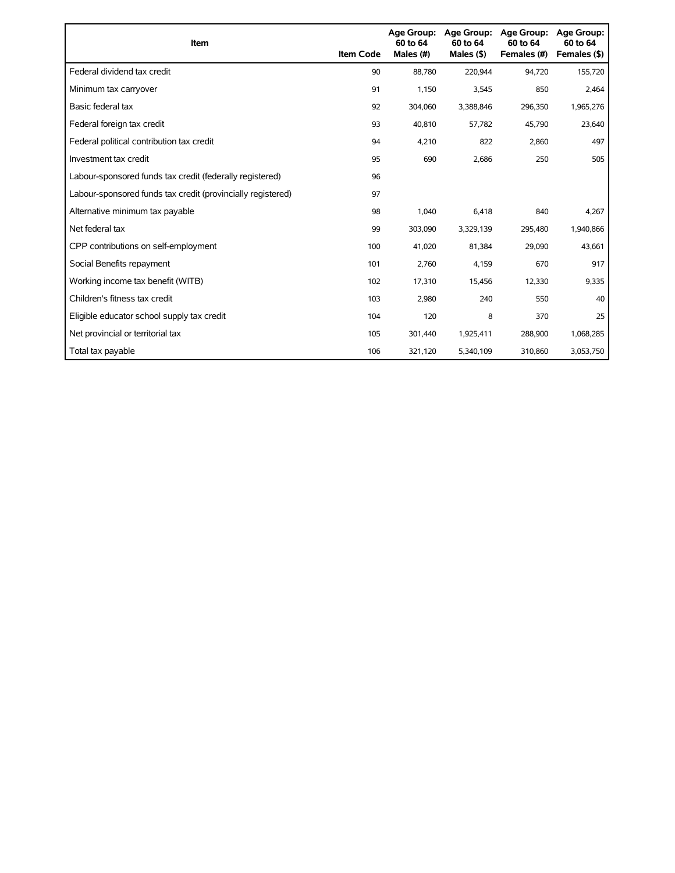| Item                                                        | <b>Item Code</b> | Age Group:<br>60 to 64<br>Males (#) | Age Group:<br>60 to 64<br>Males $(§)$ | <b>Age Group:</b><br>60 to 64<br>Females (#) | <b>Age Group:</b><br>60 to 64<br>Females (\$) |
|-------------------------------------------------------------|------------------|-------------------------------------|---------------------------------------|----------------------------------------------|-----------------------------------------------|
| Federal dividend tax credit                                 | 90               | 88,780                              | 220,944                               | 94,720                                       | 155,720                                       |
| Minimum tax carryover                                       | 91               | 1,150                               | 3,545                                 | 850                                          | 2,464                                         |
| Basic federal tax                                           | 92               | 304,060                             | 3,388,846                             | 296,350                                      | 1,965,276                                     |
| Federal foreign tax credit                                  | 93               | 40.810                              | 57,782                                | 45,790                                       | 23,640                                        |
| Federal political contribution tax credit                   | 94               | 4,210                               | 822                                   | 2,860                                        | 497                                           |
| Investment tax credit                                       | 95               | 690                                 | 2,686                                 | 250                                          | 505                                           |
| Labour-sponsored funds tax credit (federally registered)    | 96               |                                     |                                       |                                              |                                               |
| Labour-sponsored funds tax credit (provincially registered) | 97               |                                     |                                       |                                              |                                               |
| Alternative minimum tax payable                             | 98               | 1,040                               | 6,418                                 | 840                                          | 4,267                                         |
| Net federal tax                                             | 99               | 303,090                             | 3,329,139                             | 295,480                                      | 1,940,866                                     |
| CPP contributions on self-employment                        | 100              | 41,020                              | 81,384                                | 29,090                                       | 43,661                                        |
| Social Benefits repayment                                   | 101              | 2,760                               | 4,159                                 | 670                                          | 917                                           |
| Working income tax benefit (WITB)                           | 102              | 17,310                              | 15,456                                | 12,330                                       | 9,335                                         |
| Children's fitness tax credit                               | 103              | 2,980                               | 240                                   | 550                                          | 40                                            |
| Eligible educator school supply tax credit                  | 104              | 120                                 | 8                                     | 370                                          | 25                                            |
| Net provincial or territorial tax                           | 105              | 301,440                             | 1,925,411                             | 288,900                                      | 1,068,285                                     |
| Total tax payable                                           | 106              | 321,120                             | 5,340,109                             | 310,860                                      | 3,053,750                                     |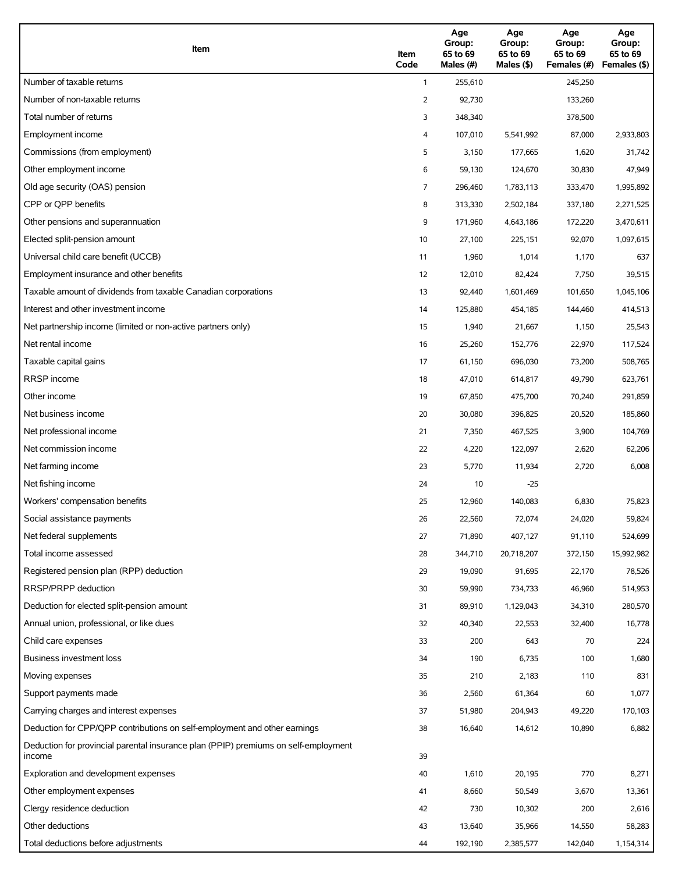| Item                                                                                          | Item<br>Code | Age<br>Group:<br>65 to 69<br>Males (#) | Age<br>Group:<br>65 to 69<br>Males $(\$)$ | Age<br>Group:<br>65 to 69<br>Females (#) | Age<br>Group:<br>65 to 69<br>Females (\$) |
|-----------------------------------------------------------------------------------------------|--------------|----------------------------------------|-------------------------------------------|------------------------------------------|-------------------------------------------|
| Number of taxable returns                                                                     | $\mathbf{1}$ | 255,610                                |                                           | 245,250                                  |                                           |
| Number of non-taxable returns                                                                 | 2            | 92,730                                 |                                           | 133,260                                  |                                           |
| Total number of returns                                                                       | 3            | 348,340                                |                                           | 378,500                                  |                                           |
| Employment income                                                                             | 4            | 107,010                                | 5,541,992                                 | 87,000                                   | 2,933,803                                 |
| Commissions (from employment)                                                                 | 5            | 3,150                                  | 177,665                                   | 1,620                                    | 31,742                                    |
| Other employment income                                                                       | 6            | 59,130                                 | 124,670                                   | 30,830                                   | 47,949                                    |
| Old age security (OAS) pension                                                                | 7            | 296,460                                | 1,783,113                                 | 333,470                                  | 1,995,892                                 |
| CPP or QPP benefits                                                                           | 8            | 313,330                                | 2,502,184                                 | 337,180                                  | 2,271,525                                 |
| Other pensions and superannuation                                                             | 9            | 171,960                                | 4,643,186                                 | 172,220                                  | 3,470,611                                 |
| Elected split-pension amount                                                                  | 10           | 27,100                                 | 225,151                                   | 92,070                                   | 1,097,615                                 |
| Universal child care benefit (UCCB)                                                           | 11           | 1,960                                  | 1,014                                     | 1,170                                    | 637                                       |
| Employment insurance and other benefits                                                       | 12           | 12,010                                 | 82,424                                    | 7,750                                    | 39,515                                    |
| Taxable amount of dividends from taxable Canadian corporations                                | 13           | 92,440                                 | 1,601,469                                 | 101,650                                  | 1,045,106                                 |
| Interest and other investment income                                                          | 14           | 125,880                                | 454,185                                   | 144,460                                  | 414,513                                   |
| Net partnership income (limited or non-active partners only)                                  | 15           | 1,940                                  | 21,667                                    | 1,150                                    | 25,543                                    |
| Net rental income                                                                             | 16           | 25,260                                 | 152,776                                   | 22,970                                   | 117,524                                   |
| Taxable capital gains                                                                         | 17           | 61,150                                 | 696,030                                   | 73,200                                   | 508,765                                   |
| <b>RRSP</b> income                                                                            | 18           | 47,010                                 | 614,817                                   | 49,790                                   | 623,761                                   |
| Other income                                                                                  | 19           | 67,850                                 | 475,700                                   | 70,240                                   | 291,859                                   |
| Net business income                                                                           | 20           | 30,080                                 | 396,825                                   | 20,520                                   | 185,860                                   |
| Net professional income                                                                       | 21           | 7,350                                  | 467,525                                   | 3,900                                    | 104,769                                   |
| Net commission income                                                                         | 22           | 4,220                                  | 122,097                                   | 2,620                                    | 62,206                                    |
| Net farming income                                                                            | 23           | 5,770                                  | 11,934                                    | 2,720                                    | 6,008                                     |
| Net fishing income                                                                            | 24           | 10                                     | $-25$                                     |                                          |                                           |
| Workers' compensation benefits                                                                | 25           | 12,960                                 | 140,083                                   | 6,830                                    | 75,823                                    |
| Social assistance payments                                                                    | 26           | 22,560                                 | 72,074                                    | 24,020                                   | 59,824                                    |
| Net federal supplements                                                                       | 27           | 71,890                                 | 407,127                                   | 91,110                                   | 524,699                                   |
| Total income assessed                                                                         | 28           | 344,710                                | 20,718,207                                | 372,150                                  | 15,992,982                                |
| Registered pension plan (RPP) deduction                                                       | 29           | 19,090                                 | 91,695                                    | 22,170                                   | 78,526                                    |
| RRSP/PRPP deduction                                                                           | 30           | 59,990                                 | 734,733                                   | 46,960                                   | 514,953                                   |
| Deduction for elected split-pension amount                                                    | 31           | 89,910                                 | 1,129,043                                 | 34,310                                   | 280,570                                   |
| Annual union, professional, or like dues                                                      | 32           | 40,340                                 | 22,553                                    | 32,400                                   | 16,778                                    |
| Child care expenses                                                                           | 33           | 200                                    | 643                                       | 70                                       | 224                                       |
| Business investment loss                                                                      | 34           | 190                                    | 6,735                                     | 100                                      | 1,680                                     |
| Moving expenses                                                                               | 35           | 210                                    | 2,183                                     | 110                                      | 831                                       |
| Support payments made                                                                         | 36           | 2,560                                  | 61,364                                    | 60                                       | 1,077                                     |
| Carrying charges and interest expenses                                                        | 37           | 51,980                                 | 204,943                                   | 49,220                                   | 170,103                                   |
| Deduction for CPP/QPP contributions on self-employment and other earnings                     | 38           | 16,640                                 | 14,612                                    | 10,890                                   | 6,882                                     |
| Deduction for provincial parental insurance plan (PPIP) premiums on self-employment<br>income | 39           |                                        |                                           |                                          |                                           |
| Exploration and development expenses                                                          | 40           | 1,610                                  | 20,195                                    | 770                                      | 8,271                                     |
| Other employment expenses                                                                     | 41           | 8,660                                  | 50,549                                    | 3,670                                    | 13,361                                    |
| Clergy residence deduction                                                                    | 42           | 730                                    | 10,302                                    | 200                                      | 2,616                                     |
| Other deductions                                                                              | 43           | 13,640                                 | 35,966                                    | 14,550                                   | 58,283                                    |
| Total deductions before adjustments                                                           | 44           | 192,190                                | 2,385,577                                 | 142,040                                  | 1,154,314                                 |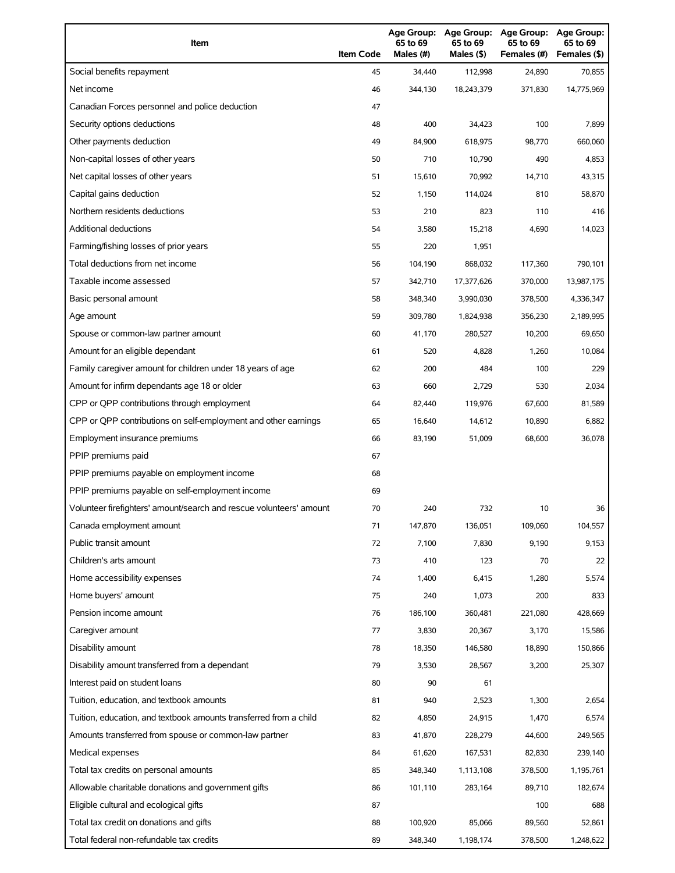| Item                                                                | <b>Item Code</b> | 65 to 69<br>Males (#) | 65 to 69<br>Males (\$) | Age Group: Age Group: Age Group:<br>65 to 69<br>Females (#) | Age Group:<br>65 to 69<br>Females (\$) |
|---------------------------------------------------------------------|------------------|-----------------------|------------------------|-------------------------------------------------------------|----------------------------------------|
| Social benefits repayment                                           | 45               | 34,440                | 112,998                | 24,890                                                      | 70,855                                 |
| Net income                                                          | 46               | 344,130               | 18,243,379             | 371,830                                                     | 14,775,969                             |
| Canadian Forces personnel and police deduction                      | 47               |                       |                        |                                                             |                                        |
| Security options deductions                                         | 48               | 400                   | 34,423                 | 100                                                         | 7,899                                  |
| Other payments deduction                                            | 49               | 84,900                | 618,975                | 98,770                                                      | 660,060                                |
| Non-capital losses of other years                                   | 50               | 710                   | 10,790                 | 490                                                         | 4,853                                  |
| Net capital losses of other years                                   | 51               | 15,610                | 70,992                 | 14,710                                                      | 43,315                                 |
| Capital gains deduction                                             | 52               | 1,150                 | 114,024                | 810                                                         | 58,870                                 |
| Northern residents deductions                                       | 53               | 210                   | 823                    | 110                                                         | 416                                    |
| Additional deductions                                               | 54               | 3,580                 | 15,218                 | 4,690                                                       | 14,023                                 |
| Farming/fishing losses of prior years                               | 55               | 220                   | 1,951                  |                                                             |                                        |
| Total deductions from net income                                    | 56               | 104,190               | 868,032                | 117,360                                                     | 790,101                                |
| Taxable income assessed                                             | 57               | 342,710               | 17,377,626             | 370,000                                                     | 13,987,175                             |
| Basic personal amount                                               | 58               | 348,340               | 3,990,030              | 378,500                                                     | 4,336,347                              |
| Age amount                                                          | 59               | 309,780               | 1,824,938              | 356,230                                                     | 2,189,995                              |
| Spouse or common-law partner amount                                 | 60               | 41,170                | 280,527                | 10,200                                                      | 69,650                                 |
| Amount for an eligible dependant                                    | 61               | 520                   | 4,828                  | 1,260                                                       | 10,084                                 |
| Family caregiver amount for children under 18 years of age          | 62               | 200                   | 484                    | 100                                                         | 229                                    |
| Amount for infirm dependants age 18 or older                        | 63               | 660                   | 2,729                  | 530                                                         | 2,034                                  |
| CPP or QPP contributions through employment                         | 64               | 82,440                | 119,976                | 67,600                                                      | 81,589                                 |
| CPP or QPP contributions on self-employment and other earnings      | 65               | 16,640                | 14,612                 | 10,890                                                      | 6,882                                  |
| Employment insurance premiums                                       | 66               | 83,190                | 51,009                 | 68,600                                                      | 36,078                                 |
| PPIP premiums paid                                                  | 67               |                       |                        |                                                             |                                        |
| PPIP premiums payable on employment income                          | 68               |                       |                        |                                                             |                                        |
| PPIP premiums payable on self-employment income                     | 69               |                       |                        |                                                             |                                        |
| Volunteer firefighters' amount/search and rescue volunteers' amount | 70               | 240                   | 732                    | 10                                                          | 36                                     |
| Canada employment amount                                            | 71               | 147,870               | 136,051                | 109,060                                                     | 104,557                                |
| Public transit amount                                               | 72               | 7,100                 | 7,830                  | 9,190                                                       | 9,153                                  |
| Children's arts amount                                              | 73               | 410                   | 123                    | 70                                                          | 22                                     |
| Home accessibility expenses                                         | 74               | 1,400                 | 6,415                  | 1,280                                                       | 5,574                                  |
| Home buyers' amount                                                 | 75               | 240                   | 1,073                  | 200                                                         | 833                                    |
| Pension income amount                                               | 76               | 186,100               | 360,481                | 221,080                                                     | 428,669                                |
| Caregiver amount                                                    | 77               | 3,830                 | 20,367                 | 3,170                                                       | 15,586                                 |
| Disability amount                                                   | 78               | 18,350                | 146,580                | 18,890                                                      | 150,866                                |
| Disability amount transferred from a dependant                      | 79               | 3,530                 | 28,567                 | 3,200                                                       | 25,307                                 |
| Interest paid on student loans                                      | 80               | 90                    | 61                     |                                                             |                                        |
| Tuition, education, and textbook amounts                            | 81               | 940                   | 2,523                  | 1,300                                                       | 2,654                                  |
| Tuition, education, and textbook amounts transferred from a child   | 82               | 4,850                 | 24,915                 | 1,470                                                       | 6,574                                  |
| Amounts transferred from spouse or common-law partner               | 83               | 41,870                | 228,279                | 44,600                                                      | 249,565                                |
| Medical expenses                                                    | 84               | 61,620                | 167,531                | 82,830                                                      | 239,140                                |
| Total tax credits on personal amounts                               | 85               | 348,340               | 1,113,108              | 378,500                                                     | 1,195,761                              |
| Allowable charitable donations and government gifts                 | 86               | 101,110               | 283,164                | 89,710                                                      | 182,674                                |
| Eligible cultural and ecological gifts                              | 87               |                       |                        | 100                                                         | 688                                    |
| Total tax credit on donations and gifts                             | 88               | 100,920               | 85,066                 | 89,560                                                      | 52,861                                 |
| Total federal non-refundable tax credits                            | 89               | 348,340               | 1,198,174              | 378,500                                                     | 1,248,622                              |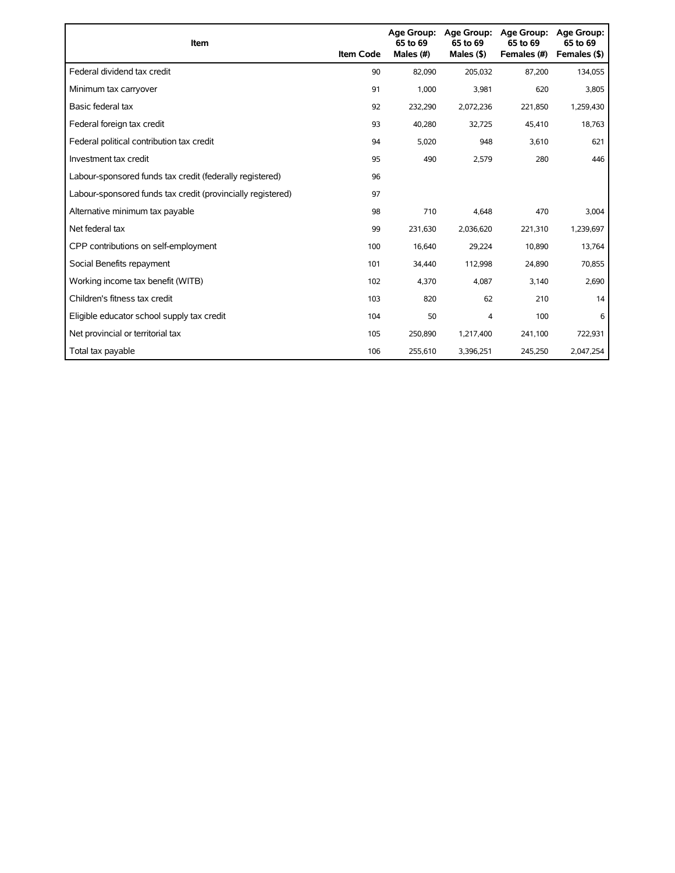| Item                                                        | <b>Item Code</b> | <b>Age Group:</b><br>65 to 69<br>Males (#) | <b>Age Group:</b><br>65 to 69<br>Males $(§)$ | <b>Age Group:</b><br>65 to 69<br>Females (#) | <b>Age Group:</b><br>65 to 69<br>Females (\$) |
|-------------------------------------------------------------|------------------|--------------------------------------------|----------------------------------------------|----------------------------------------------|-----------------------------------------------|
| Federal dividend tax credit                                 | 90               | 82,090                                     | 205,032                                      | 87,200                                       | 134,055                                       |
| Minimum tax carryover                                       | 91               | 1,000                                      | 3,981                                        | 620                                          | 3,805                                         |
| Basic federal tax                                           | 92               | 232,290                                    | 2,072,236                                    | 221,850                                      | 1,259,430                                     |
| Federal foreign tax credit                                  | 93               | 40,280                                     | 32,725                                       | 45,410                                       | 18,763                                        |
| Federal political contribution tax credit                   | 94               | 5,020                                      | 948                                          | 3,610                                        | 621                                           |
| Investment tax credit                                       | 95               | 490                                        | 2,579                                        | 280                                          | 446                                           |
| Labour-sponsored funds tax credit (federally registered)    | 96               |                                            |                                              |                                              |                                               |
| Labour-sponsored funds tax credit (provincially registered) | 97               |                                            |                                              |                                              |                                               |
| Alternative minimum tax payable                             | 98               | 710                                        | 4,648                                        | 470                                          | 3,004                                         |
| Net federal tax                                             | 99               | 231,630                                    | 2,036,620                                    | 221,310                                      | 1,239,697                                     |
| CPP contributions on self-employment                        | 100              | 16,640                                     | 29,224                                       | 10,890                                       | 13,764                                        |
| Social Benefits repayment                                   | 101              | 34,440                                     | 112,998                                      | 24,890                                       | 70,855                                        |
| Working income tax benefit (WITB)                           | 102              | 4,370                                      | 4,087                                        | 3,140                                        | 2,690                                         |
| Children's fitness tax credit                               | 103              | 820                                        | 62                                           | 210                                          | 14                                            |
| Eligible educator school supply tax credit                  | 104              | 50                                         | 4                                            | 100                                          | 6                                             |
| Net provincial or territorial tax                           | 105              | 250,890                                    | 1,217,400                                    | 241,100                                      | 722,931                                       |
| Total tax payable                                           | 106              | 255,610                                    | 3,396,251                                    | 245,250                                      | 2,047,254                                     |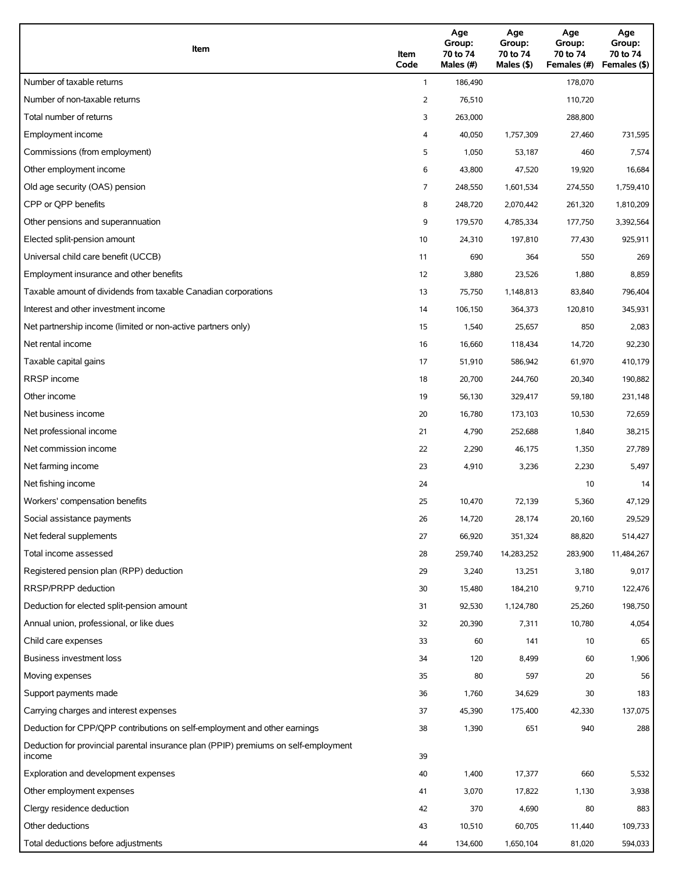| Item                                                                                          | Item<br>Code | Age<br>Group:<br>70 to 74<br>Males (#) | Age<br>Group:<br>70 to 74<br>Males (\$) | Age<br>Group:<br>70 to 74<br>Females (#) | Age<br>Group:<br>70 to 74<br>Females (\$) |
|-----------------------------------------------------------------------------------------------|--------------|----------------------------------------|-----------------------------------------|------------------------------------------|-------------------------------------------|
| Number of taxable returns                                                                     | $\mathbf{1}$ | 186,490                                |                                         | 178,070                                  |                                           |
| Number of non-taxable returns                                                                 | 2            | 76,510                                 |                                         | 110,720                                  |                                           |
| Total number of returns                                                                       | 3            | 263,000                                |                                         | 288,800                                  |                                           |
| Employment income                                                                             | 4            | 40,050                                 | 1,757,309                               | 27,460                                   | 731,595                                   |
| Commissions (from employment)                                                                 | 5            | 1,050                                  | 53,187                                  | 460                                      | 7,574                                     |
| Other employment income                                                                       | 6            | 43,800                                 | 47,520                                  | 19,920                                   | 16,684                                    |
| Old age security (OAS) pension                                                                | 7            | 248,550                                | 1,601,534                               | 274,550                                  | 1,759,410                                 |
| CPP or OPP benefits                                                                           | 8            | 248,720                                | 2,070,442                               | 261,320                                  | 1,810,209                                 |
| Other pensions and superannuation                                                             | 9            | 179,570                                | 4,785,334                               | 177,750                                  | 3,392,564                                 |
| Elected split-pension amount                                                                  | 10           | 24,310                                 | 197,810                                 | 77,430                                   | 925,911                                   |
| Universal child care benefit (UCCB)                                                           | 11           | 690                                    | 364                                     | 550                                      | 269                                       |
| Employment insurance and other benefits                                                       | 12           | 3,880                                  | 23,526                                  | 1,880                                    | 8,859                                     |
| Taxable amount of dividends from taxable Canadian corporations                                | 13           | 75,750                                 | 1,148,813                               | 83,840                                   | 796,404                                   |
| Interest and other investment income                                                          | 14           | 106,150                                | 364,373                                 | 120,810                                  | 345,931                                   |
| Net partnership income (limited or non-active partners only)                                  | 15           | 1,540                                  | 25,657                                  | 850                                      | 2,083                                     |
| Net rental income                                                                             | 16           | 16,660                                 | 118,434                                 | 14,720                                   | 92,230                                    |
| Taxable capital gains                                                                         | 17           | 51,910                                 | 586,942                                 | 61,970                                   | 410,179                                   |
| <b>RRSP</b> income                                                                            | 18           | 20,700                                 | 244,760                                 | 20,340                                   | 190,882                                   |
| Other income                                                                                  | 19           | 56,130                                 | 329,417                                 | 59,180                                   | 231,148                                   |
| Net business income                                                                           | 20           | 16,780                                 | 173,103                                 | 10,530                                   | 72,659                                    |
| Net professional income                                                                       | 21           | 4,790                                  | 252,688                                 | 1,840                                    | 38,215                                    |
| Net commission income                                                                         | 22           | 2,290                                  | 46,175                                  | 1,350                                    | 27,789                                    |
| Net farming income                                                                            | 23           | 4,910                                  | 3,236                                   | 2,230                                    | 5,497                                     |
| Net fishing income                                                                            | 24           |                                        |                                         | 10                                       | 14                                        |
| Workers' compensation benefits                                                                | 25           | 10,470                                 | 72,139                                  | 5,360                                    | 47,129                                    |
| Social assistance payments                                                                    | 26           | 14,720                                 | 28,174                                  | 20,160                                   | 29,529                                    |
| Net federal supplements                                                                       | 27           | 66,920                                 | 351,324                                 | 88,820                                   | 514,427                                   |
| Total income assessed                                                                         | 28           | 259,740                                | 14,283,252                              | 283,900                                  | 11,484,267                                |
| Registered pension plan (RPP) deduction                                                       | 29           | 3,240                                  | 13,251                                  | 3,180                                    | 9,017                                     |
| RRSP/PRPP deduction                                                                           | 30           | 15,480                                 | 184,210                                 | 9,710                                    | 122,476                                   |
| Deduction for elected split-pension amount                                                    | 31           | 92,530                                 | 1,124,780                               | 25,260                                   | 198,750                                   |
| Annual union, professional, or like dues                                                      | 32           | 20,390                                 | 7,311                                   | 10,780                                   | 4,054                                     |
| Child care expenses                                                                           | 33           | 60                                     | 141                                     | 10                                       | 65                                        |
| <b>Business investment loss</b>                                                               | 34           | 120                                    | 8,499                                   | 60                                       | 1,906                                     |
| Moving expenses                                                                               | 35           | 80                                     | 597                                     | 20                                       | 56                                        |
| Support payments made                                                                         | 36           | 1,760                                  | 34,629                                  | 30                                       | 183                                       |
| Carrying charges and interest expenses                                                        | 37           | 45,390                                 | 175,400                                 | 42,330                                   | 137,075                                   |
| Deduction for CPP/QPP contributions on self-employment and other earnings                     | 38           | 1,390                                  | 651                                     | 940                                      | 288                                       |
| Deduction for provincial parental insurance plan (PPIP) premiums on self-employment<br>income | 39           |                                        |                                         |                                          |                                           |
| Exploration and development expenses                                                          | 40           | 1,400                                  | 17,377                                  | 660                                      | 5,532                                     |
| Other employment expenses                                                                     | 41           | 3,070                                  | 17,822                                  | 1,130                                    | 3,938                                     |
| Clergy residence deduction                                                                    | 42           | 370                                    | 4,690                                   | 80                                       | 883                                       |
| Other deductions                                                                              | 43           | 10,510                                 | 60,705                                  | 11,440                                   | 109,733                                   |
| Total deductions before adjustments                                                           | 44           | 134,600                                | 1,650,104                               | 81,020                                   | 594,033                                   |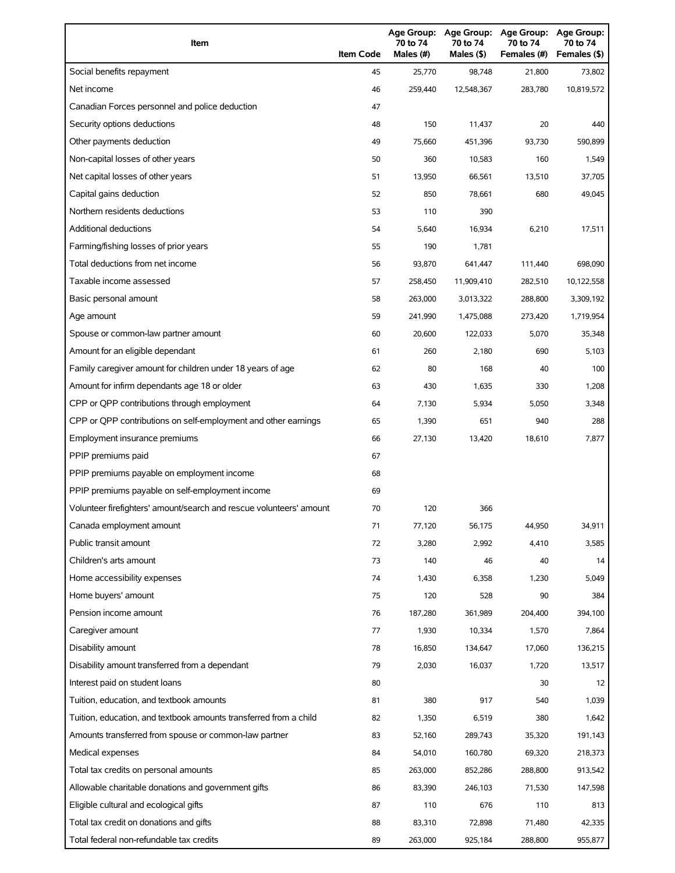| Item                                                                | <b>Item Code</b> | 70 to 74<br>Males (#) | 70 to 74<br>Males (\$) | Age Group: Age Group: Age Group:<br>70 to 74<br>Females (#) | Age Group:<br>70 to 74<br>Females (\$) |
|---------------------------------------------------------------------|------------------|-----------------------|------------------------|-------------------------------------------------------------|----------------------------------------|
| Social benefits repayment                                           | 45               | 25,770                | 98,748                 | 21,800                                                      | 73,802                                 |
| Net income                                                          | 46               | 259,440               | 12,548,367             | 283,780                                                     | 10,819,572                             |
| Canadian Forces personnel and police deduction                      | 47               |                       |                        |                                                             |                                        |
| Security options deductions                                         | 48               | 150                   | 11,437                 | 20                                                          | 440                                    |
| Other payments deduction                                            | 49               | 75,660                | 451,396                | 93,730                                                      | 590,899                                |
| Non-capital losses of other years                                   | 50               | 360                   | 10,583                 | 160                                                         | 1,549                                  |
| Net capital losses of other years                                   | 51               | 13,950                | 66,561                 | 13,510                                                      | 37,705                                 |
| Capital gains deduction                                             | 52               | 850                   | 78,661                 | 680                                                         | 49,045                                 |
| Northern residents deductions                                       | 53               | 110                   | 390                    |                                                             |                                        |
| Additional deductions                                               | 54               | 5,640                 | 16,934                 | 6,210                                                       | 17,511                                 |
| Farming/fishing losses of prior years                               | 55               | 190                   | 1,781                  |                                                             |                                        |
| Total deductions from net income                                    | 56               | 93,870                | 641,447                | 111,440                                                     | 698,090                                |
| Taxable income assessed                                             | 57               | 258,450               | 11,909,410             | 282,510                                                     | 10,122,558                             |
| Basic personal amount                                               | 58               | 263,000               | 3,013,322              | 288,800                                                     | 3,309,192                              |
| Age amount                                                          | 59               | 241,990               | 1,475,088              | 273,420                                                     | 1,719,954                              |
| Spouse or common-law partner amount                                 | 60               | 20,600                | 122,033                | 5,070                                                       | 35,348                                 |
| Amount for an eligible dependant                                    | 61               | 260                   | 2,180                  | 690                                                         | 5,103                                  |
| Family caregiver amount for children under 18 years of age          | 62               | 80                    | 168                    | 40                                                          | 100                                    |
| Amount for infirm dependants age 18 or older                        | 63               | 430                   | 1,635                  | 330                                                         | 1,208                                  |
| CPP or QPP contributions through employment                         | 64               | 7,130                 | 5,934                  | 5,050                                                       | 3,348                                  |
| CPP or QPP contributions on self-employment and other earnings      | 65               | 1,390                 | 651                    | 940                                                         | 288                                    |
| Employment insurance premiums                                       | 66               | 27,130                | 13,420                 | 18,610                                                      | 7,877                                  |
| PPIP premiums paid                                                  | 67               |                       |                        |                                                             |                                        |
| PPIP premiums payable on employment income                          | 68               |                       |                        |                                                             |                                        |
| PPIP premiums payable on self-employment income                     | 69               |                       |                        |                                                             |                                        |
| Volunteer firefighters' amount/search and rescue volunteers' amount | 70               | 120                   | 366                    |                                                             |                                        |
| Canada employment amount                                            | 71               | 77,120                | 56,175                 | 44,950                                                      | 34,911                                 |
| Public transit amount                                               | 72               | 3,280                 | 2,992                  | 4,410                                                       | 3,585                                  |
| Children's arts amount                                              | 73               | 140                   | 46                     | 40                                                          | 14                                     |
| Home accessibility expenses                                         | 74               | 1,430                 | 6,358                  | 1,230                                                       | 5,049                                  |
| Home buyers' amount                                                 | 75               | 120                   | 528                    | 90                                                          | 384                                    |
| Pension income amount                                               | 76               | 187,280               | 361,989                | 204,400                                                     | 394,100                                |
| Caregiver amount                                                    | 77               | 1,930                 | 10,334                 | 1,570                                                       | 7,864                                  |
| Disability amount                                                   | 78               | 16,850                | 134,647                | 17,060                                                      | 136,215                                |
| Disability amount transferred from a dependant                      | 79               | 2,030                 | 16,037                 | 1,720                                                       | 13,517                                 |
| Interest paid on student loans                                      | 80               |                       |                        | 30                                                          | 12                                     |
| Tuition, education, and textbook amounts                            | 81               | 380                   | 917                    | 540                                                         | 1,039                                  |
| Tuition, education, and textbook amounts transferred from a child   | 82               | 1,350                 | 6,519                  | 380                                                         | 1,642                                  |
| Amounts transferred from spouse or common-law partner               | 83               | 52,160                | 289,743                | 35,320                                                      | 191,143                                |
| Medical expenses                                                    | 84               | 54,010                | 160,780                | 69,320                                                      | 218,373                                |
| Total tax credits on personal amounts                               | 85               | 263,000               | 852,286                | 288,800                                                     | 913,542                                |
| Allowable charitable donations and government gifts                 | 86               | 83,390                | 246,103                | 71,530                                                      | 147,598                                |
| Eligible cultural and ecological gifts                              | 87               | 110                   | 676                    | 110                                                         | 813                                    |
| Total tax credit on donations and gifts                             | 88               | 83,310                | 72,898                 | 71,480                                                      | 42,335                                 |
| Total federal non-refundable tax credits                            | 89               | 263,000               | 925,184                | 288,800                                                     | 955,877                                |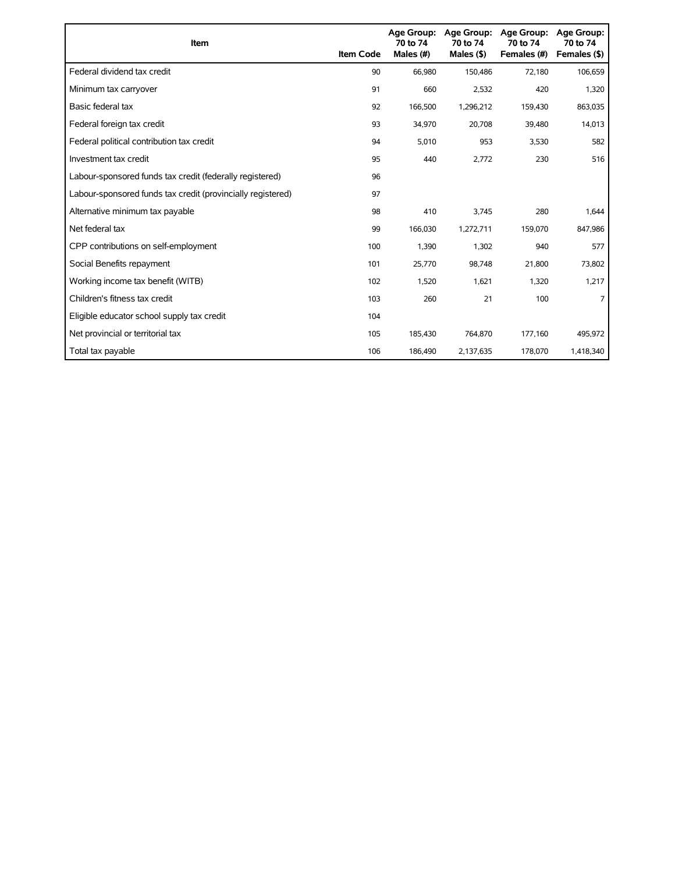| Item                                                        | <b>Item Code</b> | Age Group:<br>70 to 74<br>Males (#) | <b>Age Group:</b><br>70 to 74<br>Males $($ \$) | Age Group:<br>70 to 74<br>Females (#) | <b>Age Group:</b><br>70 to 74<br>Females (\$) |
|-------------------------------------------------------------|------------------|-------------------------------------|------------------------------------------------|---------------------------------------|-----------------------------------------------|
| Federal dividend tax credit                                 | 90               | 66,980                              | 150,486                                        | 72,180                                | 106,659                                       |
| Minimum tax carryover                                       | 91               | 660                                 | 2,532                                          | 420                                   | 1,320                                         |
| Basic federal tax                                           | 92               | 166,500                             | 1,296,212                                      | 159,430                               | 863,035                                       |
| Federal foreign tax credit                                  | 93               | 34,970                              | 20,708                                         | 39,480                                | 14,013                                        |
| Federal political contribution tax credit                   | 94               | 5,010                               | 953                                            | 3,530                                 | 582                                           |
| Investment tax credit                                       | 95               | 440                                 | 2,772                                          | 230                                   | 516                                           |
| Labour-sponsored funds tax credit (federally registered)    | 96               |                                     |                                                |                                       |                                               |
| Labour-sponsored funds tax credit (provincially registered) | 97               |                                     |                                                |                                       |                                               |
| Alternative minimum tax payable                             | 98               | 410                                 | 3,745                                          | 280                                   | 1,644                                         |
| Net federal tax                                             | 99               | 166,030                             | 1,272,711                                      | 159,070                               | 847,986                                       |
| CPP contributions on self-employment                        | 100              | 1,390                               | 1,302                                          | 940                                   | 577                                           |
| Social Benefits repayment                                   | 101              | 25,770                              | 98,748                                         | 21,800                                | 73,802                                        |
| Working income tax benefit (WITB)                           | 102              | 1,520                               | 1,621                                          | 1,320                                 | 1,217                                         |
| Children's fitness tax credit                               | 103              | 260                                 | 21                                             | 100                                   |                                               |
| Eligible educator school supply tax credit                  | 104              |                                     |                                                |                                       |                                               |
| Net provincial or territorial tax                           | 105              | 185,430                             | 764,870                                        | 177,160                               | 495,972                                       |
| Total tax payable                                           | 106              | 186,490                             | 2,137,635                                      | 178,070                               | 1,418,340                                     |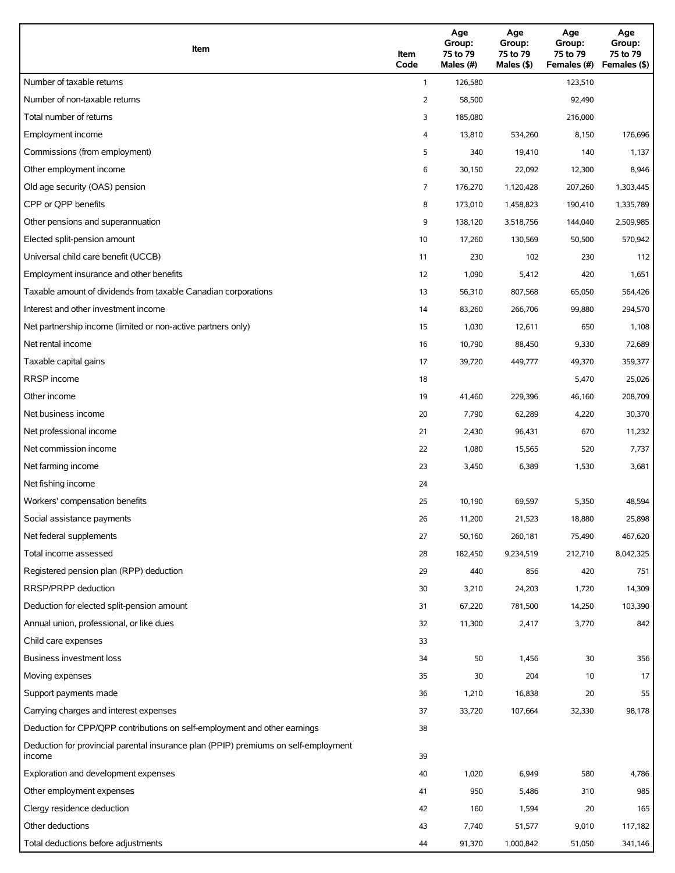| Item                                                                                          | Item<br>Code   | Age<br>Group:<br>75 to 79<br>Males (#) | Age<br>Group:<br>75 to 79<br>Males $(\$)$ | Age<br>Group:<br>75 to 79<br>Females (#) | Age<br>Group:<br>75 to 79<br>Females (\$) |
|-----------------------------------------------------------------------------------------------|----------------|----------------------------------------|-------------------------------------------|------------------------------------------|-------------------------------------------|
| Number of taxable returns                                                                     | $\mathbf{1}$   | 126,580                                |                                           | 123,510                                  |                                           |
| Number of non-taxable returns                                                                 | 2              | 58,500                                 |                                           | 92,490                                   |                                           |
| Total number of returns                                                                       | 3              | 185,080                                |                                           | 216,000                                  |                                           |
| Employment income                                                                             | 4              | 13,810                                 | 534,260                                   | 8,150                                    | 176,696                                   |
| Commissions (from employment)                                                                 | 5              | 340                                    | 19,410                                    | 140                                      | 1,137                                     |
| Other employment income                                                                       | 6              | 30,150                                 | 22,092                                    | 12,300                                   | 8,946                                     |
| Old age security (OAS) pension                                                                | $\overline{7}$ | 176,270                                | 1,120,428                                 | 207,260                                  | 1,303,445                                 |
| CPP or OPP benefits                                                                           | 8              | 173,010                                | 1,458,823                                 | 190,410                                  | 1,335,789                                 |
| Other pensions and superannuation                                                             | 9              | 138,120                                | 3,518,756                                 | 144,040                                  | 2,509,985                                 |
| Elected split-pension amount                                                                  | 10             | 17,260                                 | 130,569                                   | 50,500                                   | 570,942                                   |
| Universal child care benefit (UCCB)                                                           | 11             | 230                                    | 102                                       | 230                                      | 112                                       |
| Employment insurance and other benefits                                                       | 12             | 1,090                                  | 5,412                                     | 420                                      | 1,651                                     |
| Taxable amount of dividends from taxable Canadian corporations                                | 13             | 56,310                                 | 807,568                                   | 65,050                                   | 564,426                                   |
| Interest and other investment income                                                          | 14             | 83,260                                 | 266,706                                   | 99,880                                   | 294,570                                   |
| Net partnership income (limited or non-active partners only)                                  | 15             | 1,030                                  | 12,611                                    | 650                                      | 1,108                                     |
| Net rental income                                                                             | 16             | 10,790                                 | 88,450                                    | 9,330                                    | 72,689                                    |
| Taxable capital gains                                                                         | 17             | 39,720                                 | 449,777                                   | 49,370                                   | 359,377                                   |
| <b>RRSP</b> income                                                                            | 18             |                                        |                                           | 5,470                                    | 25,026                                    |
| Other income                                                                                  | 19             | 41,460                                 | 229,396                                   | 46,160                                   | 208,709                                   |
| Net business income                                                                           | 20             | 7,790                                  | 62,289                                    | 4,220                                    | 30,370                                    |
| Net professional income                                                                       | 21             | 2,430                                  | 96,431                                    | 670                                      | 11,232                                    |
| Net commission income                                                                         | 22             | 1,080                                  | 15,565                                    | 520                                      | 7,737                                     |
| Net farming income                                                                            | 23             | 3,450                                  | 6,389                                     | 1,530                                    | 3,681                                     |
| Net fishing income                                                                            | 24             |                                        |                                           |                                          |                                           |
| Workers' compensation benefits                                                                | 25             | 10,190                                 | 69,597                                    | 5,350                                    | 48,594                                    |
| Social assistance payments                                                                    | 26             | 11,200                                 | 21,523                                    | 18,880                                   | 25,898                                    |
| Net federal supplements                                                                       | 27             | 50,160                                 | 260,181                                   | 75,490                                   | 467,620                                   |
| Total income assessed                                                                         | 28             | 182,450                                | 9,234,519                                 | 212,710                                  | 8,042,325                                 |
| Registered pension plan (RPP) deduction                                                       | 29             | 440                                    | 856                                       | 420                                      | 751                                       |
| RRSP/PRPP deduction                                                                           | 30             | 3,210                                  | 24,203                                    | 1,720                                    | 14,309                                    |
| Deduction for elected split-pension amount                                                    | 31             | 67,220                                 | 781,500                                   | 14,250                                   | 103,390                                   |
| Annual union, professional, or like dues                                                      | 32             | 11,300                                 | 2,417                                     | 3,770                                    | 842                                       |
| Child care expenses                                                                           | 33             |                                        |                                           |                                          |                                           |
| Business investment loss                                                                      | 34             | 50                                     | 1,456                                     | 30                                       | 356                                       |
| Moving expenses                                                                               | 35             | 30                                     | 204                                       | 10                                       | 17                                        |
| Support payments made                                                                         | 36             | 1,210                                  | 16,838                                    | 20                                       | 55                                        |
| Carrying charges and interest expenses                                                        | 37             | 33,720                                 | 107,664                                   | 32,330                                   | 98,178                                    |
| Deduction for CPP/QPP contributions on self-employment and other earnings                     | 38             |                                        |                                           |                                          |                                           |
| Deduction for provincial parental insurance plan (PPIP) premiums on self-employment<br>income | 39             |                                        |                                           |                                          |                                           |
| Exploration and development expenses                                                          | 40             | 1,020                                  | 6,949                                     | 580                                      | 4,786                                     |
| Other employment expenses                                                                     | 41             | 950                                    | 5,486                                     | 310                                      | 985                                       |
| Clergy residence deduction                                                                    | 42             | 160                                    | 1,594                                     | 20                                       | 165                                       |
| Other deductions                                                                              | 43             | 7,740                                  | 51,577                                    | 9,010                                    | 117,182                                   |
| Total deductions before adjustments                                                           | 44             | 91,370                                 | 1,000,842                                 | 51,050                                   | 341,146                                   |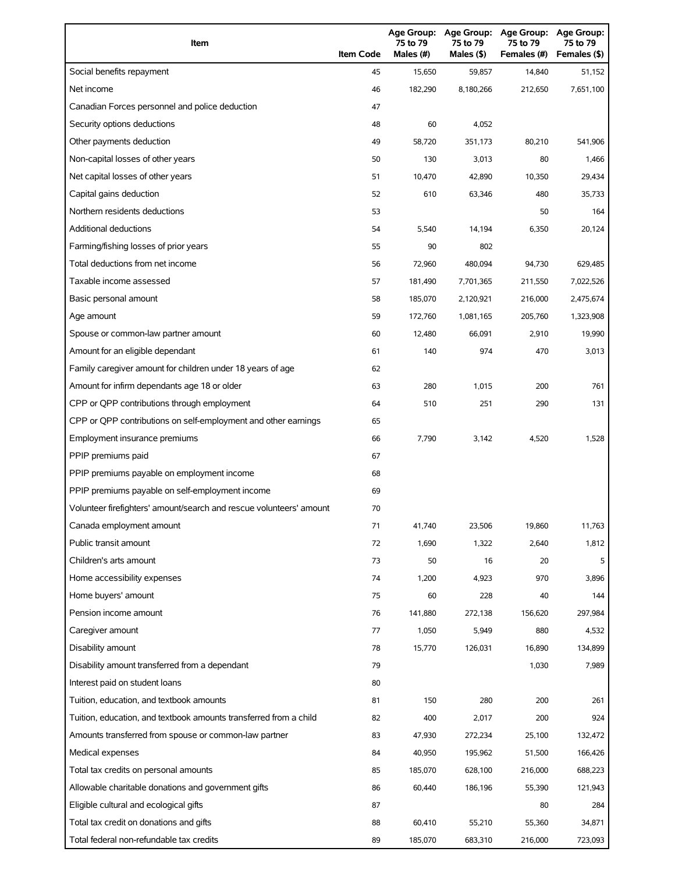| Item                                                                | <b>Item Code</b> | Age Group:<br>75 to 79<br>Males (#) | <b>Age Group:</b><br>75 to 79<br>Males (\$) | <b>Age Group:</b><br>75 to 79<br>Females (#) | <b>Age Group:</b><br>75 to 79<br>Females (\$) |
|---------------------------------------------------------------------|------------------|-------------------------------------|---------------------------------------------|----------------------------------------------|-----------------------------------------------|
| Social benefits repayment                                           | 45               | 15,650                              | 59,857                                      | 14,840                                       | 51,152                                        |
| Net income                                                          | 46               | 182,290                             | 8,180,266                                   | 212,650                                      | 7,651,100                                     |
| Canadian Forces personnel and police deduction                      | 47               |                                     |                                             |                                              |                                               |
| Security options deductions                                         | 48               | 60                                  | 4,052                                       |                                              |                                               |
| Other payments deduction                                            | 49               | 58,720                              | 351,173                                     | 80,210                                       | 541,906                                       |
| Non-capital losses of other years                                   | 50               | 130                                 | 3,013                                       | 80                                           | 1,466                                         |
| Net capital losses of other years                                   | 51               | 10,470                              | 42,890                                      | 10,350                                       | 29,434                                        |
| Capital gains deduction                                             | 52               | 610                                 | 63,346                                      | 480                                          | 35,733                                        |
| Northern residents deductions                                       | 53               |                                     |                                             | 50                                           | 164                                           |
| Additional deductions                                               | 54               | 5,540                               | 14,194                                      | 6,350                                        | 20,124                                        |
| Farming/fishing losses of prior years                               | 55               | 90                                  | 802                                         |                                              |                                               |
| Total deductions from net income                                    | 56               | 72,960                              | 480,094                                     | 94,730                                       | 629,485                                       |
| Taxable income assessed                                             | 57               | 181,490                             | 7,701,365                                   | 211,550                                      | 7,022,526                                     |
| Basic personal amount                                               | 58               | 185,070                             | 2,120,921                                   | 216,000                                      | 2,475,674                                     |
| Age amount                                                          | 59               | 172,760                             | 1,081,165                                   | 205,760                                      | 1,323,908                                     |
| Spouse or common-law partner amount                                 | 60               | 12,480                              | 66,091                                      | 2,910                                        | 19,990                                        |
| Amount for an eligible dependant                                    | 61               | 140                                 | 974                                         | 470                                          | 3,013                                         |
| Family caregiver amount for children under 18 years of age          | 62               |                                     |                                             |                                              |                                               |
| Amount for infirm dependants age 18 or older                        | 63               | 280                                 | 1,015                                       | 200                                          | 761                                           |
| CPP or QPP contributions through employment                         | 64               | 510                                 | 251                                         | 290                                          | 131                                           |
| CPP or QPP contributions on self-employment and other earnings      | 65               |                                     |                                             |                                              |                                               |
| Employment insurance premiums                                       | 66               | 7,790                               | 3,142                                       | 4,520                                        | 1,528                                         |
| PPIP premiums paid                                                  | 67               |                                     |                                             |                                              |                                               |
| PPIP premiums payable on employment income                          | 68               |                                     |                                             |                                              |                                               |
| PPIP premiums payable on self-employment income                     | 69               |                                     |                                             |                                              |                                               |
| Volunteer firefighters' amount/search and rescue volunteers' amount | 70               |                                     |                                             |                                              |                                               |
| Canada employment amount                                            | 71               | 41,740                              | 23,506                                      | 19,860                                       | 11,763                                        |
| Public transit amount                                               | 72               | 1,690                               | 1,322                                       | 2,640                                        | 1,812                                         |
| Children's arts amount                                              | 73               | 50                                  | 16                                          | 20                                           | 5                                             |
| Home accessibility expenses                                         | 74               | 1,200                               | 4,923                                       | 970                                          | 3,896                                         |
| Home buyers' amount                                                 | 75               | 60                                  | 228                                         | 40                                           | 144                                           |
| Pension income amount                                               | 76               | 141,880                             | 272,138                                     | 156,620                                      | 297,984                                       |
| Caregiver amount                                                    | 77               | 1,050                               | 5,949                                       | 880                                          | 4,532                                         |
| Disability amount                                                   | 78               | 15,770                              | 126,031                                     | 16,890                                       | 134,899                                       |
| Disability amount transferred from a dependant                      | 79               |                                     |                                             | 1,030                                        | 7,989                                         |
| Interest paid on student loans                                      | 80               |                                     |                                             |                                              |                                               |
| Tuition, education, and textbook amounts                            | 81               | 150                                 | 280                                         | 200                                          | 261                                           |
| Tuition, education, and textbook amounts transferred from a child   | 82               | 400                                 | 2,017                                       | 200                                          | 924                                           |
| Amounts transferred from spouse or common-law partner               | 83               | 47,930                              | 272,234                                     | 25,100                                       | 132,472                                       |
| Medical expenses                                                    | 84               | 40,950                              | 195,962                                     | 51,500                                       | 166,426                                       |
| Total tax credits on personal amounts                               | 85               | 185,070                             | 628,100                                     | 216,000                                      | 688,223                                       |
| Allowable charitable donations and government gifts                 | 86               | 60,440                              | 186,196                                     | 55,390                                       | 121,943                                       |
| Eligible cultural and ecological gifts                              | 87               |                                     |                                             | 80                                           | 284                                           |
| Total tax credit on donations and gifts                             | 88               | 60,410                              | 55,210                                      | 55,360                                       | 34,871                                        |
| Total federal non-refundable tax credits                            | 89               | 185,070                             | 683,310                                     | 216,000                                      | 723,093                                       |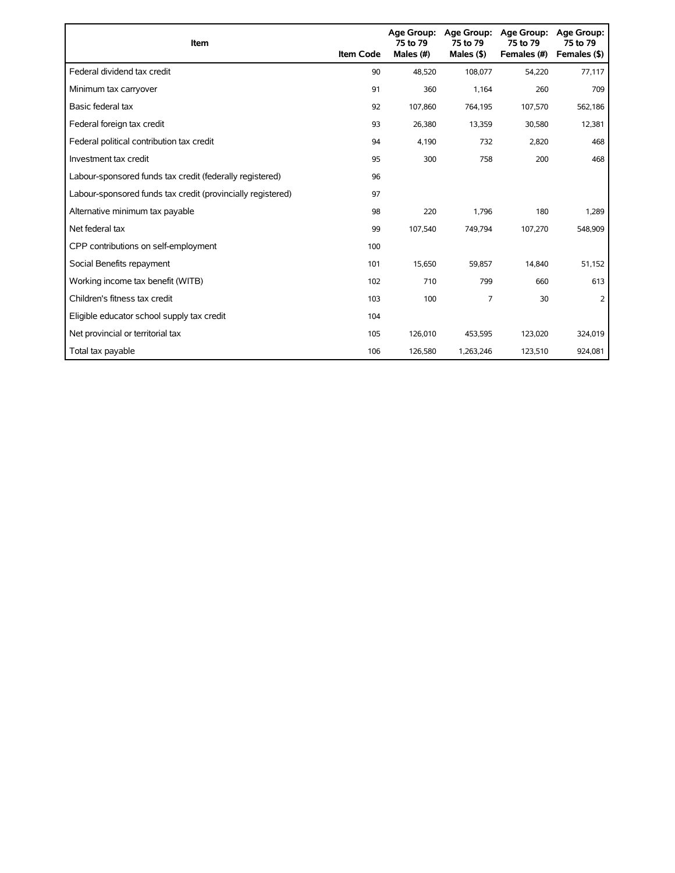| Item                                                        | <b>Item Code</b> | 75 to 79<br>Males (#) | Age Group: Age Group:<br>75 to 79<br>Males $($ \$) | <b>Age Group:</b><br>75 to 79<br>Females (#) | <b>Age Group:</b><br>75 to 79<br>Females (\$) |
|-------------------------------------------------------------|------------------|-----------------------|----------------------------------------------------|----------------------------------------------|-----------------------------------------------|
| Federal dividend tax credit                                 | 90               | 48,520                | 108,077                                            | 54,220                                       | 77,117                                        |
| Minimum tax carryover                                       | 91               | 360                   | 1,164                                              | 260                                          | 709                                           |
| Basic federal tax                                           | 92               | 107,860               | 764,195                                            | 107,570                                      | 562,186                                       |
| Federal foreign tax credit                                  | 93               | 26,380                | 13,359                                             | 30,580                                       | 12,381                                        |
| Federal political contribution tax credit                   | 94               | 4,190                 | 732                                                | 2,820                                        | 468                                           |
| Investment tax credit                                       | 95               | 300                   | 758                                                | 200                                          | 468                                           |
| Labour-sponsored funds tax credit (federally registered)    | 96               |                       |                                                    |                                              |                                               |
| Labour-sponsored funds tax credit (provincially registered) | 97               |                       |                                                    |                                              |                                               |
| Alternative minimum tax payable                             | 98               | 220                   | 1,796                                              | 180                                          | 1,289                                         |
| Net federal tax                                             | 99               | 107,540               | 749,794                                            | 107,270                                      | 548,909                                       |
| CPP contributions on self-employment                        | 100              |                       |                                                    |                                              |                                               |
| Social Benefits repayment                                   | 101              | 15,650                | 59,857                                             | 14,840                                       | 51,152                                        |
| Working income tax benefit (WITB)                           | 102              | 710                   | 799                                                | 660                                          | 613                                           |
| Children's fitness tax credit                               | 103              | 100                   | 7                                                  | 30                                           | 2                                             |
| Eligible educator school supply tax credit                  | 104              |                       |                                                    |                                              |                                               |
| Net provincial or territorial tax                           | 105              | 126,010               | 453,595                                            | 123,020                                      | 324,019                                       |
| Total tax payable                                           | 106              | 126,580               | 1,263,246                                          | 123,510                                      | 924,081                                       |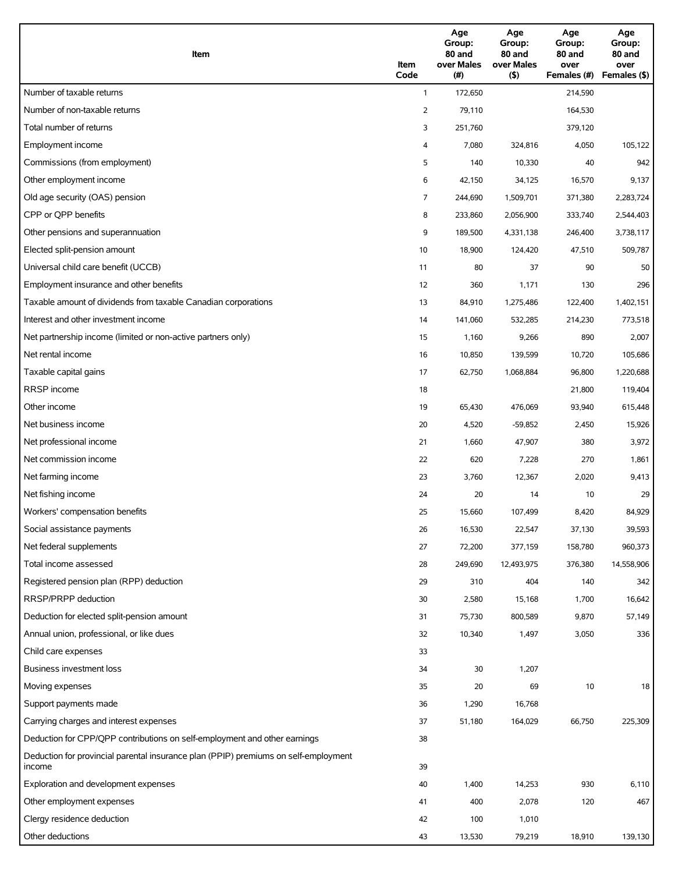| Item                                                                                          | Item<br>Code   | Age<br>Group:<br>80 and<br>over Males<br>(#) | Age<br>Group:<br>80 and<br>over Males<br>(5) | Age<br>Group:<br>80 and<br>over<br>Females (#) | Age<br>Group:<br>80 and<br>over<br>Females (\$) |
|-----------------------------------------------------------------------------------------------|----------------|----------------------------------------------|----------------------------------------------|------------------------------------------------|-------------------------------------------------|
| Number of taxable returns                                                                     | $\mathbf{1}$   | 172,650                                      |                                              | 214,590                                        |                                                 |
| Number of non-taxable returns                                                                 | 2              | 79,110                                       |                                              | 164,530                                        |                                                 |
| Total number of returns                                                                       | 3              | 251,760                                      |                                              | 379,120                                        |                                                 |
| Employment income                                                                             | 4              | 7,080                                        | 324,816                                      | 4,050                                          | 105,122                                         |
| Commissions (from employment)                                                                 | 5              | 140                                          | 10,330                                       | 40                                             | 942                                             |
| Other employment income                                                                       | 6              | 42,150                                       | 34,125                                       | 16,570                                         | 9,137                                           |
| Old age security (OAS) pension                                                                | $\overline{7}$ | 244,690                                      | 1,509,701                                    | 371,380                                        | 2,283,724                                       |
| CPP or QPP benefits                                                                           | 8              | 233,860                                      | 2,056,900                                    | 333,740                                        | 2,544,403                                       |
| Other pensions and superannuation                                                             | 9              | 189,500                                      | 4,331,138                                    | 246,400                                        | 3,738,117                                       |
| Elected split-pension amount                                                                  | 10             | 18,900                                       | 124,420                                      | 47,510                                         | 509,787                                         |
| Universal child care benefit (UCCB)                                                           | 11             | 80                                           | 37                                           | 90                                             | 50                                              |
| Employment insurance and other benefits                                                       | 12             | 360                                          | 1,171                                        | 130                                            | 296                                             |
| Taxable amount of dividends from taxable Canadian corporations                                |                |                                              |                                              |                                                |                                                 |
| Interest and other investment income                                                          | 13             | 84,910                                       | 1,275,486                                    | 122,400                                        | 1,402,151                                       |
|                                                                                               | 14             | 141,060                                      | 532,285                                      | 214,230                                        | 773,518                                         |
| Net partnership income (limited or non-active partners only)                                  | 15             | 1,160                                        | 9,266                                        | 890                                            | 2,007                                           |
| Net rental income                                                                             | 16             | 10,850                                       | 139,599                                      | 10,720                                         | 105,686                                         |
| Taxable capital gains                                                                         | 17             | 62,750                                       | 1,068,884                                    | 96,800                                         | 1,220,688                                       |
| RRSP income                                                                                   | 18             |                                              |                                              | 21,800                                         | 119,404                                         |
| Other income                                                                                  | 19             | 65,430                                       | 476,069                                      | 93,940                                         | 615,448                                         |
| Net business income                                                                           | 20             | 4,520                                        | $-59,852$                                    | 2,450                                          | 15,926                                          |
| Net professional income                                                                       | 21             | 1,660                                        | 47,907                                       | 380                                            | 3,972                                           |
| Net commission income                                                                         | 22             | 620                                          | 7,228                                        | 270                                            | 1,861                                           |
| Net farming income                                                                            | 23             | 3,760                                        | 12,367                                       | 2,020                                          | 9,413                                           |
| Net fishing income                                                                            | 24             | 20                                           | 14                                           | 10                                             | 29                                              |
| Workers' compensation benefits                                                                | 25             | 15,660                                       | 107.499                                      | 8,420                                          | 84,929                                          |
| Social assistance payments                                                                    | 26             | 16,530                                       | 22,547                                       | 37,130                                         | 39,593                                          |
| Net federal supplements                                                                       | 27             | 72,200                                       | 377,159                                      | 158,780                                        | 960,373                                         |
| Total income assessed                                                                         | 28             | 249,690                                      | 12,493,975                                   | 376,380                                        | 14,558,906                                      |
| Registered pension plan (RPP) deduction                                                       | 29             | 310                                          | 404                                          | 140                                            | 342                                             |
| RRSP/PRPP deduction                                                                           | 30             | 2,580                                        | 15,168                                       | 1,700                                          | 16,642                                          |
| Deduction for elected split-pension amount                                                    | 31             | 75,730                                       | 800,589                                      | 9,870                                          | 57,149                                          |
| Annual union, professional, or like dues                                                      | 32             | 10,340                                       | 1,497                                        | 3,050                                          | 336                                             |
| Child care expenses                                                                           | 33             |                                              |                                              |                                                |                                                 |
| Business investment loss                                                                      | 34             | 30                                           | 1,207                                        |                                                |                                                 |
| Moving expenses                                                                               | 35             | 20                                           | 69                                           | $10$                                           | 18                                              |
| Support payments made                                                                         | 36             | 1,290                                        | 16,768                                       |                                                |                                                 |
| Carrying charges and interest expenses                                                        | 37             | 51,180                                       | 164,029                                      | 66,750                                         | 225,309                                         |
| Deduction for CPP/QPP contributions on self-employment and other earnings                     | 38             |                                              |                                              |                                                |                                                 |
| Deduction for provincial parental insurance plan (PPIP) premiums on self-employment<br>income | 39             |                                              |                                              |                                                |                                                 |
| Exploration and development expenses                                                          | 40             | 1,400                                        | 14,253                                       | 930                                            | 6,110                                           |
| Other employment expenses                                                                     | 41             | 400                                          | 2,078                                        | 120                                            | 467                                             |
| Clergy residence deduction                                                                    | 42             | 100                                          | 1,010                                        |                                                |                                                 |
| Other deductions                                                                              | 43             | 13,530                                       | 79,219                                       | 18,910                                         | 139,130                                         |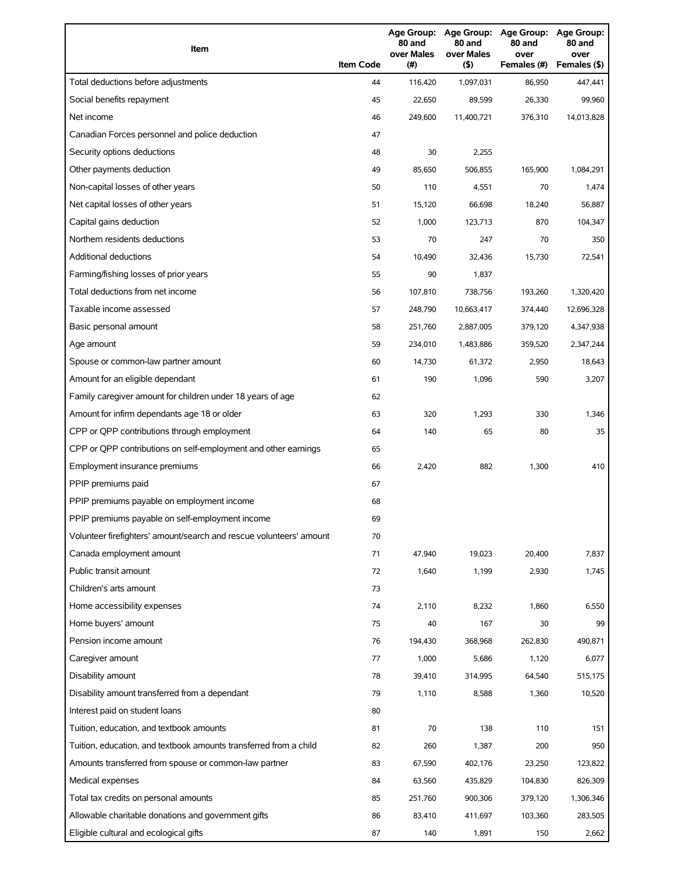| Item                                                                | <b>Item Code</b> | 80 and<br>over Males<br>(#) | 80 and<br>over Males<br>(5) | Age Group: Age Group: Age Group: Age Group:<br>80 and<br>over<br>Females (#) | 80 and<br>over<br>Females (\$) |
|---------------------------------------------------------------------|------------------|-----------------------------|-----------------------------|------------------------------------------------------------------------------|--------------------------------|
| Total deductions before adjustments                                 | 44               | 116,420                     | 1,097,031                   | 86,950                                                                       | 447,441                        |
| Social benefits repayment                                           | 45               | 22,650                      | 89,599                      | 26,330                                                                       | 99,960                         |
| Net income                                                          | 46               | 249,600                     | 11,400,721                  | 376,310                                                                      | 14,013,828                     |
| Canadian Forces personnel and police deduction                      | 47               |                             |                             |                                                                              |                                |
| Security options deductions                                         | 48               | 30                          | 2,255                       |                                                                              |                                |
| Other payments deduction                                            | 49               | 85,650                      | 506,855                     | 165,900                                                                      | 1,084,291                      |
| Non-capital losses of other years                                   | 50               | 110                         | 4,551                       | 70                                                                           | 1,474                          |
| Net capital losses of other years                                   | 51               | 15,120                      | 66,698                      | 18,240                                                                       | 56,887                         |
| Capital gains deduction                                             | 52               | 1,000                       | 123,713                     | 870                                                                          | 104,347                        |
| Northern residents deductions                                       | 53               | 70                          | 247                         | 70                                                                           | 350                            |
| <b>Additional deductions</b>                                        | 54               | 10,490                      | 32,436                      | 15,730                                                                       | 72,541                         |
| Farming/fishing losses of prior years                               | 55               | 90                          | 1,837                       |                                                                              |                                |
| Total deductions from net income                                    | 56               | 107,810                     | 738,756                     | 193,260                                                                      | 1,320,420                      |
| Taxable income assessed                                             | 57               | 248,790                     | 10,663,417                  | 374,440                                                                      | 12,696,328                     |
| Basic personal amount                                               | 58               | 251,760                     | 2,887,005                   | 379,120                                                                      | 4,347,938                      |
| Age amount                                                          | 59               | 234,010                     | 1,483,886                   | 359,520                                                                      | 2,347,244                      |
| Spouse or common-law partner amount                                 | 60               | 14,730                      | 61,372                      | 2,950                                                                        | 18,643                         |
| Amount for an eligible dependant                                    | 61               | 190                         | 1,096                       | 590                                                                          | 3,207                          |
| Family caregiver amount for children under 18 years of age          | 62               |                             |                             |                                                                              |                                |
| Amount for infirm dependants age 18 or older                        | 63               | 320                         | 1,293                       | 330                                                                          | 1,346                          |
| CPP or QPP contributions through employment                         | 64               | 140                         | 65                          | 80                                                                           | 35                             |
| CPP or QPP contributions on self-employment and other earnings      | 65               |                             |                             |                                                                              |                                |
| Employment insurance premiums                                       | 66               | 2,420                       | 882                         | 1,300                                                                        | 410                            |
| PPIP premiums paid                                                  | 67               |                             |                             |                                                                              |                                |
| PPIP premiums payable on employment income                          | 68               |                             |                             |                                                                              |                                |
| PPIP premiums payable on self-employment income                     | 69               |                             |                             |                                                                              |                                |
| Volunteer firefighters' amount/search and rescue volunteers' amount | 70               |                             |                             |                                                                              |                                |
| Canada employment amount                                            | 71               | 47,940                      | 19,023                      | 20,400                                                                       | 7,837                          |
| Public transit amount                                               | 72               | 1,640                       | 1,199                       | 2,930                                                                        | 1,745                          |
| Children's arts amount                                              | 73               |                             |                             |                                                                              |                                |
| Home accessibility expenses                                         | 74               | 2,110                       | 8,232                       | 1,860                                                                        | 6,550                          |
| Home buyers' amount                                                 | 75               | 40                          | 167                         | 30                                                                           | 99                             |
| Pension income amount                                               | 76               | 194,430                     | 368,968                     | 262,830                                                                      | 490,871                        |
| Caregiver amount                                                    | 77               | 1,000                       | 5,686                       | 1,120                                                                        | 6,077                          |
| Disability amount                                                   | 78               | 39,410                      | 314,995                     | 64,540                                                                       | 515,175                        |
| Disability amount transferred from a dependant                      | 79               | 1,110                       | 8,588                       | 1,360                                                                        | 10,520                         |
| Interest paid on student loans                                      | 80               |                             |                             |                                                                              |                                |
| Tuition, education, and textbook amounts                            | 81               | 70                          | 138                         | 110                                                                          | 151                            |
| Tuition, education, and textbook amounts transferred from a child   | 82               | 260                         | 1,387                       | 200                                                                          | 950                            |
| Amounts transferred from spouse or common-law partner               | 83               | 67,590                      | 402,176                     | 23,250                                                                       | 123,822                        |
| Medical expenses                                                    | 84               | 63,560                      | 435,829                     | 104,830                                                                      | 826,309                        |
| Total tax credits on personal amounts                               | 85               | 251,760                     | 900,306                     | 379,120                                                                      | 1,306,346                      |
| Allowable charitable donations and government gifts                 | 86               | 83,410                      | 411,697                     | 103,360                                                                      | 283,505                        |
| Eligible cultural and ecological gifts                              | 87               | 140                         | 1,891                       | 150                                                                          | 2,662                          |